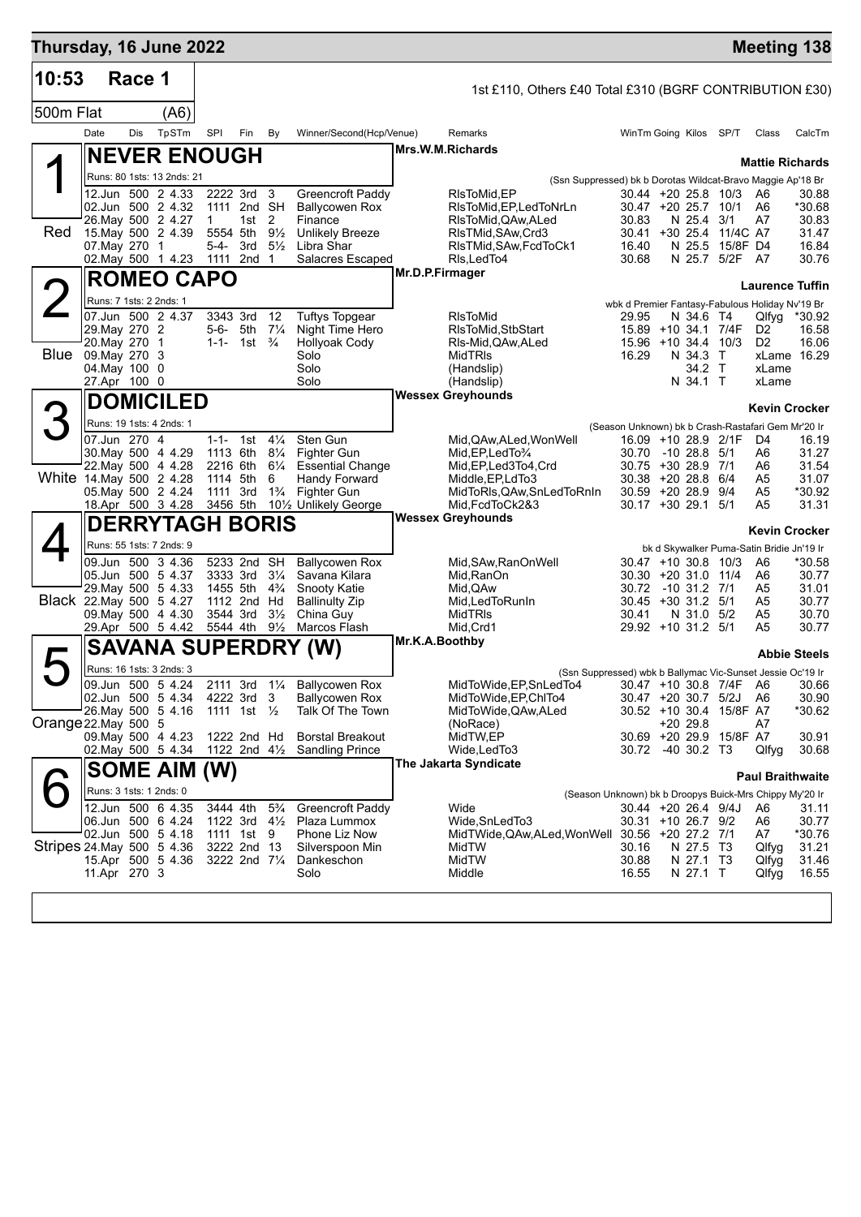| Thursday, 16 June 2022     |                                     |        |                                          |              |                                                    |                     |                                            |                 |                                                                 |                                                          |              |                                   | <b>Meeting 138</b>                        |                      |
|----------------------------|-------------------------------------|--------|------------------------------------------|--------------|----------------------------------------------------|---------------------|--------------------------------------------|-----------------|-----------------------------------------------------------------|----------------------------------------------------------|--------------|-----------------------------------|-------------------------------------------|----------------------|
| 10:53                      |                                     | Race 1 |                                          |              |                                                    |                     |                                            |                 | 1st £110, Others £40 Total £310 (BGRF CONTRIBUTION £30)         |                                                          |              |                                   |                                           |                      |
| 500m Flat                  |                                     |        | (A6)                                     |              |                                                    |                     |                                            |                 |                                                                 |                                                          |              |                                   |                                           |                      |
|                            | Date                                | Dis    | TpSTm                                    | SPI          | Fin                                                | By                  | Winner/Second(Hcp/Venue)                   |                 | Remarks                                                         | WinTm Going Kilos SP/T                                   |              |                                   | Class                                     | CalcTm               |
|                            |                                     |        | <b>NEVER ENOUGH</b>                      |              |                                                    |                     |                                            |                 | Mrs.W.M.Richards                                                |                                                          |              |                                   |                                           |                      |
|                            |                                     |        | Runs: 80 1sts: 13 2nds: 21               |              |                                                    |                     |                                            |                 | (Ssn Suppressed) bk b Dorotas Wildcat-Bravo Maggie Ap'18 Br     |                                                          |              |                                   | <b>Mattie Richards</b>                    |                      |
|                            |                                     |        | 12.Jun 500 2 4.33                        |              | 2222 3rd                                           | 3                   | Greencroft Paddy                           |                 | RIsToMid, EP                                                    | 30.44 +20 25.8 10/3                                      |              |                                   | A6                                        | 30.88                |
|                            |                                     |        | 02.Jun 500 2 4.32                        | $\mathbf{1}$ | 1111 2nd SH<br>1st $2$                             |                     | <b>Ballycowen Rox</b><br>Finance           |                 | RIsToMid, EP, LedToNrLn                                         | 30.47 +20 25.7 10/1<br>30.83                             | N 25.4 3/1   |                                   | A6<br>A7                                  | *30.68               |
| Red                        |                                     |        | 26. May 500 2 4.27<br>15. May 500 2 4.39 |              | 5554 5th 91/2                                      |                     | <b>Unlikely Breeze</b>                     |                 | RIsToMid, QAw, ALed<br>RIsTMid, SAw, Crd3                       |                                                          |              | 30.41 +30 25.4 11/4C A7           |                                           | 30.83<br>31.47       |
|                            | 07. May 270 1                       |        | 02. May 500 1 4.23                       | 5-4-         | 3rd<br>1111 2nd 1                                  | $5\frac{1}{2}$      | Libra Shar<br>Salacres Escaped             |                 | RIsTMid, SAw, FcdToCk1<br>RIs, LedTo4                           | 16.40<br>30.68                                           |              | N 25.5 15/8F D4<br>N 25.7 5/2F A7 |                                           | 16.84<br>30.76       |
|                            |                                     |        |                                          |              |                                                    |                     |                                            | Mr.D.P.Firmager |                                                                 |                                                          |              |                                   |                                           |                      |
|                            |                                     |        | <b>ROMEO CAPO</b>                        |              |                                                    |                     |                                            |                 |                                                                 |                                                          |              |                                   | <b>Laurence Tuffin</b>                    |                      |
|                            | Runs: 7 1sts: 2 2nds: 1             |        | 07.Jun 500 2 4.37                        |              | 3343 3rd                                           | 12                  | <b>Tuftys Topgear</b>                      |                 | <b>RIsToMid</b>                                                 | wbk d Premier Fantasy-Fabulous Holiday Nv'19 Br<br>29.95 | N 34.6 T4    |                                   | Qlfyg                                     | *30.92               |
|                            | 29. May 270 2                       |        |                                          |              | 5-6- 5th                                           | $7\frac{1}{4}$      | Night Time Hero                            |                 | RIsToMid, StbStart                                              | 15.89 +10 34.1 7/4F                                      |              |                                   | D <sub>2</sub>                            | 16.58                |
|                            | 20. May 270 1<br>Blue 09. May 270 3 |        |                                          |              | 1-1- 1st $\frac{3}{4}$                             |                     | <b>Hollyoak Cody</b><br>Solo               |                 | RIs-Mid, QAw, ALed<br>MidTRIs                                   | 15.96 +10 34.4 10/3<br>16.29                             | N 34.3 T     |                                   | D <sub>2</sub>                            | 16.06<br>xLame 16.29 |
|                            | 04. May 100 0                       |        |                                          |              |                                                    |                     | Solo                                       |                 | (Handslip)                                                      |                                                          | 34.2 T       |                                   | xLame                                     |                      |
|                            | 27.Apr 100 0                        |        |                                          |              |                                                    |                     | Solo                                       |                 | (Handslip)<br><b>Wessex Greyhounds</b>                          |                                                          | N 34.1 T     |                                   | xLame                                     |                      |
|                            |                                     |        | <b>DOMICILED</b>                         |              |                                                    |                     |                                            |                 |                                                                 |                                                          |              |                                   | <b>Kevin Crocker</b>                      |                      |
| 3                          |                                     |        | Runs: 19 1sts: 4 2nds: 1                 |              |                                                    |                     |                                            |                 |                                                                 | (Season Unknown) bk b Crash-Rastafari Gem Mr'20 Ir       |              |                                   |                                           |                      |
|                            | 07.Jun 270 4                        |        | 30. May 500 4 4.29                       |              | 1-1- 1st $4\frac{1}{4}$<br>1113 6th 81/4           |                     | Sten Gun<br>Fighter Gun                    |                 | Mid, QAw, ALed, Won Well<br>Mid, EP, Led To 3/4                 | 16.09 +10 28.9 2/1F<br>30.70                             | -10 28.8 5/1 |                                   | D4<br>A6                                  | 16.19<br>31.27       |
|                            |                                     |        | 22. May 500 4 4.28                       |              | 2216 6th                                           | $6\frac{1}{4}$      | <b>Essential Change</b>                    |                 | Mid, EP, Led 3To 4, Crd                                         | 30.75 +30 28.9 7/1                                       |              |                                   | A6                                        | 31.54                |
| White 14. May 500 2 4.28   |                                     |        | 05. May 500 2 4.24                       |              | 1114 5th<br>1111 3rd                               | 6<br>$1\frac{3}{4}$ | Handy Forward<br>Fighter Gun               |                 | Middle, EP, LdTo3<br>MidToRIs,QAw,SnLedToRnIn                   | 30.38 +20 28.8 6/4<br>30.59 +20 28.9 9/4                 |              |                                   | A5<br>A5                                  | 31.07<br>*30.92      |
|                            |                                     |        | 18.Apr 500 3 4.28                        |              |                                                    |                     | 3456 5th 101/2 Unlikely George             |                 | Mid.FcdToCk2&3                                                  | 30.17 +30 29.1 5/1                                       |              |                                   | A5                                        | 31.31                |
|                            |                                     |        | <b>DERRYTAGH BORIS</b>                   |              |                                                    |                     |                                            |                 | <b>Wessex Greyhounds</b>                                        |                                                          |              |                                   | <b>Kevin Crocker</b>                      |                      |
|                            |                                     |        | Runs: 55 1sts: 7 2nds: 9                 |              |                                                    |                     |                                            |                 |                                                                 |                                                          |              |                                   | bk d Skywalker Puma-Satin Bridie Jn'19 Ir |                      |
|                            |                                     |        | 09.Jun 500 3 4.36                        |              | 5233 2nd SH                                        |                     | <b>Ballycowen Rox</b>                      |                 | Mid, SAw, RanOn Well                                            | 30.47 +10 30.8 10/3                                      |              |                                   | A6                                        | *30.58               |
|                            |                                     |        | 05.Jun 500 5 4.37<br>29. May 500 5 4.33  |              | 3333 3rd<br>1455 5th 4 <sup>3</sup> / <sub>4</sub> | $3\frac{1}{4}$      | Savana Kilara<br>Snooty Katie              |                 | Mid, RanOn<br>Mid, QAw                                          | 30.30 +20 31.0 11/4<br>30.72                             | -10 31.2 7/1 |                                   | A6<br>A5                                  | 30.77<br>31.01       |
| Black 22. May 500 5 4.27   |                                     |        | 09. May 500 4 4.30                       |              | 1112 2nd Hd<br>3544 3rd                            | $3\frac{1}{2}$      | <b>Ballinulty Zip</b><br>China Guy         |                 | Mid, Led To Run In<br>MidTRIs                                   | $30.45 + 30.31.2$ 5/1<br>30.41                           | N 31.0 5/2   |                                   | A5                                        | 30.77<br>30.70       |
|                            |                                     |        | 29.Apr 500 5 4.42                        |              | 5544 4th 91/ <sub>2</sub>                          |                     | Marcos Flash                               |                 | Mid, Crd1                                                       | 29.92 +10 31.2 5/1                                       |              |                                   | A5<br>A5                                  | 30.77                |
|                            |                                     |        | <b>SAVANA SUPERDRY</b>                   |              |                                                    |                     | (W)                                        | Mr.K.A.Boothby  |                                                                 |                                                          |              |                                   |                                           | <b>Abbie Steels</b>  |
| 5                          |                                     |        | Runs: 16 1sts: 3 2nds: 3                 |              |                                                    |                     |                                            |                 | (Ssn Suppressed) wbk b Ballymac Vic-Sunset Jessie Oc'19 Ir      |                                                          |              |                                   |                                           |                      |
|                            |                                     |        | 09.Jun 500 5 4.24                        |              |                                                    |                     | 2111 3rd 11/4 Ballycowen Rox               |                 | MidToWide, EP, SnLedTo4                                         |                                                          |              | 30.47 +10 30.8 7/4F A6            |                                           | 30.66                |
|                            |                                     |        | 02.Jun 500 5 4.34<br>26. May 500 5 4.16  |              | 4222 3rd 3<br>1111 1st $\frac{1}{2}$               |                     | <b>Ballycowen Rox</b><br>Talk Of The Town  |                 | MidToWide, EP, ChITo4<br>MidToWide, QAw, ALed                   | 30.47 +20 30.7 5/2J<br>$30.52 + 10.30.4$                 |              | 15/8F A7                          | A6                                        | 30.90<br>*30.62      |
| Orange 22. May 500 5       |                                     |        |                                          |              |                                                    |                     |                                            |                 | (NoRace)                                                        |                                                          | $+2029.8$    |                                   | A7                                        |                      |
|                            |                                     |        | 09. May 500 4 4.23<br>02. May 500 5 4.34 |              | 1222 2nd Hd<br>1122 2nd 41/2                       |                     | Borstal Breakout<br><b>Sandling Prince</b> |                 | MidTW,EP<br>Wide, LedTo3                                        | 30.72                                                    | -40 30.2 T3  | 30.69 +20 29.9 15/8F A7           | Qlfyg                                     | 30.91<br>30.68       |
|                            |                                     |        | <b>SOME AIM (W)</b>                      |              |                                                    |                     |                                            |                 | The Jakarta Syndicate                                           |                                                          |              |                                   |                                           |                      |
|                            | Runs: 3 1sts: 1 2nds: 0             |        |                                          |              |                                                    |                     |                                            |                 |                                                                 |                                                          |              |                                   | <b>Paul Braithwaite</b>                   |                      |
|                            |                                     |        | 12.Jun 500 6 4.35                        |              | 3444 4th                                           | $5\frac{3}{4}$      | Greencroft Paddy                           |                 | (Season Unknown) bk b Droopys Buick-Mrs Chippy My'20 Ir<br>Wide | 30.44 +20 26.4 9/4J                                      |              |                                   | A6                                        | 31.11                |
|                            |                                     |        | 06.Jun 500 6 4.24                        |              | 1122 3rd 41/2                                      |                     | Plaza Lummox                               |                 | Wide, SnLedTo3                                                  | 30.31 +10 26.7 9/2                                       |              |                                   | A6                                        | 30.77                |
| Stripes 24. May 500 5 4.36 |                                     |        | 02.Jun 500 5 4.18                        |              | 1111 1st 9<br>3222 2nd 13                          |                     | Phone Liz Now<br>Silverspoon Min           |                 | MidTWide, QAw, ALed, WonWell 30.56 +20 27.2 7/1<br>MidTW        | 30.16                                                    | N 27.5 T3    |                                   | A7<br>Qlfyg                               | *30.76<br>31.21      |
|                            |                                     |        | 15.Apr 500 5 4.36                        |              | 3222 2nd 71/4                                      |                     | Dankeschon                                 |                 | MidTW                                                           | 30.88                                                    | N 27.1 T3    |                                   | Qlfyg                                     | 31.46                |
|                            | 11.Apr 270 3                        |        |                                          |              |                                                    |                     | Solo                                       |                 | Middle                                                          | 16.55                                                    | N 27.1 T     |                                   | Qlfyg                                     | 16.55                |
|                            |                                     |        |                                          |              |                                                    |                     |                                            |                 |                                                                 |                                                          |              |                                   |                                           |                      |
|                            |                                     |        |                                          |              |                                                    |                     |                                            |                 |                                                                 |                                                          |              |                                   |                                           |                      |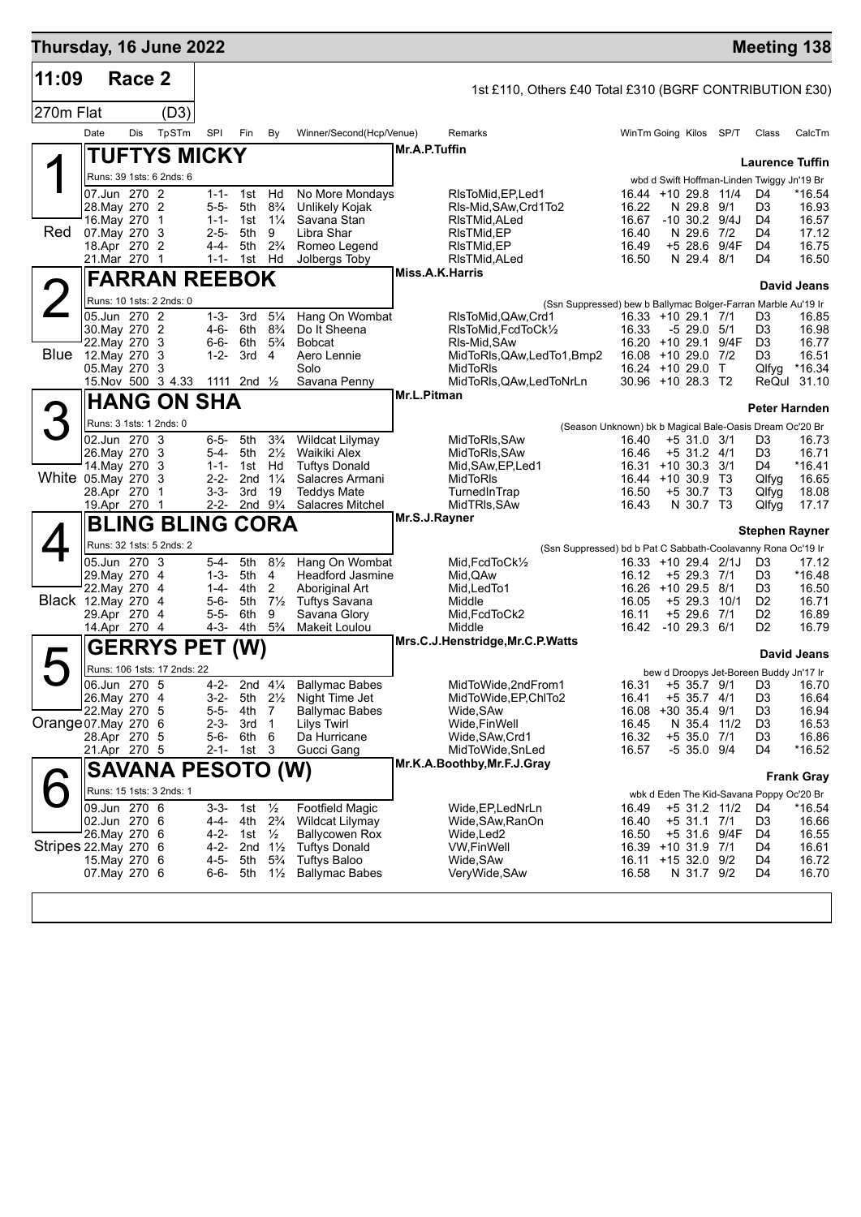| Thursday, 16 June 2022    |                                |        |                               |                        |                           |                                  |                                             |                 |                                                                                             |                                          |                                 |              |                                                                      | <b>Meeting 138</b>      |
|---------------------------|--------------------------------|--------|-------------------------------|------------------------|---------------------------|----------------------------------|---------------------------------------------|-----------------|---------------------------------------------------------------------------------------------|------------------------------------------|---------------------------------|--------------|----------------------------------------------------------------------|-------------------------|
| 11:09                     |                                | Race 2 |                               |                        |                           |                                  |                                             |                 | 1st £110, Others £40 Total £310 (BGRF CONTRIBUTION £30)                                     |                                          |                                 |              |                                                                      |                         |
| 270m Flat                 |                                |        | (D3)                          |                        |                           |                                  |                                             |                 |                                                                                             |                                          |                                 |              |                                                                      |                         |
|                           | Date                           | Dis    | TpSTm                         | SPI                    | Fin                       | By                               | Winner/Second(Hcp/Venue)                    |                 | Remarks                                                                                     | WinTm Going Kilos SP/T                   |                                 |              | Class                                                                | CalcTm                  |
|                           |                                |        | <b>TUFTYS MICKY</b>           |                        |                           |                                  |                                             | Mr.A.P.Tuffin   |                                                                                             |                                          |                                 |              |                                                                      |                         |
|                           |                                |        | Runs: 39 1sts: 6 2nds: 6      |                        |                           |                                  |                                             |                 |                                                                                             |                                          |                                 |              | <b>Laurence Tuffin</b><br>wbd d Swift Hoffman-Linden Twiggy Jn'19 Br |                         |
|                           | 07.Jun 270 2                   |        |                               |                        | 1-1- 1st                  | Hd                               | No More Mondays                             |                 | RIsToMid, EP, Led1                                                                          | 16.44 +10 29.8 11/4                      |                                 |              | D4                                                                   | *16.54                  |
|                           | 28. May 270 2<br>16. May 270   |        | $\mathbf{1}$                  | $5 - 5 -$              | 5th<br>$1 - 1 - 1$ st     | $8\frac{3}{4}$<br>$1\frac{1}{4}$ | Unlikely Kojak<br>Savana Stan               |                 | RIs-Mid, SAw, Crd1To2<br>RIsTMid,ALed                                                       | 16.22<br>16.67                           | N 29.8 9/1<br>$-10$ 30.2 $9/4J$ |              | D <sub>3</sub><br>D4                                                 | 16.93<br>16.57          |
| Red                       | 07. May 270 3                  |        |                               | $2 - 5 -$              | 5th                       | 9                                | Libra Shar                                  |                 | RIsTMid,EP                                                                                  | 16.40                                    | N 29.6 7/2                      |              | D4                                                                   | 17.12                   |
|                           | 18.Apr 270 2<br>21.Mar 270 1   |        |                               | $4 - 4 -$              | 5th<br>1-1- 1st Hd        | $2\frac{3}{4}$                   | Romeo Legend<br>Jolbergs Toby               |                 | RIsTMid,EP<br>RIsTMid, ALed                                                                 | 16.49<br>16.50                           | $+528.6$<br>N 29.4 8/1          | 9/4F         | D <sub>4</sub><br>D4                                                 | 16.75<br>16.50          |
|                           |                                |        | <b>FARRAN REEBOK</b>          |                        |                           |                                  |                                             | Miss.A.K.Harris |                                                                                             |                                          |                                 |              |                                                                      |                         |
|                           |                                |        | Runs: 10 1sts: 2 2nds: 0      |                        |                           |                                  |                                             |                 |                                                                                             |                                          |                                 |              |                                                                      | <b>David Jeans</b>      |
|                           | 05.Jun 270 2                   |        |                               | $1 - 3 -$              | 3rd                       | $5\frac{1}{4}$                   | Hang On Wombat                              |                 | (Ssn Suppressed) bew b Ballymac Bolger-Farran Marble Au'19 Ir<br>RIsToMid, QAw, Crd1        | 16.33 +10 29.1 7/1                       |                                 |              | D3                                                                   | 16.85                   |
|                           | 30. May 270 2<br>22. May 270 3 |        |                               | $4 - 6 -$<br>$6 - 6 -$ | 6th<br>6th                | $8\frac{3}{4}$<br>$5\frac{3}{4}$ | Do It Sheena<br><b>Bobcat</b>               |                 | RIsToMid, FcdToCk1/2<br>RIs-Mid, SAw                                                        | 16.33<br>16.20 +10 29.1 9/4F             | $-529.05/1$                     |              | D <sub>3</sub><br>D <sub>3</sub>                                     | 16.98<br>16.77          |
| <b>Blue</b> 12. May 270 3 |                                |        |                               | $1 - 2 -$              | 3rd <sub>4</sub>          |                                  | Aero Lennie                                 |                 | MidToRIs, QAw, LedTo1, Bmp2                                                                 | 16.08 +10 29.0 7/2                       |                                 |              | D <sub>3</sub>                                                       | 16.51                   |
|                           | 05. May 270 3                  |        | 15. Nov 500 3 4.33            |                        | 1111 2nd $\frac{1}{2}$    |                                  | Solo<br>Savana Penny                        |                 | MidToRIs<br>MidToRIs, QAw, LedToNrLn                                                        | $16.24 + 10.29.0$ T<br>30.96 +10 28.3 T2 |                                 |              | Qlfyg                                                                | $*16.34$<br>ReQul 31.10 |
|                           |                                |        | <b>HANG ON SHA</b>            |                        |                           |                                  |                                             | Mr.L.Pitman     |                                                                                             |                                          |                                 |              |                                                                      |                         |
| З                         |                                |        | Runs: 3 1sts: 1 2nds: 0       |                        |                           |                                  |                                             |                 |                                                                                             |                                          |                                 |              | Peter Harnden                                                        |                         |
|                           | 02.Jun 270 3                   |        |                               | 6-5-                   | 5th                       | $3\frac{3}{4}$                   | <b>Wildcat Lilymay</b>                      |                 | (Season Unknown) bk b Magical Bale-Oasis Dream Oc'20 Br<br>MidToRIs, SAw                    | 16.40                                    | $+5$ 31.0 3/1                   |              | D3                                                                   | 16.73                   |
|                           | 26. May 270 3                  |        |                               | 5-4-                   | 5th                       | $2\frac{1}{2}$                   | Waikiki Alex                                |                 | MidToRIs, SAw                                                                               | 16.46                                    | $+5$ 31.2 4/1                   |              | D <sub>3</sub>                                                       | 16.71                   |
| White 05.May 270          | 14. May 270 3                  |        | -3                            | $1 - 1 -$<br>$2 - 2 -$ | 1st<br>2 <sub>nd</sub>    | Hd<br>$1\frac{1}{4}$             | <b>Tuftys Donald</b><br>Salacres Armani     |                 | Mid, SAw, EP, Led 1<br>MidToRIs                                                             | 16.31 +10 30.3 3/1<br>16.44 +10 30.9 T3  |                                 |              | D4<br>Qlfyq                                                          | *16.41<br>16.65         |
|                           | 28.Apr 270                     |        | $\mathbf 1$                   | $3 - 3 -$              | 3rd                       | 19                               | <b>Teddys Mate</b>                          |                 | TurnedInTrap                                                                                | 16.50                                    | +5 30.7 T3                      |              | Qlfyg                                                                | 18.08                   |
|                           | 19.Apr 270                     |        | -1<br><b>BLING BLING CORA</b> | $2 - 2 -$              |                           | 2nd $9\frac{1}{4}$               | Salacres Mitchel                            | Mr.S.J.Rayner   | MidTRIs, SAw                                                                                | 16.43                                    | N 30.7 T3                       |              | Qlfyg                                                                | 17.17                   |
|                           |                                |        |                               |                        |                           |                                  |                                             |                 |                                                                                             |                                          |                                 |              | <b>Stephen Rayner</b>                                                |                         |
|                           | 05.Jun 270 3                   |        | Runs: 32 1sts: 5 2nds: 2      | 5-4-                   | 5th                       | $8\frac{1}{2}$                   | Hang On Wombat                              |                 | (Ssn Suppressed) bd b Pat C Sabbath-Coolavanny Rona Oc'19 Ir<br>Mid, FcdToCk <sup>1/2</sup> | 16.33 +10 29.4 2/1J                      |                                 |              | D3                                                                   | 17.12                   |
|                           | 29. May 270 4                  |        |                               | $1 - 3 -$              | 5th                       | 4                                | <b>Headford Jasmine</b>                     |                 | Mid, QAw                                                                                    | 16.12                                    | $+5$ 29.3 7/1                   |              | D <sub>3</sub>                                                       | *16.48                  |
| <b>Black</b> 12. May 270  | 22. May 270                    |        | -4<br>-4                      | 1-4-<br>5-6-           | 4th<br>5th                | 2<br>$7\frac{1}{2}$              | Aboriginal Art<br>Tuftys Savana             |                 | Mid, LedTo1<br>Middle                                                                       | 16.26 +10 29.5 8/1<br>16.05              | $+5$ 29.3                       | 10/1         | D3<br>D <sub>2</sub>                                                 | 16.50<br>16.71          |
|                           | 29.Apr 270 4                   |        |                               | $5 - 5 -$              | 6th                       | 9                                | Savana Glory                                |                 | Mid, FcdToCk2                                                                               | 16.11                                    | +5 29.6                         | 7/1          | D <sub>2</sub>                                                       | 16.89                   |
|                           | 14.Apr 270 4                   |        |                               | 4-3-                   | 4th                       | $5\frac{3}{4}$                   | Makeit Loulou                               |                 | Middle<br>Mrs.C.J.Henstridge, Mr.C.P.Watts                                                  | 16.42                                    | $-10$ 29.3 $6/1$                |              | D2                                                                   | 16.79                   |
| $\blacktriangleright$     |                                |        | <b>GERRYS PET</b>             |                        | (W)                       |                                  |                                             |                 |                                                                                             |                                          |                                 |              |                                                                      | David Jeans             |
|                           | 06.Jun 270 5                   |        | Runs: 106 1sts: 17 2nds: 22   | 4-2-                   |                           | 2nd $4\frac{1}{4}$               | <b>Ballymac Babes</b>                       |                 | MidToWide,2ndFrom1                                                                          | 16.31                                    |                                 | +5 35.7 9/1  | bew d Droopys Jet-Boreen Buddy Jn'17 Ir<br>D3                        | 16.70                   |
|                           | 26. May 270 4                  |        |                               | $3 - 2 -$              | 5th                       | $2\frac{1}{2}$                   | Night Time Jet                              |                 | MidToWide, EP, ChITo2                                                                       | 16.41                                    | $+5$ 35.7 4/1                   |              | D <sub>3</sub>                                                       | 16.64                   |
| Orange 07. May 270 6      | 22. May 270 5                  |        |                               | 5-5-<br>2-3-           | 4th<br>3rd                | 7<br>$\overline{1}$              | <b>Ballymac Babes</b><br>Lilys Twirl        |                 | Wide,SAw<br>Wide,FinWell                                                                    | 16.08<br>16.45                           | +30 35.4 9/1<br>N 35.4 11/2     |              | D <sub>3</sub><br>D <sub>3</sub>                                     | 16.94<br>16.53          |
|                           | 28.Apr 270 5                   |        |                               | 5-6-                   | 6th                       | 6                                | Da Hurricane                                |                 | Wide, SAw, Crd1                                                                             | 16.32                                    | +5 35.0 7/1                     |              | D <sub>3</sub>                                                       | 16.86                   |
|                           | 21.Apr 270 5                   |        |                               | $2 - 1 -$              | 1st                       | - 3                              | Gucci Gang                                  |                 | MidToWide,SnLed<br>Mr.K.A.Boothby, Mr.F.J.Gray                                              | 16.57                                    | $-5$ 35.0 $9/4$                 |              | D4                                                                   | *16.52                  |
|                           |                                |        | <b>SAVANA PESOTO (W)</b>      |                        |                           |                                  |                                             |                 |                                                                                             |                                          |                                 |              |                                                                      | <b>Frank Gray</b>       |
|                           |                                |        | Runs: 15 1sts: 3 2nds: 1      |                        |                           |                                  |                                             |                 |                                                                                             |                                          |                                 |              | wbk d Eden The Kid-Savana Poppy Oc'20 Br                             |                         |
|                           | 09.Jun 270 6<br>02.Jun 270 6   |        |                               | $3 - 3 -$<br>4-4-      | 1st<br>4th                | $\frac{1}{2}$<br>$2\frac{3}{4}$  | <b>Footfield Magic</b><br>Wildcat Lilymay   |                 | Wide, EP, LedNrLn<br>Wide, SAw, RanOn                                                       | 16.49<br>16.40                           | +5 31.1 7/1                     | +5 31.2 11/2 | D4<br>D <sub>3</sub>                                                 | *16.54<br>16.66         |
|                           | 26. May 270 6                  |        |                               | 4-2-                   | 1st $\frac{1}{2}$         |                                  | <b>Ballycowen Rox</b>                       |                 | Wide,Led2                                                                                   | 16.50                                    |                                 | +5 31.6 9/4F | D4                                                                   | 16.55                   |
| Stripes 22. May 270 6     | 15. May 270 6                  |        |                               | $4 - 2 -$<br>$4 - 5 -$ | 2nd $1\frac{1}{2}$<br>5th | $5\frac{3}{4}$                   | <b>Tuftys Donald</b><br><b>Tuftys Baloo</b> |                 | <b>VW,FinWell</b><br>Wide, SAw                                                              | 16.39 +10 31.9 7/1<br>16.11              | +15 32.0 9/2                    |              | D4<br>D4                                                             | 16.61<br>16.72          |
|                           | 07. May 270 6                  |        |                               | 6-6-                   | 5th                       | $1\frac{1}{2}$                   | <b>Ballymac Babes</b>                       |                 | VeryWide, SAw                                                                               | 16.58                                    | N 31.7 9/2                      |              | D4                                                                   | 16.70                   |
|                           |                                |        |                               |                        |                           |                                  |                                             |                 |                                                                                             |                                          |                                 |              |                                                                      |                         |
|                           |                                |        |                               |                        |                           |                                  |                                             |                 |                                                                                             |                                          |                                 |              |                                                                      |                         |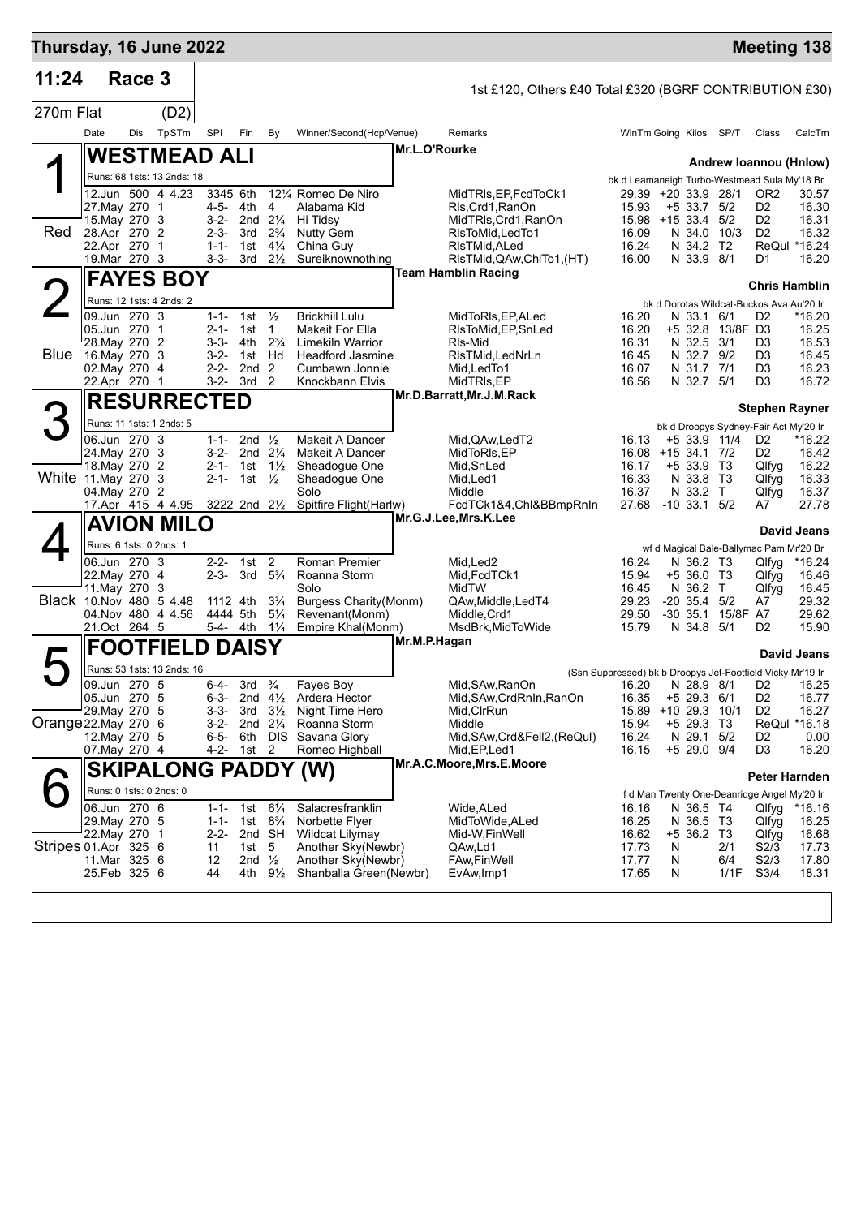| Thursday, 16 June 2022   |                                |        |                                        |                        |                                |                                         |                                            |               |                                                         |                |                                                                          |      |                                  | <b>Meeting 138</b>     |
|--------------------------|--------------------------------|--------|----------------------------------------|------------------------|--------------------------------|-----------------------------------------|--------------------------------------------|---------------|---------------------------------------------------------|----------------|--------------------------------------------------------------------------|------|----------------------------------|------------------------|
| 11:24                    |                                | Race 3 |                                        |                        |                                |                                         |                                            |               | 1st £120, Others £40 Total £320 (BGRF CONTRIBUTION £30) |                |                                                                          |      |                                  |                        |
| 270m Flat                |                                |        | (D2)                                   |                        |                                |                                         |                                            |               |                                                         |                |                                                                          |      |                                  |                        |
|                          | Date                           | Dis    | TpSTm                                  | SPI                    | Fin                            | By                                      | Winner/Second(Hcp/Venue)                   |               | Remarks                                                 |                | WinTm Going Kilos SP/T                                                   |      | Class                            | CalcTm                 |
|                          |                                |        | <b>WESTMEAD ALI</b>                    |                        |                                |                                         |                                            | Mr.L.O'Rourke |                                                         |                |                                                                          |      |                                  |                        |
|                          |                                |        | Runs: 68 1sts: 13 2nds: 18             |                        |                                |                                         |                                            |               |                                                         |                | bk d Leamaneigh Turbo-Westmead Sula My'18 Br                             |      |                                  | Andrew Ioannou (Hnlow) |
|                          |                                |        | 12.Jun 500 4 4.23                      | 3345 6th               |                                |                                         | 12¼ Romeo De Niro                          |               | MidTRIs, EP, FcdToCk1                                   |                | 29.39 +20 33.9 28/1                                                      |      | OR <sub>2</sub>                  | 30.57                  |
|                          | 27. May 270 1<br>15. May 270 3 |        |                                        | 3-2-                   | 4-5- 4th<br>2nd $2\frac{1}{4}$ | 4                                       | Alabama Kid<br>Hi Tidsy                    |               | Rls, Crd1, RanOn<br>MidTRIs, Crd1, RanOn                | 15.93          | $+5$ 33.7 $5/2$<br>15.98 +15 33.4 5/2                                    |      | D <sub>2</sub><br>D <sub>2</sub> | 16.30<br>16.31         |
| <b>Red</b>               | 28.Apr 270 2                   |        |                                        | 2-3-                   | 3rd                            | $2\frac{3}{4}$                          | <b>Nutty Gem</b>                           |               | RIsToMid, LedTo1                                        | 16.09          | N 34.0 10/3                                                              |      | D <sub>2</sub>                   | 16.32                  |
|                          | 22.Apr 270 1<br>19. Mar 270 3  |        |                                        | $1 - 1 -$<br>$3 - 3 -$ | 1st                            | $4\frac{1}{4}$<br>$3rd \t 2\frac{1}{2}$ | China Guy<br>Sureiknownothing              |               | RIsTMid, ALed<br>RIsTMid, QAw, ChITo 1, (HT)            | 16.24<br>16.00 | N 34.2 T2<br>N 33.9 8/1                                                  |      | D1                               | ReQul *16.24<br>16.20  |
|                          |                                |        | <b>FAYES BOY</b>                       |                        |                                |                                         |                                            |               | <b>Team Hamblin Racing</b>                              |                |                                                                          |      |                                  |                        |
|                          |                                |        | Runs: 12 1sts: 4 2nds: 2               |                        |                                |                                         |                                            |               |                                                         |                | bk d Dorotas Wildcat-Buckos Ava Au'20 Ir                                 |      | <b>Chris Hamblin</b>             |                        |
|                          | 09.Jun 270 3                   |        |                                        | $1 - 1 -$              | 1st $\frac{1}{2}$              |                                         | <b>Brickhill Lulu</b>                      |               | MidToRIs, EP, ALed                                      | 16.20          | N 33.1 6/1                                                               |      | D <sub>2</sub>                   | *16.20                 |
|                          | 05.Jun 270 1<br>28. May 270 2  |        |                                        | $2 - 1 -$<br>$3 - 3 -$ | 1st<br>4th                     | $\mathbf{1}$<br>$2\frac{3}{4}$          | Makeit For Ella<br><b>Limekiln Warrior</b> |               | RIsToMid, EP, SnLed<br>RIs-Mid                          | 16.20<br>16.31 | +5 32.8 13/8F D3<br>N 32.5 3/1                                           |      | D <sub>3</sub>                   | 16.25<br>16.53         |
| Blue                     | 16.May 270 3                   |        |                                        | $3 - 2 -$              | 1st                            | Hd                                      | <b>Headford Jasmine</b>                    |               | RIsTMid.LedNrLn                                         | 16.45          | N 32.7 9/2                                                               |      | D <sub>3</sub>                   | 16.45                  |
|                          | 02. May 270 4<br>22.Apr 270 1  |        |                                        | $2 - 2 -$<br>$3 - 2 -$ | 2nd<br>3rd                     | 2<br>$\overline{2}$                     | Cumbawn Jonnie<br>Knockbann Elvis          |               | Mid, Led To1<br>MidTRIs,EP                              | 16.07<br>16.56 | N 31.7 7/1<br>N 32.7 5/1                                                 |      | D3<br>D3                         | 16.23<br>16.72         |
|                          |                                |        | <b>RESURRECTED</b>                     |                        |                                |                                         |                                            |               | Mr.D.Barratt, Mr.J.M.Rack                               |                |                                                                          |      |                                  |                        |
| 3                        |                                |        | Runs: 11 1sts: 1 2nds: 5               |                        |                                |                                         |                                            |               |                                                         |                |                                                                          |      |                                  | <b>Stephen Rayner</b>  |
|                          | 06.Jun 270 3                   |        |                                        | $1 - 1 -$              | 2nd $\frac{1}{2}$              |                                         | Makeit A Dancer                            |               | Mid.QAw,LedT2                                           | 16.13          | bk d Droopys Sydney-Fair Act My'20 Ir<br>+5 33.9 11/4                    |      | D <sub>2</sub>                   | *16.22                 |
|                          | 24. May 270 3                  |        |                                        | $3-2-$                 |                                | 2nd $2\frac{1}{4}$                      | Makeit A Dancer                            |               | MidToRIs, EP                                            | 16.08          | +15 34.1 7/2                                                             |      | D <sub>2</sub>                   | 16.42                  |
| White 11 May 270         | 18. May 270 2                  |        | 3                                      | 2-1-<br>$2 - 1 -$      | 1st<br>1st                     | $1\frac{1}{2}$<br>$\frac{1}{2}$         | Sheadogue One<br>Sheadogue One             |               | Mid,SnLed<br>Mid, Led1                                  | 16.17<br>16.33 | $+533.9$ T3<br>N 33.8 T3                                                 |      | Qlfyg<br>Qlfyg                   | 16.22<br>16.33         |
|                          | 04.May 270 2                   |        |                                        |                        |                                |                                         | Solo<br>Spitfire Flight(Harlw)             |               | Middle<br>FcdTCk1&4,Chl&BBmpRnIn                        | 16.37<br>27.68 | N 33.2 T<br>$-10$ 33.1 $5/2$                                             |      | Qlfyg<br>A7                      | 16.37<br>27.78         |
|                          |                                |        | 17.Apr 415 4 4.95<br><b>AVION MILO</b> |                        | 3222 2nd 21/2                  |                                         |                                            |               | Mr.G.J.Lee,Mrs.K.Lee                                    |                |                                                                          |      |                                  |                        |
|                          |                                |        | Runs: 6 1sts: 0 2nds: 1                |                        |                                |                                         |                                            |               |                                                         |                |                                                                          |      |                                  | <b>David Jeans</b>     |
|                          | 06.Jun 270 3                   |        |                                        | $2 - 2 -$              | 1st                            | $\overline{2}$                          | Roman Premier                              |               | Mid, Led <sub>2</sub>                                   | 16.24          | wf d Magical Bale-Ballymac Pam Mr'20 Br<br>N 36.2 T3                     |      | Qlfyg                            | *16.24                 |
|                          | 22. May 270 4                  |        |                                        | $2 - 3 -$              | $3rd \quad 5\frac{3}{4}$       |                                         | Roanna Storm                               |               | Mid, FcdTCk1                                            | 15.94          | $+536.0$ T3                                                              |      | Qlfyg                            | 16.46                  |
| Black 10. Nov 480 5 4.48 | 11. May 270                    |        | -3                                     |                        | 1112 4th                       | $3\frac{3}{4}$                          | Solo<br><b>Burgess Charity(Monm)</b>       |               | MidTW<br>QAw, Middle, LedT4                             | 16.45<br>29.23 | N 36.2 T<br>$-20$ 35.4 $5/2$                                             |      | Qlfyg<br>A7                      | 16.45<br>29.32         |
|                          | 21.Oct 264 5                   |        | 04.Nov 480 4 4.56                      |                        | 4444 5th<br>5-4- 4th           | $5\frac{1}{4}$<br>$1\frac{1}{4}$        | Revenant(Monm)<br>Empire Khal(Monm)        |               | Middle, Crd1                                            | 29.50<br>15.79 | -30 35.1 15/8F A7<br>N 34.8 5/1                                          |      | D <sub>2</sub>                   | 29.62<br>15.90         |
|                          |                                |        |                                        |                        |                                |                                         |                                            | Mr.M.P.Hagan  | MsdBrk, MidToWide                                       |                |                                                                          |      |                                  |                        |
|                          |                                |        | <b>FOOTFIELD DAISY</b>                 |                        |                                |                                         |                                            |               |                                                         |                |                                                                          |      |                                  | <b>David Jeans</b>     |
|                          | 09.Jun 270 5                   |        | Runs: 53 1sts: 13 2nds: 16             | $6 - 4 -$              | 3rd                            | $\frac{3}{4}$                           | Fayes Boy                                  |               | Mid, SAw, RanOn                                         | 16.20          | (Ssn Suppressed) bk b Droopys Jet-Footfield Vicky Mr'19 Ir<br>N 28.9 8/1 |      | D <sub>2</sub>                   | 16.25                  |
|                          | 05.Jun 270 5                   |        |                                        | $6 - 3 -$              |                                |                                         | 2nd 41/ <sub>2</sub> Ardera Hector         |               | Mid, SAw, CrdRnIn, RanOn                                | 16.35          | $+5$ 29.3 6/1                                                            |      | D <sub>2</sub>                   | 16.77                  |
| Orange 22. May 270 6     | 29. May 270                    |        | -5                                     | $3 - 3 -$<br>$3 - 2 -$ | 3rd                            | $3\frac{1}{2}$<br>2nd $2\frac{1}{4}$    | Night Time Hero<br>Roanna Storm            |               | Mid, CIrRun<br>Middle                                   | 15.89<br>15.94 | +10 29.3 10/1<br>$+5$ 29.3 T3                                            |      | D <sub>2</sub>                   | 16.27<br>ReQul *16.18  |
|                          | 12. May 270 5                  |        |                                        | 6-5-                   |                                |                                         | 6th DIS Savana Glory                       |               | Mid, SAw, Crd&Fell2, (ReQul)                            | 16.24          | N 29.1 5/2                                                               |      | D <sub>2</sub>                   | 0.00                   |
|                          | 07. May 270 4                  |        |                                        | $4 - 2 -$              | 1st 2                          |                                         | Romeo Highball                             |               | Mid, EP, Led1<br>Mr.A.C.Moore, Mrs.E.Moore              | 16.15          | +5 29.0 9/4                                                              |      | D <sub>3</sub>                   | 16.20                  |
|                          |                                |        | <b>SKIPALONG PADDY (W)</b>             |                        |                                |                                         |                                            |               |                                                         |                |                                                                          |      |                                  | Peter Harnden          |
|                          | 06.Jun 270 6                   |        | Runs: 0 1sts: 0 2nds: 0                | $1 - 1 -$              | 1st                            | $6\frac{1}{4}$                          | Salacresfranklin                           |               | Wide, ALed                                              | 16.16          | f d Man Twenty One-Deanridge Angel My'20 Ir<br>N 36.5 T4                 |      | Qlfyg                            | *16.16                 |
|                          | 29. May 270 5                  |        |                                        | $1 - 1 -$              | 1st                            | $8\frac{3}{4}$                          | Norbette Flyer                             |               | MidToWide, ALed                                         | 16.25          | N 36.5 T3                                                                |      | Qlfyg                            | 16.25                  |
| Stripes 01.Apr 325 6     | 22.May 270                     |        | $\overline{1}$                         | $2 - 2 -$<br>11        | 1st                            | 2nd SH<br>5                             | Wildcat Lilymay<br>Another Sky(Newbr)      |               | Mid-W, Fin Well<br>QAw,Ld1                              | 16.62<br>17.73 | $+5$ 36.2 T3<br>N                                                        | 2/1  | Qlfyg<br>S2/3                    | 16.68<br>17.73         |
|                          | 11.Mar 325 6                   |        |                                        | 12                     | 2nd $\frac{1}{2}$              |                                         | Another Sky(Newbr)                         |               | <b>FAw,FinWell</b>                                      | 17.77          | N                                                                        | 6/4  | S2/3                             | 17.80                  |
|                          | 25.Feb 325 6                   |        |                                        | 44                     | 4th                            | $9\frac{1}{2}$                          | Shanballa Green(Newbr)                     |               | EvAw, Imp1                                              | 17.65          | N                                                                        | 1/1F | S3/4                             | 18.31                  |
|                          |                                |        |                                        |                        |                                |                                         |                                            |               |                                                         |                |                                                                          |      |                                  |                        |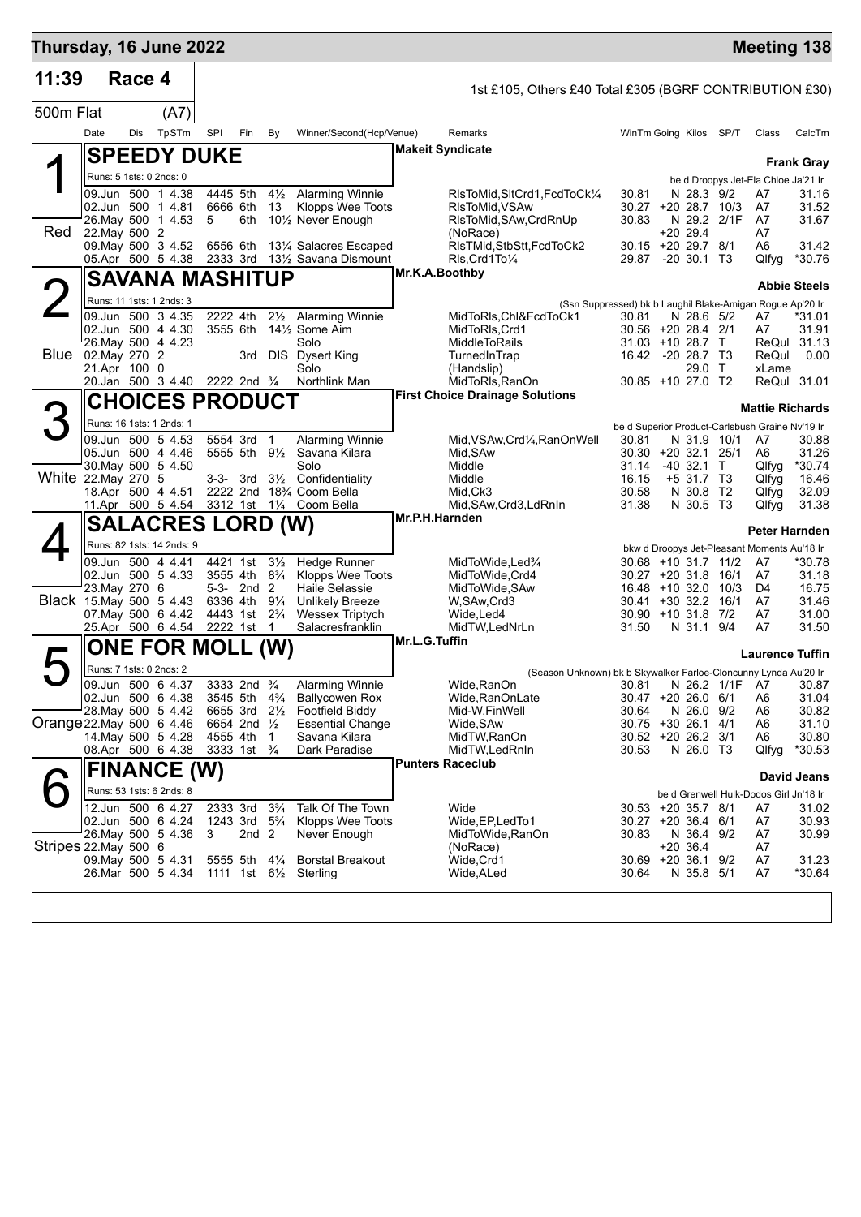| Thursday, 16 June 2022    |               |        |                                               |          |                                                      |                                  |                                                             |                |                                                                                    |                                            |                           | <b>Meeting 138</b>                              |                     |
|---------------------------|---------------|--------|-----------------------------------------------|----------|------------------------------------------------------|----------------------------------|-------------------------------------------------------------|----------------|------------------------------------------------------------------------------------|--------------------------------------------|---------------------------|-------------------------------------------------|---------------------|
| 11:39                     |               | Race 4 |                                               |          |                                                      |                                  |                                                             |                | 1st £105, Others £40 Total £305 (BGRF CONTRIBUTION £30)                            |                                            |                           |                                                 |                     |
| 500m Flat                 |               |        | (A7)                                          |          |                                                      |                                  |                                                             |                |                                                                                    |                                            |                           |                                                 |                     |
|                           | Date          | Dis    | TpSTm                                         | SPI      | Fin                                                  | By                               | Winner/Second(Hcp/Venue)                                    |                | Remarks                                                                            | WinTm Going Kilos SP/T                     |                           | Class                                           | CalcTm              |
|                           |               |        | <b>SPEEDY DUKE</b>                            |          |                                                      |                                  |                                                             |                | <b>Makeit Syndicate</b>                                                            |                                            |                           |                                                 |                     |
|                           |               |        | Runs: 5 1sts: 0 2nds: 0                       |          |                                                      |                                  |                                                             |                |                                                                                    |                                            |                           | be d Droopys Jet-Ela Chloe Ja'21 Ir             | <b>Frank Gray</b>   |
|                           |               |        | 09.Jun 500 1 4.38                             |          | 4445 5th                                             | $4\frac{1}{2}$                   | <b>Alarming Winnie</b>                                      |                | RIsToMid, SItCrd1, FcdToCk1/4                                                      | 30.81                                      | N 28.3 9/2                | A7                                              | 31.16               |
|                           |               |        | 02.Jun 500 1 4.81<br>26. May 500 1 4.53       | 5        | 6666 6th<br>6th                                      | 13                               | Klopps Wee Toots<br>101/ <sub>2</sub> Never Enough          |                | RIsToMid, VSAw<br>RIsToMid, SAw, CrdRnUp                                           | 30.27 +20 28.7 10/3<br>30.83               | N 29.2 2/1F               | A7<br>- A7                                      | 31.52<br>31.67      |
| Red                       | 22. May 500 2 |        |                                               |          |                                                      |                                  |                                                             |                | (NoRace)                                                                           |                                            | +20 29.4                  | A7                                              |                     |
|                           |               |        | 09. May 500 3 4.52<br>05.Apr 500 5 4.38       | 6556 6th |                                                      |                                  | 131/4 Salacres Escaped<br>2333 3rd 131/2 Savana Dismount    |                | RIsTMid, StbStt, FcdToCk2<br>RIs Crd1To1/4                                         | 30.15 +20 29.7 8/1<br>29.87 -20 30.1 T3    |                           | A6<br>Qlfyg                                     | 31.42<br>*30.76     |
|                           |               |        | <b>SAVANA MASHITUP</b>                        |          |                                                      |                                  |                                                             | Mr.K.A.Boothby |                                                                                    |                                            |                           |                                                 |                     |
|                           |               |        |                                               |          |                                                      |                                  |                                                             |                |                                                                                    |                                            |                           |                                                 | <b>Abbie Steels</b> |
|                           |               |        | Runs: 11 1sts: 1 2nds: 3<br>09.Jun 500 3 4.35 |          | 2222 4th                                             |                                  | 21/ <sub>2</sub> Alarming Winnie                            |                | (Ssn Suppressed) bk b Laughil Blake-Amigan Rogue Ap'20 Ir<br>MidToRIs,ChI&FcdToCk1 | 30.81                                      | N 28.6 5/2                | A7                                              | *31.01              |
|                           |               |        | 02.Jun 500 4 4.30                             |          | 3555 6th                                             |                                  | 14½ Some Aim                                                |                | MidToRIs, Crd1                                                                     | 30.56 +20 28.4 2/1                         |                           | A7                                              | 31.91               |
| Blue 02. May 270 2        |               |        | 26. May 500 4 4.23                            |          |                                                      |                                  | Solo<br>3rd DIS Dysert King                                 |                | <b>MiddleToRails</b><br>TurnedInTrap                                               | 31.03 +10 28.7 T<br>16.42 -20 28.7 T3      |                           | ReQul<br>ReQul                                  | 31.13<br>0.00       |
|                           | 21.Apr 100 0  |        |                                               |          |                                                      |                                  | Solo                                                        |                | (Handslip)                                                                         |                                            | 29.0 T                    | xLame                                           |                     |
|                           |               |        | 20.Jan 500 3 4.40 2222 2nd 3/4                |          |                                                      |                                  | Northlink Man                                               |                | MidToRIs, RanOn<br><b>First Choice Drainage Solutions</b>                          | 30.85 +10 27.0 T2                          |                           | ReQul 31.01                                     |                     |
|                           |               |        | <b>CHOICES PRODUCT</b>                        |          |                                                      |                                  |                                                             |                |                                                                                    |                                            |                           | <b>Mattie Richards</b>                          |                     |
| З                         |               |        | Runs: 16 1sts: 1 2nds: 1                      |          |                                                      |                                  |                                                             |                |                                                                                    |                                            |                           | be d Superior Product-Carlsbush Graine Nv'19 Ir |                     |
|                           |               |        | 09.Jun 500 5 4.53<br>05.Jun 500 4 4.46        |          | 5554 3rd<br>5555 5th 9½                              | $\overline{1}$                   | <b>Alarming Winnie</b><br>Savana Kilara                     |                | Mid, VSAw, Crd <sup>1</sup> / <sub>4</sub> , RanOn Well<br>Mid, SAw                | 30.81<br>30.30 +20 32.1 25/1               | N 31.9 10/1               | A7<br>A6                                        | 30.88<br>31.26      |
|                           |               |        | 30 May 500 5 4.50                             |          |                                                      |                                  | Solo                                                        |                | Middle                                                                             | 31.14                                      | $-40$ 32.1 T              | Qlfyg                                           | *30.74              |
| White 22. May 270 5       |               |        | 18.Apr 500 4 4.51                             |          | 3-3- 3rd                                             |                                  | 3 <sup>1/2</sup> Confidentiality<br>2222 2nd 18% Coom Bella |                | Middle<br>Mid,Ck3                                                                  | 16.15<br>30.58                             | $+5$ 31.7 T3<br>N 30.8 T2 | Qlfyg<br>Qlfyg                                  | 16.46<br>32.09      |
|                           |               |        | 11.Apr 500 5 4.54                             |          |                                                      |                                  | 3312 1st 11/4 Coom Bella                                    |                | Mid, SAw, Crd3, LdRnIn                                                             | 31.38                                      | N 30.5 T3                 | Qlfyg                                           | 31.38               |
|                           |               |        | <b>SALACRES LORD (W)</b>                      |          |                                                      |                                  |                                                             | Mr.P.H.Harnden |                                                                                    |                                            |                           | <b>Peter Harnden</b>                            |                     |
|                           |               |        | Runs: 82 1sts: 14 2nds: 9                     |          |                                                      |                                  |                                                             |                |                                                                                    |                                            |                           | bkw d Droopys Jet-Pleasant Moments Au'18 Ir     |                     |
|                           |               |        | 09.Jun 500 4 4.41                             |          | 4421 1st                                             | $3\frac{1}{2}$                   | <b>Hedge Runner</b>                                         |                | MidToWide, Led%                                                                    | 30.68 +10 31.7 11/2                        |                           | A7                                              | *30.78              |
|                           | 23. May 270 6 |        | 02.Jun 500 5 4.33                             |          | 3555 4th 8 <sup>3</sup> / <sub>4</sub><br>5-3- 2nd 2 |                                  | Klopps Wee Toots<br>Haile Selassie                          |                | MidToWide, Crd4<br>MidToWide, SAw                                                  | 30.27 +20 31.8 16/1<br>16.48 +10 32.0 10/3 |                           | A7<br>D4                                        | 31.18<br>16.75      |
| Black 15. May 500 5 4.43  |               |        |                                               |          | 6336 4th 91/4                                        |                                  | <b>Unlikely Breeze</b>                                      |                | W,SAw,Crd3                                                                         | 30.41 +30 32.2 16/1                        |                           | A7                                              | 31.46               |
|                           |               |        | 07. May 500 6 4.42<br>25.Apr 500 6 4.54       |          | 4443 1st 2 <sup>3</sup> / <sub>4</sub><br>2222 1st   | $\mathbf{1}$                     | <b>Wessex Triptych</b><br>Salacresfranklin                  |                | Wide,Led4<br>MidTW, LedNrLn                                                        | 30.90 +10 31.8 7/2<br>31.50                | N 31.1 9/4                | A7<br>A7                                        | 31.00<br>31.50      |
|                           |               |        | <b>ONE FOR MOLL (W)</b>                       |          |                                                      |                                  |                                                             | Mr.L.G.Tuffin  |                                                                                    |                                            |                           |                                                 |                     |
|                           |               |        | Runs: 7 1sts: 0 2nds: 2                       |          |                                                      |                                  |                                                             |                |                                                                                    |                                            |                           | <b>Laurence Tuffin</b>                          |                     |
|                           |               |        | 09.Jun 500 6 4.37                             |          | 3333 2nd <sup>3</sup> / <sub>4</sub>                 |                                  | Alarming Winnie                                             |                | (Season Unknown) bk b Skywalker Farloe-Cloncunny Lynda Au'20 Ir<br>Wide, RanOn     |                                            |                           | 30.81 N 26.2 1/1F A7 30.87                      |                     |
|                           |               |        | 02.Jun 500 6 4.38                             |          | 3545 5th 4 <sup>3</sup> / <sub>4</sub>               |                                  | <b>Ballycowen Rox</b>                                       |                | Wide, RanOnLate                                                                    | 30.47 +20 26.0 6/1                         |                           | A <sub>6</sub>                                  | 31.04               |
| Orange 22. May 500 6 4.46 |               |        | 28. May 500 5 4.42                            |          | 6655 3rd 21/2<br>6654 2nd 1/2                        |                                  | <b>Footfield Biddy</b><br><b>Essential Change</b>           |                | Mid-W, Fin Well<br>Wide, SAw                                                       | 30.64<br>30.75 +30 26.1 4/1                | N 26.0 9/2                | A6<br>A6                                        | 30.82<br>31.10      |
|                           |               |        | 14. May 500 5 4.28                            |          | 4555 4th                                             | $\overline{1}$                   | Savana Kilara                                               |                | MidTW, RanOn                                                                       | 30.52 +20 26.2 3/1                         |                           | A6                                              | 30.80               |
|                           |               |        | 08.Apr 500 6 4.38                             |          | 3333 1st <sup>3</sup> / <sub>4</sub>                 |                                  | Dark Paradise                                               |                | MidTW, LedRnIn<br><b>Punters Raceclub</b>                                          | 30.53                                      | N 26.0 T3                 | Qlfyg                                           | $*30.53$            |
|                           |               |        | <b>FINANCE (W)</b>                            |          |                                                      |                                  |                                                             |                |                                                                                    |                                            |                           |                                                 | David Jeans         |
|                           |               |        | Runs: 53 1sts: 6 2nds: 8                      |          |                                                      |                                  |                                                             |                |                                                                                    |                                            |                           | be d Grenwell Hulk-Dodos Girl Jn'18 Ir          |                     |
|                           |               |        | 12.Jun 500 6 4.27<br>02.Jun 500 6 4.24        |          | 2333 3rd<br>1243 3rd                                 | $3\frac{3}{4}$<br>$5\frac{3}{4}$ | Talk Of The Town<br>Klopps Wee Toots                        |                | Wide<br>Wide, EP, Led To 1                                                         | 30.53 +20 35.7 8/1<br>30.27 +20 36.4 6/1   |                           | A7<br>A7                                        | 31.02<br>30.93      |
|                           |               |        | 26. May 500 5 4.36                            | 3        | 2nd <sub>2</sub>                                     |                                  | Never Enough                                                |                | MidToWide, RanOn                                                                   | 30.83                                      | N 36.4 9/2                | A7                                              | 30.99               |
| Stripes 22. May 500 6     |               |        | 09. May 500 5 4.31                            |          | 5555 5th 41/4                                        |                                  | <b>Borstal Breakout</b>                                     |                | (NoRace)<br>Wide, Crd1                                                             | 30.69 +20 36.1 9/2                         | $+20.36.4$                | A7<br>A7                                        | 31.23               |
|                           |               |        | 26.Mar 500 5 4.34                             |          | 1111 1st 6 <sup>1</sup> / <sub>2</sub>               |                                  | Sterling                                                    |                | Wide, ALed                                                                         | 30.64                                      | N 35.8 5/1                | A7                                              | *30.64              |
|                           |               |        |                                               |          |                                                      |                                  |                                                             |                |                                                                                    |                                            |                           |                                                 |                     |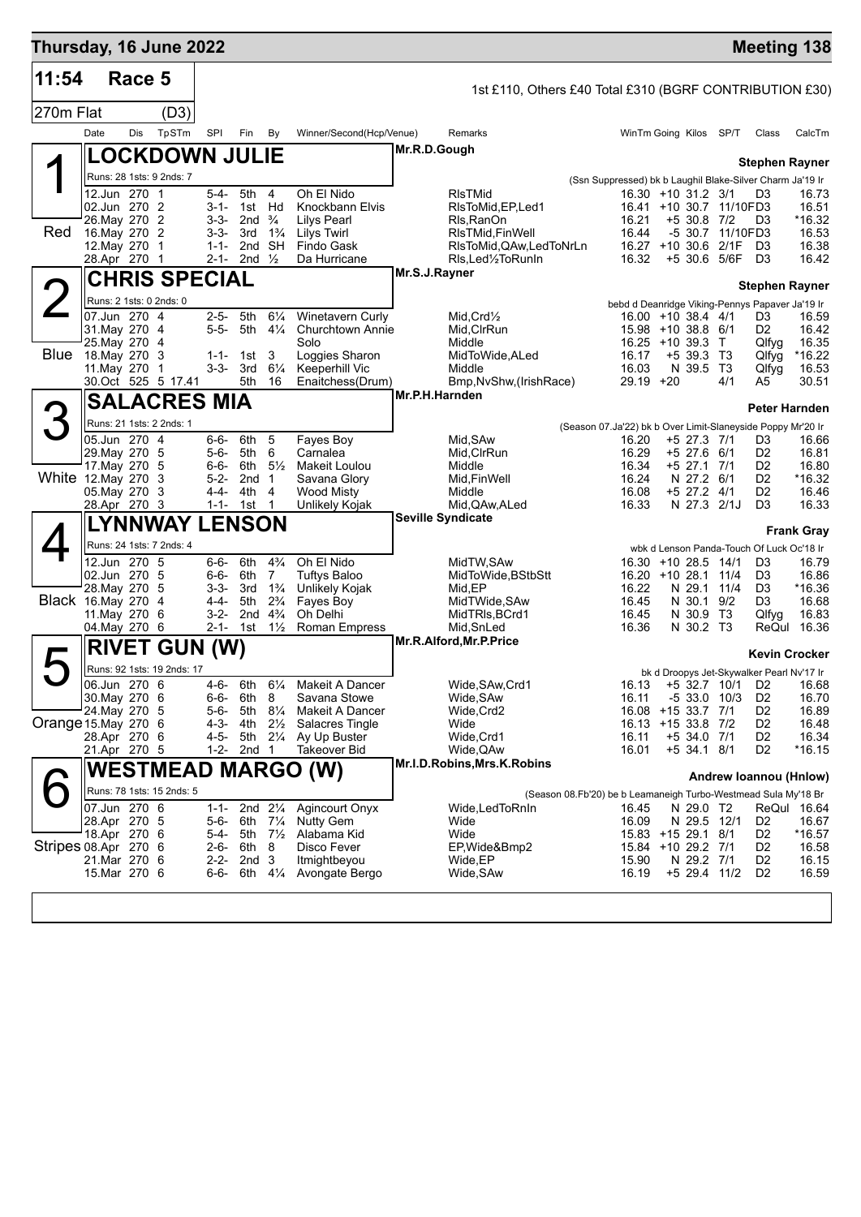| Thursday, 16 June 2022 |      |                                |                            |                        |                          |                                  |                                                    |                |                                                                |                                                                      |                                                                    |     | <b>Meeting 138</b>               |                      |
|------------------------|------|--------------------------------|----------------------------|------------------------|--------------------------|----------------------------------|----------------------------------------------------|----------------|----------------------------------------------------------------|----------------------------------------------------------------------|--------------------------------------------------------------------|-----|----------------------------------|----------------------|
| 11:54                  |      | Race 5                         |                            |                        |                          |                                  |                                                    |                | 1st £110, Others £40 Total £310 (BGRF CONTRIBUTION £30)        |                                                                      |                                                                    |     |                                  |                      |
| 270m Flat              |      |                                | (D3)                       |                        |                          |                                  |                                                    |                |                                                                |                                                                      |                                                                    |     |                                  |                      |
|                        | Date | Dis                            | TpSTm                      | SPI                    | Fin                      | By                               | Winner/Second(Hcp/Venue)                           |                | Remarks                                                        |                                                                      | WinTm Going Kilos SP/T                                             |     | Class                            | CalcTm               |
|                        |      |                                | <b>LOCKDOWN JULIE</b>      |                        |                          |                                  |                                                    | Mr.R.D.Gough   |                                                                |                                                                      |                                                                    |     |                                  |                      |
|                        |      |                                | Runs: 28 1sts: 9 2nds: 7   |                        |                          |                                  |                                                    |                |                                                                |                                                                      |                                                                    |     | <b>Stephen Rayner</b>            |                      |
|                        |      | 12.Jun 270 1                   |                            | 5-4-                   | 5th 4                    |                                  | Oh El Nido                                         |                | <b>RIsTMid</b>                                                 | (Ssn Suppressed) bk b Laughil Blake-Silver Charm Ja'19 Ir            | 16.30 +10 31.2 3/1                                                 |     | D3                               | 16.73                |
|                        |      | 02.Jun 270 2                   |                            | $3 - 1 -$              |                          | 1st Hd                           | Knockbann Elvis                                    |                | RIsToMid.EP.Led1                                               |                                                                      | 16.41 +10 30.7 11/10FD3                                            |     |                                  | 16.51                |
| Red                    |      | 26. May 270 2<br>16. May 270 2 |                            | 3-3-<br>3-3-           | 2nd $\frac{3}{4}$<br>3rd | $1\frac{3}{4}$                   | <b>Lilys Pearl</b><br>Lilys Twirl                  |                | Rls, RanOn<br>RIsTMid, FinWell                                 | 16.21<br>16.44                                                       | $+5$ 30.8 7/2<br>-5 30.7 11/10FD3                                  |     | D3                               | *16.32<br>16.53      |
|                        |      | 12. May 270 1                  |                            | $1 - 1 -$              | 2nd                      | SH                               | Findo Gask                                         |                | RIsToMid, QAw, LedToNrLn                                       |                                                                      | 16.27 +10 30.6 2/1F                                                |     | D <sub>3</sub>                   | 16.38                |
|                        |      | 28.Apr 270 1                   |                            | 2-1-                   | 2nd $\frac{1}{2}$        |                                  | Da Hurricane                                       | Mr.S.J.Rayner  | RIs, Led <sup>1</sup> / <sub>2</sub> To Run In                 | 16.32                                                                | +5 30.6 5/6F D3                                                    |     |                                  | 16.42                |
|                        |      |                                | <b>CHRIS SPECIAL</b>       |                        |                          |                                  |                                                    |                |                                                                |                                                                      |                                                                    |     | <b>Stephen Rayner</b>            |                      |
|                        |      |                                | Runs: 2 1sts: 0 2nds: 0    |                        |                          |                                  |                                                    |                |                                                                |                                                                      | bebd d Deanridge Viking-Pennys Papaver Ja'19 Ir                    |     |                                  |                      |
|                        |      | 07.Jun 270 4<br>31. May 270 4  |                            | $2 - 5 -$<br>$5 - 5 -$ | 5th<br>5th               | $6\frac{1}{4}$<br>$4\frac{1}{4}$ | <b>Winetavern Curly</b><br><b>Churchtown Annie</b> |                | $Mid.Crd\frac{1}{2}$<br>Mid.CIrRun                             |                                                                      | 16.00 +10 38.4 4/1<br>15.98 +10 38.8 6/1                           |     | D3<br>D2                         | 16.59<br>16.42       |
|                        |      | 25. May 270 4                  |                            |                        |                          |                                  | Solo                                               |                | Middle                                                         |                                                                      | $16.25 + 10.39.3$ T                                                |     | Qlfyg                            | 16.35                |
| <b>Blue</b>            |      | 18. May 270 3<br>11. May 270 1 |                            | $1 - 1 -$<br>$3 - 3 -$ | 1st                      | 3<br>$6\frac{1}{4}$              | Loggies Sharon                                     |                | MidToWide, ALed                                                | 16.17<br>16.03                                                       | $+5$ 39.3 T3<br>N 39.5 T3                                          |     | Qlfyg                            | *16.22               |
|                        |      |                                | 30.Oct 525 5 17.41         |                        | 3rd<br>5th               | 16                               | Keeperhill Vic<br>Enaitchess(Drum)                 |                | Middle<br>Bmp, NvShw, (Irish Race)                             | 29.19 +20                                                            |                                                                    | 4/1 | Qlfyg<br>A5                      | 16.53<br>30.51       |
|                        |      |                                | <b>SALACRES MIA</b>        |                        |                          |                                  |                                                    | Mr.P.H.Harnden |                                                                |                                                                      |                                                                    |     |                                  |                      |
| 3                      |      |                                | Runs: 21 1sts: 2 2nds: 1   |                        |                          |                                  |                                                    |                |                                                                |                                                                      |                                                                    |     | <b>Peter Harnden</b>             |                      |
|                        |      | 05.Jun 270 4                   |                            | 6-6-                   | 6th                      | 5                                | Fayes Boy                                          |                | Mid, SAw                                                       | (Season 07.Ja'22) bk b Over Limit-Slaneyside Poppy Mr'20 Ir<br>16.20 | $+5$ 27.3 7/1                                                      |     | D3                               | 16.66                |
|                        |      | 29. May 270 5                  |                            | 5-6-                   | 5th                      | 6                                | Carnalea                                           |                | Mid, CIrRun                                                    | 16.29                                                                | $+5$ 27.6 6/1                                                      |     | D2                               | 16.81                |
| White 12. May 270      |      | 17. May 270                    | -5                         | 6-6-                   | 6th                      | $5\frac{1}{2}$                   | Makeit Loulou                                      |                | Middle                                                         | 16.34<br>16.24                                                       | +5 27.1 7/1<br>N 27.2 6/1                                          |     | D2<br>D <sub>2</sub>             | 16.80<br>$*16.32$    |
|                        |      | 05.May 270 3                   | 3                          | $5 - 2 -$<br>4-4-      | 2 <sub>nd</sub><br>4th   | $\mathbf{1}$<br>4                | Savana Glory<br>Wood Misty                         |                | Mid, Fin Well<br>Middle                                        | 16.08                                                                | $+5$ 27.2 4/1                                                      |     | D <sub>2</sub>                   | 16.46                |
|                        |      | 28.Apr 270 3                   |                            | $1 - 1 -$              | 1st                      | $\mathbf{1}$                     | Unlikely Kojak                                     |                | Mid, QAw, ALed                                                 | 16.33                                                                | N 27.3 2/1J                                                        |     | D <sub>3</sub>                   | 16.33                |
|                        |      |                                | <b>LYNNWAY LENSON</b>      |                        |                          |                                  |                                                    |                | <b>Seville Syndicate</b>                                       |                                                                      |                                                                    |     |                                  | <b>Frank Gray</b>    |
|                        |      |                                | Runs: 24 1sts: 7 2nds: 4   |                        |                          |                                  |                                                    |                |                                                                |                                                                      | wbk d Lenson Panda-Touch Of Luck Oc'18 Ir                          |     |                                  |                      |
|                        |      | 12.Jun 270 5                   |                            | 6-6-                   | 6th                      | $4\frac{3}{4}$                   | Oh El Nido                                         |                | MidTW, SAw                                                     |                                                                      | 16.30 +10 28.5 14/1                                                |     | D3                               | 16.79                |
|                        |      | 02.Jun 270 5<br>28. May 270 5  |                            | 6-6-<br>3-3-           | 6th<br>3rd               | $\overline{7}$<br>$1\frac{3}{4}$ | <b>Tuftys Baloo</b><br>Unlikely Kojak              |                | MidToWide, BStbStt<br>Mid,EP                                   | 16.22                                                                | 16.20 +10 28.1 11/4<br>N 29.1 11/4                                 |     | D <sub>3</sub><br>D <sub>3</sub> | 16.86<br>*16.36      |
| Black 16. May 270 4    |      |                                |                            | 4-4-                   | 5th                      | $2\frac{3}{4}$                   | Fayes Boy                                          |                | MidTWide, SAw                                                  | 16.45                                                                | N 30.1 9/2                                                         |     | D3                               | 16.68                |
|                        |      | 11. May 270 6<br>04. May 270 6 |                            | 3-2-<br>$2 - 1 -$      | 2nd<br>1st               | $4\frac{3}{4}$<br>$1\frac{1}{2}$ | Oh Delhi<br>Roman Empress                          |                | MidTRIs, BCrd1<br>Mid, SnLed                                   | 16.45<br>16.36                                                       | N 30.9 T3<br>N 30.2 T3                                             |     | Qlfyg                            | 16.83<br>ReQul 16.36 |
|                        |      | <b>RIVET</b>                   |                            |                        |                          |                                  |                                                    |                | Mr.R.Alford, Mr.P.Price                                        |                                                                      |                                                                    |     |                                  |                      |
|                        |      |                                | <b>GUN</b>                 | (W)                    |                          |                                  |                                                    |                |                                                                |                                                                      |                                                                    |     |                                  | <b>Kevin Crocker</b> |
|                        |      | 06.Jun 270 6                   | Runs: 92 1sts: 19 2nds: 17 | $4-6-$                 | 6th                      |                                  | 6 <sup>1</sup> / <sub>4</sub> Makeit A Dancer      |                | Wide, SAw, Crd1                                                |                                                                      | bk d Droopys Jet-Skywalker Pearl Nv'17 Ir<br>16.13 +5 32.7 10/1 D2 |     |                                  | 16.68                |
|                        |      | 30. May 270 6                  |                            | $6 - 6 -$              | 6th                      | - 8                              | Savana Stowe                                       |                | Wide, SAw                                                      | 16.11                                                                | $-533.010/3$                                                       |     | D <sub>2</sub>                   | 16.70                |
|                        |      | 24. May 270 5                  |                            | $5 - 6 -$              | 5th                      | $8\frac{1}{4}$                   | Makeit A Dancer                                    |                | Wide, Crd2                                                     |                                                                      | 16.08 +15 33.7 7/1                                                 |     | D <sub>2</sub>                   | 16.89                |
| Orange 15 May 270 6    |      | 28.Apr 270 6                   |                            | $4 - 3 -$<br>4-5-      | 4th                      | $2\frac{1}{2}$<br>5th 21/4       | Salacres Tingle<br>Ay Up Buster                    |                | Wide<br>Wide, Crd1                                             | 16.11                                                                | 16.13 +15 33.8 7/2<br>$+5$ 34.0 7/1                                |     | D2<br>D <sub>2</sub>             | 16.48<br>16.34       |
|                        |      | 21.Apr 270 5                   |                            | 1-2-                   | 2nd <sub>1</sub>         |                                  | <b>Takeover Bid</b>                                |                | Wide, QAw                                                      | 16.01                                                                | $+5$ 34.1 8/1                                                      |     | D <sub>2</sub>                   | *16.15               |
|                        |      |                                |                            |                        |                          |                                  | <b>WESTMEAD MARGO (W)</b>                          |                | Mr.I.D.Robins, Mrs.K.Robins                                    |                                                                      |                                                                    |     |                                  |                      |
|                        |      |                                | Runs: 78 1sts: 15 2nds: 5  |                        |                          |                                  |                                                    |                | (Season 08.Fb'20) be b Leamaneigh Turbo-Westmead Sula My'18 Br |                                                                      |                                                                    |     | Andrew Ioannou (Hnlow)           |                      |
|                        |      | 07.Jun 270 6                   |                            | $1 - 1 -$              |                          | 2nd $2\frac{1}{4}$               | Agincourt Onyx                                     |                | Wide,LedToRnIn                                                 | 16.45                                                                | N 29.0 T2                                                          |     |                                  | ReQul 16.64          |
|                        |      | 28.Apr 270 5                   |                            | $5 - 6 -$              | 6th                      | $7\frac{1}{4}$                   | <b>Nutty Gem</b>                                   |                | Wide                                                           | 16.09                                                                | N 29.5 12/1                                                        |     | D <sub>2</sub>                   | 16.67                |
| Stripes 08.Apr 270 6   |      | 18.Apr 270 6                   |                            | 5-4-<br>$2 - 6 -$      | 5th<br>6th               | $7\frac{1}{2}$<br>8              | Alabama Kid<br>Disco Fever                         |                | Wide<br>EP, Wide&Bmp2                                          |                                                                      | 15.83 +15 29.1 8/1<br>15.84 +10 29.2 7/1                           |     | D <sub>2</sub><br>D <sub>2</sub> | *16.57<br>16.58      |
|                        |      | 21.Mar 270 6                   |                            | $2 - 2 -$              | 2nd                      | 3                                | Itmightbeyou                                       |                | Wide,EP                                                        | 15.90                                                                | N 29.2 7/1                                                         |     | D <sub>2</sub>                   | 16.15                |
|                        |      | 15.Mar 270 6                   |                            | 6-6-                   | 6th                      | $4\frac{1}{4}$                   | Avongate Bergo                                     |                | Wide, SAw                                                      | 16.19                                                                | +5 29.4 11/2                                                       |     | D <sub>2</sub>                   | 16.59                |
|                        |      |                                |                            |                        |                          |                                  |                                                    |                |                                                                |                                                                      |                                                                    |     |                                  |                      |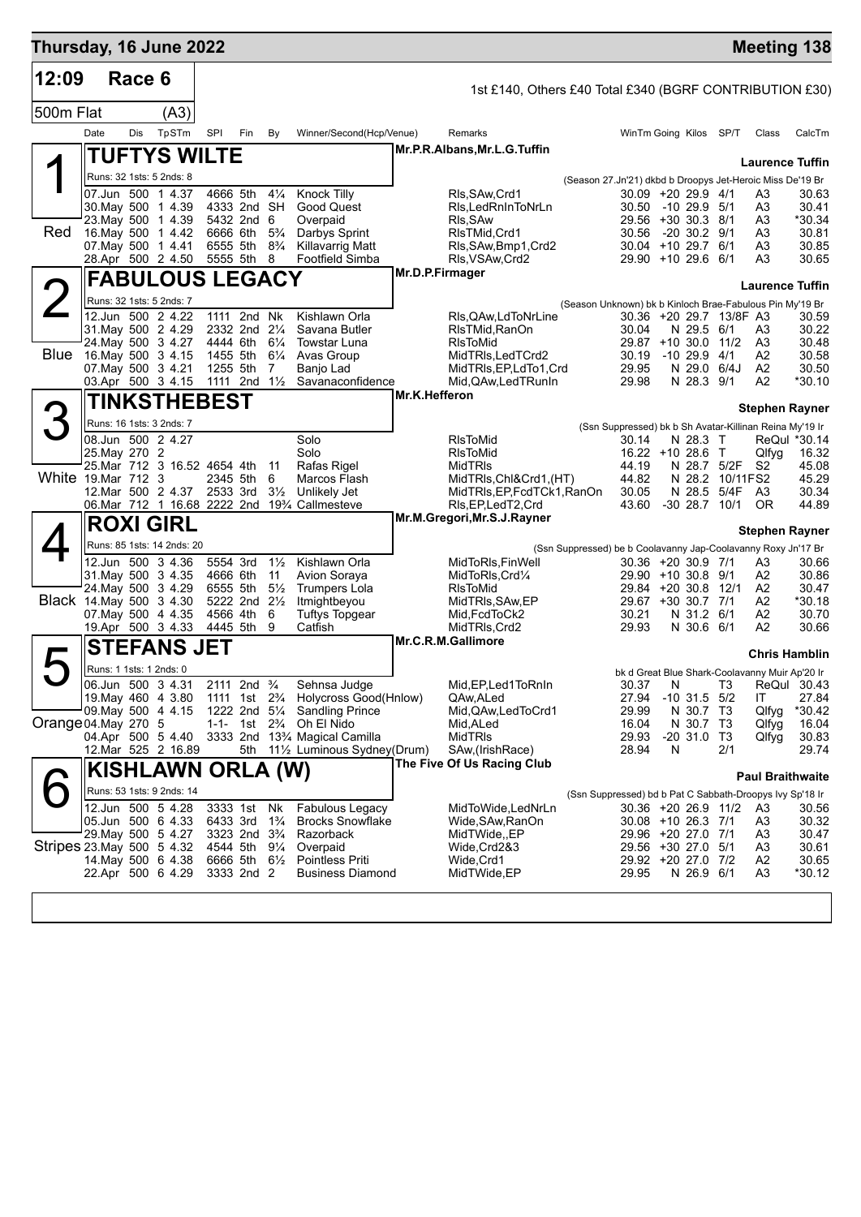| Thursday, 16 June 2022    |               |        |                                               |                         |                                                    |                                  |                                                                                               |                 |                                                         |                                                               |                                            |   |                               |                         | <b>Meeting 138</b>                                      |                       |
|---------------------------|---------------|--------|-----------------------------------------------|-------------------------|----------------------------------------------------|----------------------------------|-----------------------------------------------------------------------------------------------|-----------------|---------------------------------------------------------|---------------------------------------------------------------|--------------------------------------------|---|-------------------------------|-------------------------|---------------------------------------------------------|-----------------------|
| 12:09                     |               | Race 6 |                                               |                         |                                                    |                                  |                                                                                               |                 | 1st £140, Others £40 Total £340 (BGRF CONTRIBUTION £30) |                                                               |                                            |   |                               |                         |                                                         |                       |
| 500m Flat                 |               |        | (A3)                                          |                         |                                                    |                                  |                                                                                               |                 |                                                         |                                                               |                                            |   |                               |                         |                                                         |                       |
|                           | Date          | Dis    | TpSTm                                         | <b>SPI</b>              | Fin                                                | By                               | Winner/Second(Hcp/Venue)                                                                      |                 | Remarks                                                 |                                                               | WinTm Going Kilos SP/T                     |   |                               |                         | Class                                                   | CalcTm                |
|                           |               |        | TUFTYS WILTE                                  |                         |                                                    |                                  |                                                                                               |                 | Mr.P.R.Albans, Mr.L.G.Tuffin                            |                                                               |                                            |   |                               |                         |                                                         |                       |
|                           |               |        | Runs: 32 1sts: 5 2nds: 8                      |                         |                                                    |                                  |                                                                                               |                 |                                                         | (Season 27.Jn'21) dkbd b Droopys Jet-Heroic Miss De'19 Br     |                                            |   |                               |                         | <b>Laurence Tuffin</b>                                  |                       |
|                           |               |        | 07.Jun 500 1 4.37                             |                         | 4666 5th                                           | $4\frac{1}{4}$                   | Knock Tilly                                                                                   |                 | RIs, SAw, Crd1                                          |                                                               | 30.09 +20 29.9 4/1                         |   |                               |                         | A3                                                      | 30.63                 |
|                           |               |        | 30. May 500 1 4.39<br>23. May 500 1 4.39      |                         | 4333 2nd SH<br>5432 2nd 6                          |                                  | Good Quest<br>Overpaid                                                                        |                 | RIs, Led RnIn To NrLn<br>RIs, SAw                       |                                                               | 30.50 -10 29.9 5/1<br>29.56 +30 30.3 8/1   |   |                               |                         | A3<br>A3                                                | 30.41<br>*30.34       |
| Red                       |               |        | 16. May 500 1 4.42                            |                         | 6666 6th                                           | $5\frac{3}{4}$                   | Darbys Sprint                                                                                 |                 | RIsTMid, Crd1                                           |                                                               | 30.56                                      |   | -20 30.2 9/1                  |                         | A3                                                      | 30.81                 |
|                           |               |        | 07 May 500 1 4.41<br>28.Apr 500 2 4.50        |                         | 6555 5th<br>5555 5th                               | $8\frac{3}{4}$<br>8              | <b>Killavarrig Matt</b><br>Footfield Simba                                                    |                 | RIs, SAw, Bmp1, Crd2<br>RIs, VSAw, Crd2                 |                                                               | $30.04$ +10 29.7 6/1<br>29.90 +10 29.6 6/1 |   |                               |                         | A <sub>3</sub><br>A <sub>3</sub>                        | 30.85<br>30.65        |
|                           |               |        | <b>FABULOUS LEGACY</b>                        |                         |                                                    |                                  |                                                                                               | Mr.D.P.Firmager |                                                         |                                                               |                                            |   |                               |                         |                                                         |                       |
|                           |               |        | Runs: 32 1sts: 5 2nds: 7                      |                         |                                                    |                                  |                                                                                               |                 |                                                         |                                                               |                                            |   |                               |                         | <b>Laurence Tuffin</b>                                  |                       |
|                           |               |        | 12.Jun 500 2 4.22                             |                         | 1111 2nd Nk                                        |                                  | Kishlawn Orla                                                                                 |                 | RIs, QAw, Ld ToNrLine                                   | (Season Unknown) bk b Kinloch Brae-Fabulous Pin My'19 Br      | 30.36 +20 29.7 13/8F A3                    |   |                               |                         |                                                         | 30.59                 |
|                           |               |        | 31. May 500 2 4.29                            |                         | 2332 2nd 21/4                                      |                                  | Savana Butler                                                                                 |                 | RIsTMid, RanOn                                          |                                                               | 30.04                                      |   | N 29.5 6/1                    |                         | A3                                                      | 30.22                 |
| <b>Blue</b>               |               |        | 24. May 500 3 4.27<br>16.May 500 3 4.15       | 1455 5th                | 4444 6th                                           | $6\frac{1}{4}$<br>$6\frac{1}{4}$ | <b>Towstar Luna</b><br>Avas Group                                                             |                 | <b>RIsToMid</b><br>MidTRIs, LedTCrd2                    |                                                               | 29.87 +10 30.0 11/2<br>30.19               |   | $-1029.94/1$                  |                         | A3<br>A <sub>2</sub>                                    | 30.48<br>30.58        |
|                           |               |        | 07. May 500 3 4.21                            |                         | 1255 5th                                           | 7                                | Banjo Lad                                                                                     |                 | MidTRIs, EP, LdTo1, Crd                                 |                                                               | 29.95                                      |   | N 29.0 6/4J                   |                         | A2                                                      | 30.50                 |
|                           |               |        | 03.Apr 500 3 4.15                             | 1111 2nd $1\frac{1}{2}$ |                                                    |                                  | Savanaconfidence                                                                              | Mr.K.Hefferon   | Mid, QAw, Led TRunIn                                    |                                                               | 29.98                                      |   | N 28.3 9/1                    |                         | A2                                                      | $*30.10$              |
| 3                         |               |        | TINKSTHEBEST                                  |                         |                                                    |                                  |                                                                                               |                 |                                                         |                                                               |                                            |   |                               |                         | <b>Stephen Rayner</b>                                   |                       |
|                           |               |        | Runs: 16 1sts: 3 2nds: 7<br>08.Jun 500 2 4.27 |                         |                                                    |                                  | Solo                                                                                          |                 |                                                         |                                                               |                                            |   |                               |                         | (Ssn Suppressed) bk b Sh Avatar-Killinan Reina My'19 Ir |                       |
|                           | 25. May 270 2 |        |                                               |                         |                                                    |                                  | Solo                                                                                          |                 | <b>RIsToMid</b><br><b>RIsToMid</b>                      |                                                               | 30.14<br>$16.22 + 10.28.6$ T               |   | N 28.3 T                      |                         | Qlfyg                                                   | ReQul *30.14<br>16.32 |
| White 19.Mar 712 3        |               |        | 25. Mar 712 3 16.52 4654 4th                  |                         |                                                    | 11                               | Rafas Rigel                                                                                   |                 | <b>MidTRIs</b>                                          |                                                               | 44.19                                      |   |                               | N 28.7 5/2F             | S2                                                      | 45.08                 |
|                           |               |        | 12.Mar 500 2 4.37                             |                         | 2345 5th<br>2533 3rd                               | 6<br>$3\frac{1}{2}$              | Marcos Flash<br>Unlikely Jet                                                                  |                 | MidTRIs, Chl&Crd1, (HT)<br>MidTRIs, EP, FcdTCk1, RanOn  |                                                               | 44.82<br>30.05                             |   | N 28.5                        | N 28.2 10/11FS2<br>5/4F | A <sub>3</sub>                                          | 45.29<br>30.34        |
|                           |               |        |                                               |                         |                                                    |                                  | 06. Mar 712 1 16.68 2222 2nd 1934 Callmesteve                                                 |                 | RIs, EP, Led T2, Crd                                    |                                                               | 43.60                                      |   | $-30$ 28.7 $10/1$             |                         | <b>OR</b>                                               | 44.89                 |
|                           |               |        | <b>ROXI GIRL</b>                              |                         |                                                    |                                  |                                                                                               |                 | Mr.M.Gregori, Mr.S.J.Rayner                             |                                                               |                                            |   |                               |                         | <b>Stephen Rayner</b>                                   |                       |
|                           |               |        | Runs: 85 1sts: 14 2nds: 20                    |                         |                                                    |                                  |                                                                                               |                 |                                                         | (Ssn Suppressed) be b Coolavanny Jap-Coolavanny Roxy Jn'17 Br |                                            |   |                               |                         |                                                         |                       |
|                           |               |        | 12.Jun 500 3 4.36<br>31. May 500 3 4.35       |                         | 5554 3rd<br>4666 6th                               | $1\frac{1}{2}$<br>11             | Kishlawn Orla<br>Avion Soraya                                                                 |                 | MidToRIs, FinWell<br>MidToRIs, Crd1/4                   |                                                               | 30.36 +20 30.9 7/1<br>29.90 +10 30.8 9/1   |   |                               |                         | A3<br>A <sub>2</sub>                                    | 30.66<br>30.86        |
|                           |               |        | 24. May 500 3 4.29                            |                         | 6555 5th                                           | $5\frac{1}{2}$                   | <b>Trumpers Lola</b>                                                                          |                 | <b>RIsToMid</b>                                         |                                                               | 29.84 +20 30.8 12/1                        |   |                               |                         | A2                                                      | 30.47                 |
|                           |               |        | Black 14. May 500 3 4.30<br>07 May 500 4 4.35 |                         | 5222 2nd 21/2<br>4566 4th                          | 6                                | Itmightbeyou<br><b>Tuftys Topgear</b>                                                         |                 | MidTRIs, SAw, EP<br>Mid, FcdToCk2                       |                                                               | 29.67 +30 30.7 7/1<br>30.21                |   | N 31.2 6/1                    |                         | A2<br>A2                                                | *30.18<br>30.70       |
|                           |               |        | 19.Apr 500 3 4.33                             |                         | 4445 5th                                           | 9                                | Catfish                                                                                       |                 | MidTRIs, Crd2                                           |                                                               | 29.93                                      |   | N 30.6 6/1                    |                         | A2                                                      | 30.66                 |
|                           |               |        | <b>STEFANS JET</b>                            |                         |                                                    |                                  |                                                                                               |                 | Mr.C.R.M.Gallimore                                      |                                                               |                                            |   |                               |                         | <b>Chris Hamblin</b>                                    |                       |
|                           |               |        | Runs: 1 1sts: 1 2nds: 0                       |                         |                                                    |                                  |                                                                                               |                 |                                                         |                                                               |                                            |   |                               |                         | bk d Great Blue Shark-Coolavanny Muir Ap'20 Ir          |                       |
|                           |               |        | 06.Jun 500 3 4.31<br>19. May 460 4 3.80       |                         | 2111 2nd <sup>3</sup> / <sub>4</sub>               |                                  | Sehnsa Judge                                                                                  |                 | Mid, EP, Led 1 To Rn In                                 |                                                               | 30.37 N                                    |   |                               |                         |                                                         | ReQui 30.43           |
|                           |               |        | 09. May 500 4 4.15                            |                         |                                                    |                                  | 1111 1st 2 <sup>3</sup> / <sub>4</sub> Holycross Good(Hnlow)<br>1222 2nd 51/4 Sandling Prince |                 | QAw, ALed<br>Mid, QAw, Led To Crd1                      |                                                               | 27.94<br>29.99                             |   | $-10$ 31.5 $5/2$<br>N 30.7 T3 |                         | IT<br>Qlfyg                                             | 27.84<br>*30.42       |
| Orange 04. May 270 5      |               |        |                                               |                         |                                                    |                                  | 1-1- 1st 2 <sup>3</sup> / <sub>4</sub> Oh El Nido                                             |                 | Mid,ALed                                                |                                                               | 16.04                                      |   | N 30.7 T3                     |                         | Qlfyg                                                   | 16.04                 |
|                           |               |        | 04.Apr 500 5 4.40<br>12. Mar 525 2 16.89      |                         |                                                    |                                  | 3333 2nd 133⁄4 Magical Camilla<br>5th 11½ Luminous Sydney(Drum)                               |                 | MidTRIs<br>SAw, (Irish Race)                            |                                                               | 29.93<br>28.94                             | N | $-20$ 31.0 T3                 | 2/1                     | Qlfyg                                                   | 30.83<br>29.74        |
|                           |               |        | KISHLAWN ORLA (W)                             |                         |                                                    |                                  |                                                                                               |                 | The Five Of Us Racing Club                              |                                                               |                                            |   |                               |                         |                                                         |                       |
|                           |               |        | Runs: 53 1sts: 9 2nds: 14                     |                         |                                                    |                                  |                                                                                               |                 |                                                         |                                                               |                                            |   |                               |                         | <b>Paul Braithwaite</b>                                 |                       |
|                           |               |        | 12.Jun 500 5 4.28                             |                         | 3333 1st                                           | Nk                               | Fabulous Legacy                                                                               |                 | MidToWide, LedNrLn                                      | (Ssn Suppressed) bd b Pat C Sabbath-Droopys Ivy Sp'18 Ir      | 30.36 +20 26.9 11/2                        |   |                               |                         | A3                                                      | 30.56                 |
|                           |               |        | 05.Jun 500 6 4.33                             |                         | 6433 3rd                                           | $1\frac{3}{4}$                   | <b>Brocks Snowflake</b>                                                                       |                 | Wide, SAw, RanOn                                        |                                                               | 30.08 +10 26.3 7/1                         |   |                               |                         | A3                                                      | 30.32                 |
| Stripes 23 May 500 5 4.32 |               |        | 29. May 500 5 4.27                            |                         | 3323 2nd 3 <sup>3</sup> / <sub>4</sub><br>4544 5th | $9\frac{1}{4}$                   | Razorback<br>Overpaid                                                                         |                 | MidTWide,,EP<br>Wide, Crd2&3                            |                                                               | 29.96 +20 27.0 7/1<br>29.56 +30 27.0 5/1   |   |                               |                         | A3<br>A3                                                | 30.47<br>30.61        |
|                           |               |        | 14 May 500 6 4.38                             |                         | 6666 5th                                           | $6\frac{1}{2}$                   | <b>Pointless Priti</b>                                                                        |                 | Wide,Crd1                                               |                                                               | 29.92 +20 27.0 7/2                         |   |                               |                         | A2                                                      | 30.65                 |
|                           |               |        | 22.Apr 500 6 4.29                             |                         | 3333 2nd 2                                         |                                  | Business Diamond                                                                              |                 | MidTWide, EP                                            |                                                               | 29.95                                      |   | N 26.9 6/1                    |                         | A <sub>3</sub>                                          | $*30.12$              |
|                           |               |        |                                               |                         |                                                    |                                  |                                                                                               |                 |                                                         |                                                               |                                            |   |                               |                         |                                                         |                       |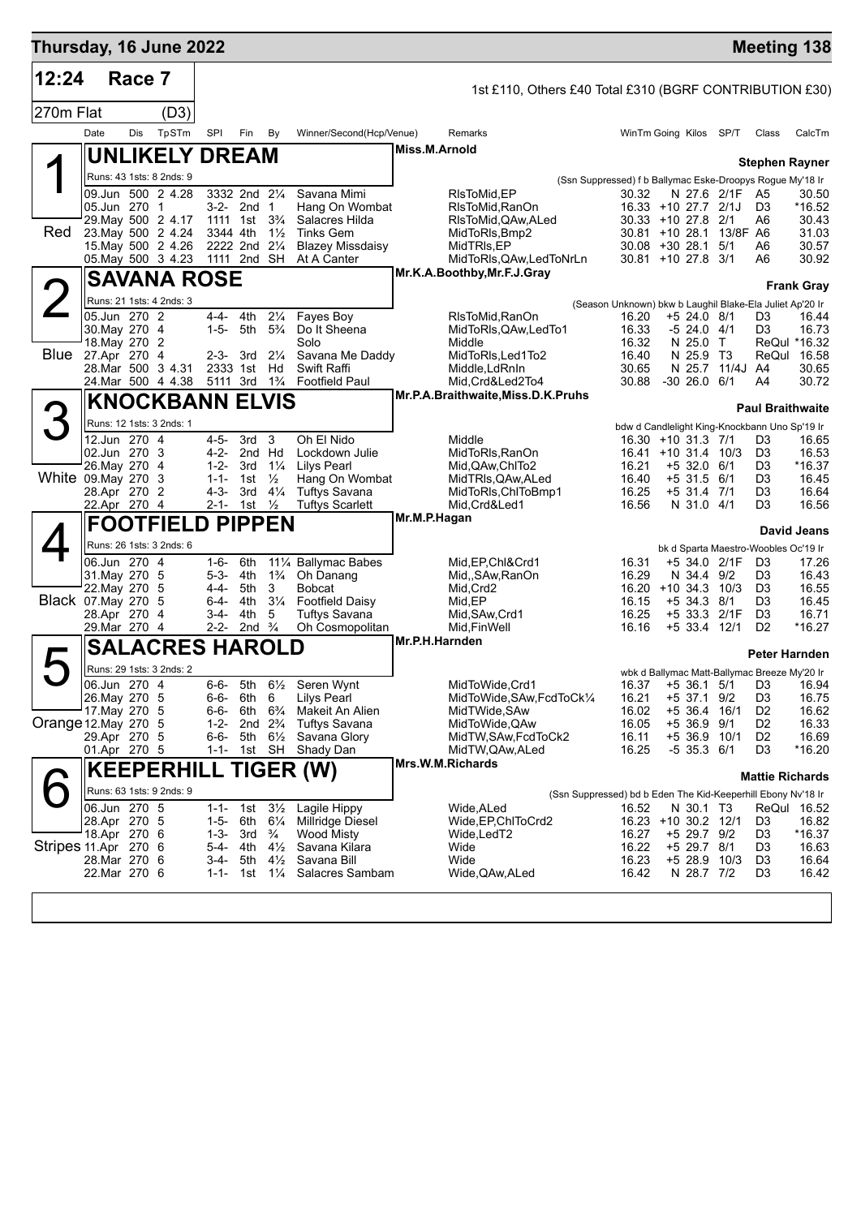| Thursday, 16 June 2022 |                                |        |                                          |                        |                                                      |                                  |                                                |                |                                                         |                                                                   |                              |                         |                                              | <b>Meeting 138</b>      |
|------------------------|--------------------------------|--------|------------------------------------------|------------------------|------------------------------------------------------|----------------------------------|------------------------------------------------|----------------|---------------------------------------------------------|-------------------------------------------------------------------|------------------------------|-------------------------|----------------------------------------------|-------------------------|
| 12:24                  |                                | Race 7 |                                          |                        |                                                      |                                  |                                                |                | 1st £110, Others £40 Total £310 (BGRF CONTRIBUTION £30) |                                                                   |                              |                         |                                              |                         |
| 270m Flat              |                                |        | (D3)                                     |                        |                                                      |                                  |                                                |                |                                                         |                                                                   |                              |                         |                                              |                         |
|                        | Date                           | Dis    | TpSTm                                    | SPI                    | Fin                                                  | By                               | Winner/Second(Hcp/Venue)                       |                | Remarks                                                 | WinTm Going Kilos SP/T                                            |                              |                         | Class                                        | CalcTm                  |
|                        |                                |        | <b>UNLIKELY DREAM</b>                    |                        |                                                      |                                  |                                                | Miss.M.Arnold  |                                                         |                                                                   |                              |                         |                                              |                         |
|                        |                                |        | Runs: 43 1sts: 8 2nds: 9                 |                        |                                                      |                                  |                                                |                |                                                         | (Ssn Suppressed) f b Ballymac Eske-Droopys Rogue My'18 Ir         |                              |                         |                                              | <b>Stephen Rayner</b>   |
|                        |                                |        | 09.Jun 500 2 4.28                        |                        | 3332 2nd 21/4                                        |                                  | Savana Mimi                                    |                | RIsToMid, EP                                            | 30.32                                                             |                              | N 27.6 2/1F A5          |                                              | 30.50                   |
|                        | 05.Jun 270 1                   |        | 29. May 500 2 4.17                       |                        | 3-2- 2nd 1<br>1111 1st 3 <sup>3</sup> / <sub>4</sub> |                                  | Hang On Wombat<br>Salacres Hilda               |                | RIsToMid, RanOn<br>RIsToMid, QAw, ALed                  | 16.33 +10 27.7 2/1J<br>30.33 +10 27.8 2/1                         |                              |                         | D <sub>3</sub><br>A6                         | *16.52<br>30.43         |
| <b>Red</b>             |                                |        | 23. May 500 2 4.24                       | 3344 4th               |                                                      | $1\frac{1}{2}$                   | <b>Tinks Gem</b>                               |                | MidToRIs, Bmp2                                          |                                                                   |                              | 30.81 +10 28.1 13/8F A6 |                                              | 31.03                   |
|                        |                                |        | 15. May 500 2 4.26<br>05. May 500 3 4.23 |                        | 2222 2nd 21/4<br>1111 2nd SH                         |                                  | <b>Blazey Missdaisy</b><br>At A Canter         |                | MidTRIs, EP<br>MidToRIs, QAw, LedToNrLn                 | $30.08 + 30.28.1$<br>$30.81 + 10.27.8$ 3/1                        |                              | 5/1                     | A6<br>A6                                     | 30.57<br>30.92          |
|                        |                                |        | <b>SAVANA ROSE</b>                       |                        |                                                      |                                  |                                                |                | Mr.K.A.Boothby, Mr.F.J.Gray                             |                                                                   |                              |                         |                                              |                         |
|                        |                                |        |                                          |                        |                                                      |                                  |                                                |                |                                                         |                                                                   |                              |                         |                                              | <b>Frank Gray</b>       |
|                        | 05.Jun 270 2                   |        | Runs: 21 1sts: 4 2nds: 3                 | 4-4-                   | 4th                                                  | $2\frac{1}{4}$                   | Fayes Boy                                      |                | RIsToMid,RanOn                                          | (Season Unknown) bkw b Laughil Blake-Ela Juliet Ap'20 Ir<br>16.20 | $+5$ 24.0 8/1                |                         | D3                                           | 16.44                   |
|                        | 30. May 270 4                  |        |                                          | $1 - 5 -$              | 5th 5 <sup>3</sup> / <sub>4</sub>                    |                                  | Do It Sheena                                   |                | MidToRIs, QAw, LedTo1                                   | 16.33                                                             | -5 24.0 4/1                  |                         | D <sub>3</sub>                               | 16.73                   |
| Blue 27.Apr 270 4      | 18. May 270 2                  |        |                                          |                        | $2-3-3rd$                                            | $2\frac{1}{4}$                   | Solo<br>Savana Me Daddy                        |                | Middle<br>MidToRIs, Led1To2                             | 16.32<br>16.40                                                    | N 25.0 T<br>N 25.9 T3        |                         | ReQul                                        | ReQul *16.32<br>16.58   |
|                        |                                |        | 28. Mar 500 3 4.31                       |                        | 2333 1st                                             | Hd                               | Swift Raffi                                    |                | Middle, LdRnIn                                          | 30.65                                                             | N 25.7                       | 11/4J A4                |                                              | 30.65                   |
|                        |                                |        | 24.Mar 500 4 4.38                        |                        | 5111 3rd                                             | $1\frac{3}{4}$                   | <b>Footfield Paul</b>                          |                | Mid, Crd&Led2To4<br>Mr.P.A.Braithwaite, Miss.D.K.Pruhs  | 30.88 -30 26.0 6/1                                                |                              |                         | A4                                           | 30.72                   |
| 3                      |                                |        | <b>KNOCKBANN ELVIS</b>                   |                        |                                                      |                                  |                                                |                |                                                         |                                                                   |                              |                         |                                              | <b>Paul Braithwaite</b> |
|                        |                                |        | Runs: 12 1sts: 3 2nds: 1                 |                        |                                                      |                                  |                                                |                |                                                         | bdw d Candlelight King-Knockbann Uno Sp'19 Ir                     |                              |                         |                                              |                         |
|                        | 12.Jun 270 4<br>02.Jun 270 3   |        |                                          | $4 - 5 -$              | 3rd<br>4-2- 2nd Hd                                   | 3                                | Oh El Nido<br>Lockdown Julie                   |                | Middle<br>MidToRIs, RanOn                               | 16.30 +10 31.3 7/1<br>16.41 +10 31.4                              |                              | 10/3                    | D3<br>D <sub>3</sub>                         | 16.65<br>16.53          |
|                        | 26. May 270 4                  |        |                                          | $1 - 2 -$              | 3rd                                                  | $1\frac{1}{4}$                   | <b>Lilys Pearl</b>                             |                | Mid, QAw, ChITo 2                                       | 16.21                                                             | $+5$ 32.0 6/1                |                         | D <sub>3</sub>                               | $*16.37$                |
| White 09. May 270 3    | 28.Apr 270 2                   |        |                                          | $1 - 1 -$<br>4-3-      | 1st<br>3rd                                           | $\frac{1}{2}$<br>$4\frac{1}{4}$  | Hang On Wombat<br><b>Tuftys Savana</b>         |                | MidTRIs, QAw, ALed<br>MidToRIs, ChIToBmp1               | 16.40<br>16.25                                                    | $+5$ 31.5 6/1<br>+5 31.4 7/1 |                         | D <sub>3</sub><br>D <sub>3</sub>             | 16.45<br>16.64          |
|                        | 22.Apr 270 4                   |        |                                          |                        | 2-1- 1st                                             | $\frac{1}{2}$                    | <b>Tuftys Scarlett</b>                         |                | Mid, Crd&Led1                                           | 16.56                                                             | N 31.0 4/1                   |                         | D <sub>3</sub>                               | 16.56                   |
|                        |                                |        | <b>FOOTFIELD PIPPEN</b>                  |                        |                                                      |                                  |                                                | Mr.M.P.Hagan   |                                                         |                                                                   |                              |                         |                                              | <b>David Jeans</b>      |
|                        |                                |        | Runs: 26 1sts: 3 2nds: 6                 |                        |                                                      |                                  |                                                |                |                                                         |                                                                   |                              |                         | bk d Sparta Maestro-Woobles Oc'19 Ir         |                         |
|                        | 06.Jun 270 4<br>31. May 270 5  |        |                                          | 1-6-<br>5-3-           | 6th<br>4th                                           | $1\frac{3}{4}$                   | 111/4 Ballymac Babes<br>Oh Danang              |                | Mid, EP, Chl&Crd1<br>Mid,, SAw, RanOn                   | 16.31<br>16.29                                                    | N 34.4                       | +5 34.0 2/1F<br>9/2     | D <sub>3</sub><br>D <sub>3</sub>             | 17.26<br>16.43          |
|                        | 22. May 270 5                  |        |                                          | 4-4-                   | 5th                                                  | 3                                | <b>Bobcat</b>                                  |                | Mid, Crd2                                               | 16.20 +10 34.3 10/3                                               |                              |                         | D <sub>3</sub>                               | 16.55                   |
| Black 07. May 270 5    | 28.Apr 270 4                   |        |                                          | 6-4-<br>3-4-           | 4th<br>4th                                           | $3\frac{1}{4}$<br>5              | <b>Footfield Daisy</b><br><b>Tuftys Savana</b> |                | Mid,EP<br>Mid, SAw, Crd1                                | 16.15<br>16.25                                                    | $+5$ 34.3                    | 8/1<br>+5 33.3 2/1F     | D <sub>3</sub><br>D <sub>3</sub>             | 16.45<br>16.71          |
|                        | 29.Mar 270 4                   |        |                                          | $2 - 2 -$              | 2nd $\frac{3}{4}$                                    |                                  | Oh Cosmopolitan                                |                | Mid, Fin Well                                           | 16.16                                                             | $+5$ 33.4                    | 12/1                    | D <sub>2</sub>                               | *16.27                  |
|                        |                                |        | <b>SALACRES HAROLD</b>                   |                        |                                                      |                                  |                                                | Mr.P.H.Harnden |                                                         |                                                                   |                              |                         |                                              | Peter Harnden           |
|                        |                                |        | Runs: 29 1sts: 3 2nds: 2                 |                        |                                                      |                                  |                                                |                |                                                         |                                                                   |                              |                         | wbk d Ballymac Matt-Ballymac Breeze My'20 Ir |                         |
|                        | 06.Jun 270 4                   |        |                                          | $6 - 6 -$              | 5th                                                  |                                  | 61/ <sub>2</sub> Seren Wynt                    |                | MidToWide, Crd1                                         |                                                                   |                              | 16.37 +5 36.1 5/1       | D <sub>3</sub>                               | 16.94                   |
|                        | 26. May 270 5<br>17. May 270 5 |        |                                          | $6 - 6 -$<br>6-6-      | 6th 6<br>6th                                         | $6\frac{3}{4}$                   | <b>Lilys Pearl</b><br>Makeit An Alien          |                | MidToWide, SAw, FcdToCk1/4<br>MidTWide, SAw             | 16.21<br>16.02                                                    | +5 37.1 9/2                  | +5 36.4 16/1            | D <sub>3</sub><br>D <sub>2</sub>             | 16.75<br>16.62          |
| Orange 12. May 270 5   |                                |        |                                          | $1 - 2 -$              | 2nd $2\frac{3}{4}$                                   |                                  | <b>Tuftys Savana</b>                           |                | MidToWide, QAw                                          | 16.05                                                             | $+5.36.9$                    | 9/1                     | D <sub>2</sub>                               | 16.33                   |
|                        | 29.Apr 270 5<br>01.Apr 270 5   |        |                                          | 6-6-<br>$1 - 1 -$      | 5th 6½                                               | 1st SH                           | Savana Glory<br>Shady Dan                      |                | MidTW, SAw, FcdToCk2<br>MidTW, QAw, ALed                | 16.11<br>16.25                                                    | $-5$ 35.3 $6/1$              | +5 36.9 10/1            | D <sub>2</sub><br>D <sub>3</sub>             | 16.69<br>*16.20         |
|                        |                                |        |                                          |                        |                                                      |                                  | <b>KEEPERHILL TIGER (W)</b>                    |                | Mrs.W.M.Richards                                        |                                                                   |                              |                         |                                              |                         |
|                        |                                |        | Runs: 63 1sts: 9 2nds: 9                 |                        |                                                      |                                  |                                                |                |                                                         | (Ssn Suppressed) bd b Eden The Kid-Keeperhill Ebony Nv'18 Ir      |                              |                         |                                              | <b>Mattie Richards</b>  |
|                        | 06.Jun 270 5                   |        |                                          | $1 - 1 -$              | 1st                                                  | $3\frac{1}{2}$                   | Lagile Hippy                                   |                | Wide,ALed                                               | 16.52                                                             | N 30.1 T3                    |                         |                                              | ReQui 16.52             |
|                        | 28.Apr 270 5<br>18.Apr 270 6   |        |                                          | $1 - 5 -$<br>$1 - 3 -$ | 6th<br>3rd                                           | $6\frac{1}{4}$<br>$\frac{3}{4}$  | Millridge Diesel<br><b>Wood Misty</b>          |                | Wide, EP, ChITo Crd2<br>Wide,LedT2                      | 16.23 +10 30.2 12/1<br>16.27                                      | +5 29.7 9/2                  |                         | D <sub>3</sub><br>D <sub>3</sub>             | 16.82<br>$*16.37$       |
| Stripes 11.Apr 270 6   |                                |        |                                          | $5 - 4 -$              | 4th                                                  | $4\frac{1}{2}$                   | Savana Kilara                                  |                | Wide                                                    | 16.22                                                             | +5 29.7 8/1                  |                         | D <sub>3</sub>                               | 16.63                   |
|                        | 28.Mar 270 6<br>22.Mar 270 6   |        |                                          | $3-4-$<br>$1 - 1 -$    | 5th<br>1st                                           | $4\frac{1}{2}$<br>$1\frac{1}{4}$ | Savana Bill<br>Salacres Sambam                 |                | Wide<br>Wide, QAw, ALed                                 | 16.23<br>16.42                                                    | N 28.7 7/2                   | +5 28.9 10/3            | D <sub>3</sub><br>D <sub>3</sub>             | 16.64<br>16.42          |
|                        |                                |        |                                          |                        |                                                      |                                  |                                                |                |                                                         |                                                                   |                              |                         |                                              |                         |
|                        |                                |        |                                          |                        |                                                      |                                  |                                                |                |                                                         |                                                                   |                              |                         |                                              |                         |
|                        |                                |        |                                          |                        |                                                      |                                  |                                                |                |                                                         |                                                                   |                              |                         |                                              |                         |

<u> 1980 - Johann Barbara, martin amerikan basar da</u>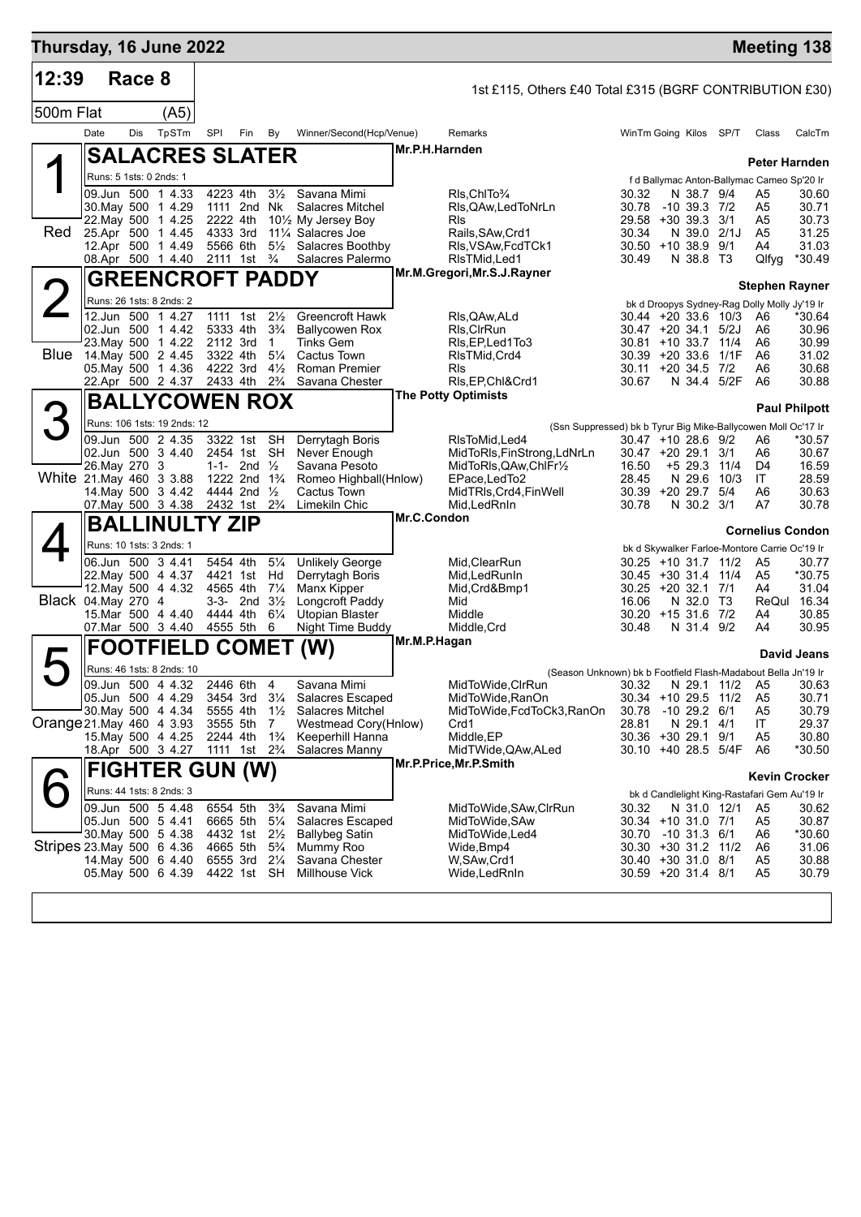| Thursday, 16 June 2022    |                         |        |                                                        |                                        |                            |                                  |                                                                   |                |                                                                                    |                                           |                           |                | <b>Meeting 138</b>                                                       |                      |
|---------------------------|-------------------------|--------|--------------------------------------------------------|----------------------------------------|----------------------------|----------------------------------|-------------------------------------------------------------------|----------------|------------------------------------------------------------------------------------|-------------------------------------------|---------------------------|----------------|--------------------------------------------------------------------------|----------------------|
| 12:39                     |                         | Race 8 |                                                        |                                        |                            |                                  |                                                                   |                | 1st £115, Others £40 Total £315 (BGRF CONTRIBUTION £30)                            |                                           |                           |                |                                                                          |                      |
| 500m Flat                 |                         |        | (A5)                                                   |                                        |                            |                                  |                                                                   |                |                                                                                    |                                           |                           |                |                                                                          |                      |
|                           | Date                    | Dis    | TpSTm                                                  | SPI                                    | Fin                        | By                               | Winner/Second(Hcp/Venue)                                          |                | Remarks                                                                            | WinTm Going Kilos SP/T                    |                           |                | Class                                                                    | CalcTm               |
|                           |                         |        | <b>SALACRES SLATER</b>                                 |                                        |                            |                                  |                                                                   | Mr.P.H.Harnden |                                                                                    |                                           |                           |                |                                                                          |                      |
|                           | Runs: 5 1sts: 0 2nds: 1 |        |                                                        |                                        |                            |                                  |                                                                   |                |                                                                                    |                                           |                           |                | Peter Harnden                                                            |                      |
|                           |                         |        | 09.Jun 500 1 4.33                                      | 4223 4th                               |                            | $3\frac{1}{2}$                   | Savana Mimi                                                       |                | RIs, Chito 3/4                                                                     | 30.32                                     | N 38.7 9/4                |                | f d Ballymac Anton-Ballymac Cameo Sp'20 Ir<br>A <sub>5</sub>             | 30.60                |
|                           |                         |        | 30. May 500 1 4.29                                     | 1111 2nd Nk                            |                            |                                  | <b>Salacres Mitchel</b>                                           |                | RIs, QAw, Led ToNrLn                                                               | 30.78                                     | $-10$ 39.3 $7/2$          |                | A5                                                                       | 30.71                |
| Red                       |                         |        | 22. May 500 1 4.25<br>25.Apr 500 1 4.45                | 2222 4th<br>4333 3rd                   |                            |                                  | 101/ <sub>2</sub> My Jersey Boy<br>111/ <sub>4</sub> Salacres Joe |                | <b>RIs</b><br>Rails, SAw, Crd1                                                     | 29.58 +30 39.3 3/1<br>30.34               | N 39.0 2/1J               |                | A5<br>A <sub>5</sub>                                                     | 30.73<br>31.25       |
|                           |                         |        | 12.Apr 500 1 4.49                                      | 5566 6th                               |                            | $5\frac{1}{2}$                   | Salacres Boothby                                                  |                | RIs, VSAw, FcdTCk1                                                                 | $30.50 + 10.38.9$                         |                           | 9/1            | A4                                                                       | 31.03                |
|                           |                         |        | 08.Apr 500 1 4.40 2111 1st <sup>3</sup> / <sub>4</sub> |                                        |                            |                                  | Salacres Palermo                                                  |                | RIsTMid, Led1<br>Mr.M.Gregori, Mr.S.J.Rayner                                       | 30.49                                     | N 38.8 T3                 |                | Qlfyg                                                                    | *30.49               |
|                           |                         |        | <b>GREENCROFT PADDY</b>                                |                                        |                            |                                  |                                                                   |                |                                                                                    |                                           |                           |                | <b>Stephen Rayner</b>                                                    |                      |
|                           |                         |        | Runs: 26 1sts: 8 2nds: 2<br>12.Jun 500 1 4.27          | 1111 1st                               |                            | $2\frac{1}{2}$                   | Greencroft Hawk                                                   |                |                                                                                    | $30.44 + 20.336$ 10/3                     |                           |                | bk d Droopys Sydney-Rag Dolly Molly Jy'19 Ir                             | *30.64               |
|                           |                         |        | 02.Jun 500 1 4.42                                      | 5333 4th                               |                            | $3\frac{3}{4}$                   | <b>Ballycowen Rox</b>                                             |                | RIs, QAw, ALd<br>RIs, CIrRun                                                       | $30.47 + 20.34.1$ 5/2J                    |                           |                | A6<br>A6                                                                 | 30.96                |
|                           |                         |        | 23. May 500 1 4.22                                     | 2112 3rd                               |                            | 1                                | <b>Tinks Gem</b>                                                  |                | RIs, EP, Led 1 To 3                                                                | 30.81 +10 33.7 11/4                       |                           |                | A6                                                                       | 30.99                |
| Blue                      |                         |        | 14. May 500 2 4.45<br>05. May 500 1 4.36               | 3322 4th<br>4222 3rd                   |                            | $5\frac{1}{4}$<br>$4\frac{1}{2}$ | Cactus Town<br>Roman Premier                                      |                | RIsTMid, Crd4<br>RIs                                                               | 30.39 +20 33.6 1/1F<br>30.11 +20 34.5 7/2 |                           |                | A6<br>A6                                                                 | 31.02<br>30.68       |
|                           |                         |        | 22.Apr 500 2 4.37 2433 4th                             |                                        |                            | $2\frac{3}{4}$                   | Savana Chester                                                    |                | RIs, EP, Chl&Crd1                                                                  | 30.67                                     | N 34.4 5/2F               |                | A <sub>6</sub>                                                           | 30.88                |
|                           |                         |        | <b>BALLYCOWEN ROX</b>                                  |                                        |                            |                                  |                                                                   |                | <b>The Potty Optimists</b>                                                         |                                           |                           |                |                                                                          | <b>Paul Philpott</b> |
|                           |                         |        | Runs: 106 1sts: 19 2nds: 12                            |                                        |                            |                                  |                                                                   |                | (Ssn Suppressed) bk b Tyrur Big Mike-Ballycowen Moll Oc'17 Ir                      |                                           |                           |                |                                                                          |                      |
|                           |                         |        | 09.Jun 500 2 4.35                                      | 3322 1st                               |                            | <b>SH</b>                        | Derrytagh Boris                                                   |                | RIsToMid, Led4                                                                     | $30.47 + 10.28.6$ 9/2                     |                           |                | A6                                                                       | *30.57<br>30.67      |
|                           | 26. May 270 3           |        | 02.Jun 500 3 4.40                                      | 2454 1st SH                            | 1-1- 2nd $\frac{1}{2}$     |                                  | Never Enough<br>Savana Pesoto                                     |                | MidToRIs, FinStrong, LdNrLn<br>MidToRIs, QAw, ChIFr <sup>1</sup> / <sub>2</sub>    | $30.47 + 20.29.1$ 3/1<br>16.50            | +5 29.3 11/4              |                | A6<br>D4                                                                 | 16.59                |
| White 21 May 460 3 3.88   |                         |        |                                                        | 1222 2nd 1 <sup>3</sup> / <sub>4</sub> |                            |                                  | Romeo Highball(Hnlow)                                             |                | EPace, LedTo2                                                                      | 28.45                                     | N 29.6                    | 10/3           | IT                                                                       | 28.59                |
|                           |                         |        | 14 May 500 3 4.42<br>07. May 500 3 4.38 2432 1st       | 4444 2nd 1/2                           |                            | $2\frac{3}{4}$                   | Cactus Town<br>Limekiln Chic                                      |                | MidTRIs, Crd4, FinWell<br>Mid, Led RnIn                                            | 30.39 +20 29.7 5/4<br>30.78               | N 30.2 3/1                |                | A6<br>A7                                                                 | 30.63<br>30.78       |
|                           |                         |        | <b>BALLINULTY ZIP</b>                                  |                                        |                            |                                  |                                                                   | Mr.C.Condon    |                                                                                    |                                           |                           |                |                                                                          |                      |
|                           |                         |        | Runs: 10 1sts: 3 2nds: 1                               |                                        |                            |                                  |                                                                   |                |                                                                                    |                                           |                           |                | <b>Cornelius Condon</b><br>bk d Skywalker Farloe-Montore Carrie Oc'19 Ir |                      |
|                           |                         |        | 06.Jun 500 3 4.41                                      | 5454 4th                               |                            | $5\frac{1}{4}$                   | <b>Unlikely George</b>                                            |                | Mid, ClearRun                                                                      | 30.25 +10 31.7 11/2                       |                           |                | A5                                                                       | 30.77                |
|                           |                         |        | 22. May 500 4 4.37<br>12. May 500 4 4.32               | 4421 1st Hd<br>4565 4th                |                            | $7\frac{1}{4}$                   | Derrytagh Boris<br>Manx Kipper                                    |                | Mid, Led Run In<br>Mid, Crd&Bmp1                                                   | $30.45 + 30.31.4$<br>30.25 +20 32.1 7/1   |                           | 11/4           | A <sub>5</sub><br>A4                                                     | *30.75<br>31.04      |
| Black 04. May 270 4       |                         |        |                                                        |                                        | $3-3$ - 2nd $3\frac{1}{2}$ |                                  | Longcroft Paddy                                                   |                | Mid                                                                                | 16.06                                     | N 32.0 T3                 |                |                                                                          | ReQul 16.34          |
|                           |                         |        | 15.Mar 500 4 4.40<br>07. Mar 500 3 4.40                | 4444 4th<br>4555 5th                   |                            | $6\frac{1}{4}$<br>6              | Utopian Blaster<br>Night Time Buddy                               |                | Middle<br>Middle, Crd                                                              | $30.20 + 1531.677/2$<br>30.48             | N 31.4 9/2                |                | A4<br>A4                                                                 | 30.85<br>30.95       |
|                           | FO                      |        |                                                        |                                        |                            |                                  |                                                                   | Mr.M.P.Hagan   |                                                                                    |                                           |                           |                |                                                                          |                      |
|                           |                         |        | <b>OTFIELD</b>                                         |                                        | <b>COMET</b>               |                                  | (W)                                                               |                |                                                                                    |                                           |                           |                |                                                                          | David Jeans          |
|                           |                         |        | Runs: 46 1sts: 8 2nds: 10<br>09.Jun 500 4 4.32         | 2446 6th 4                             |                            |                                  | Savana Mimi                                                       |                | (Season Unknown) bk b Footfield Flash-Madabout Bella Jn'19 Ir<br>MidToWide, CIrRun | 30.32                                     |                           | N 29.1 11/2 A5 |                                                                          | 30.63                |
|                           |                         |        | 05.Jun 500 4 4.29                                      | 3454 3rd                               |                            | $3\frac{1}{4}$                   | <b>Salacres Escaped</b>                                           |                | MidToWide, RanOn                                                                   | 30.34 +10 29.5 11/2                       |                           |                | A <sub>5</sub>                                                           | 30.71                |
| Orange 21 May 460 4 3.93  |                         |        | 30. May 500 4 4.34                                     | 5555 4th<br>3555 5th                   |                            | $1\frac{1}{2}$<br>7              | Salacres Mitchel<br>Westmead Cory(Hnlow)                          |                | MidToWide, FcdToCk3, RanOn<br>Crd1                                                 | 30.78<br>28.81                            | $-1029.261$<br>N 29.1 4/1 |                | A <sub>5</sub><br>IT                                                     | 30.79<br>29.37       |
|                           |                         |        | 15. May 500 4 4.25                                     | 2244 4th                               |                            | $1\frac{3}{4}$                   | Keeperhill Hanna                                                  |                | Middle, EP                                                                         | 30.36 +30 29.1 9/1                        |                           |                | A <sub>5</sub>                                                           | 30.80                |
|                           |                         |        | 18.Apr 500 3 4.27                                      | 1111 1st 2 <sup>3</sup> / <sub>4</sub> |                            |                                  | Salacres Manny                                                    |                | MidTWide, QAw, ALed<br>Mr.P.Price, Mr.P.Smith                                      | 30.10 +40 28.5 5/4F                       |                           |                | A6                                                                       | *30.50               |
|                           |                         |        | <b>FIGHTER GUN (W)</b>                                 |                                        |                            |                                  |                                                                   |                |                                                                                    |                                           |                           |                | <b>Kevin Crocker</b>                                                     |                      |
|                           |                         |        | Runs: 44 1sts: 8 2nds: 3                               |                                        |                            |                                  |                                                                   |                |                                                                                    |                                           |                           |                | bk d Candlelight King-Rastafari Gem Au'19 Ir                             |                      |
|                           |                         |        | 09.Jun 500 5 4.48<br>05.Jun 500 5 4.41                 | 6554 5th<br>6665 5th                   |                            | $3\frac{3}{4}$<br>$5\frac{1}{4}$ | Savana Mimi<br><b>Salacres Escaped</b>                            |                | MidToWide,SAw,CIrRun<br>MidToWide, SAw                                             | 30.32<br>30.34 +10 31.0 7/1               | N 31.0 12/1               |                | A5<br>A <sub>5</sub>                                                     | 30.62<br>30.87       |
|                           |                         |        | 30. May 500 5 4.38                                     | 4432 1st                               |                            | $2\frac{1}{2}$                   | Ballybeg Satin                                                    |                | MidToWide, Led4                                                                    | 30.70                                     | $-10$ 31.3 6/1            |                | A6                                                                       | *30.60               |
| Stripes 23 May 500 6 4.36 |                         |        | 14 May 500 6 4.40                                      | 4665 5th<br>6555 3rd                   |                            | $5\frac{3}{4}$<br>$2\frac{1}{4}$ | Mummy Roo<br>Savana Chester                                       |                | Wide, Bmp4<br>W, SAw, Crd1                                                         | 30.30 +30 31.2 11/2<br>30.40 +30 31.0 8/1 |                           |                | A6<br>A <sub>5</sub>                                                     | 31.06<br>30.88       |
|                           |                         |        | 05. May 500 6 4.39                                     | 4422 1st                               |                            | SH                               | <b>Millhouse Vick</b>                                             |                | Wide, Led RnIn                                                                     | 30.59 +20 31.4 8/1                        |                           |                | A <sub>5</sub>                                                           | 30.79                |
|                           |                         |        |                                                        |                                        |                            |                                  |                                                                   |                |                                                                                    |                                           |                           |                |                                                                          |                      |
|                           |                         |        |                                                        |                                        |                            |                                  |                                                                   |                |                                                                                    |                                           |                           |                |                                                                          |                      |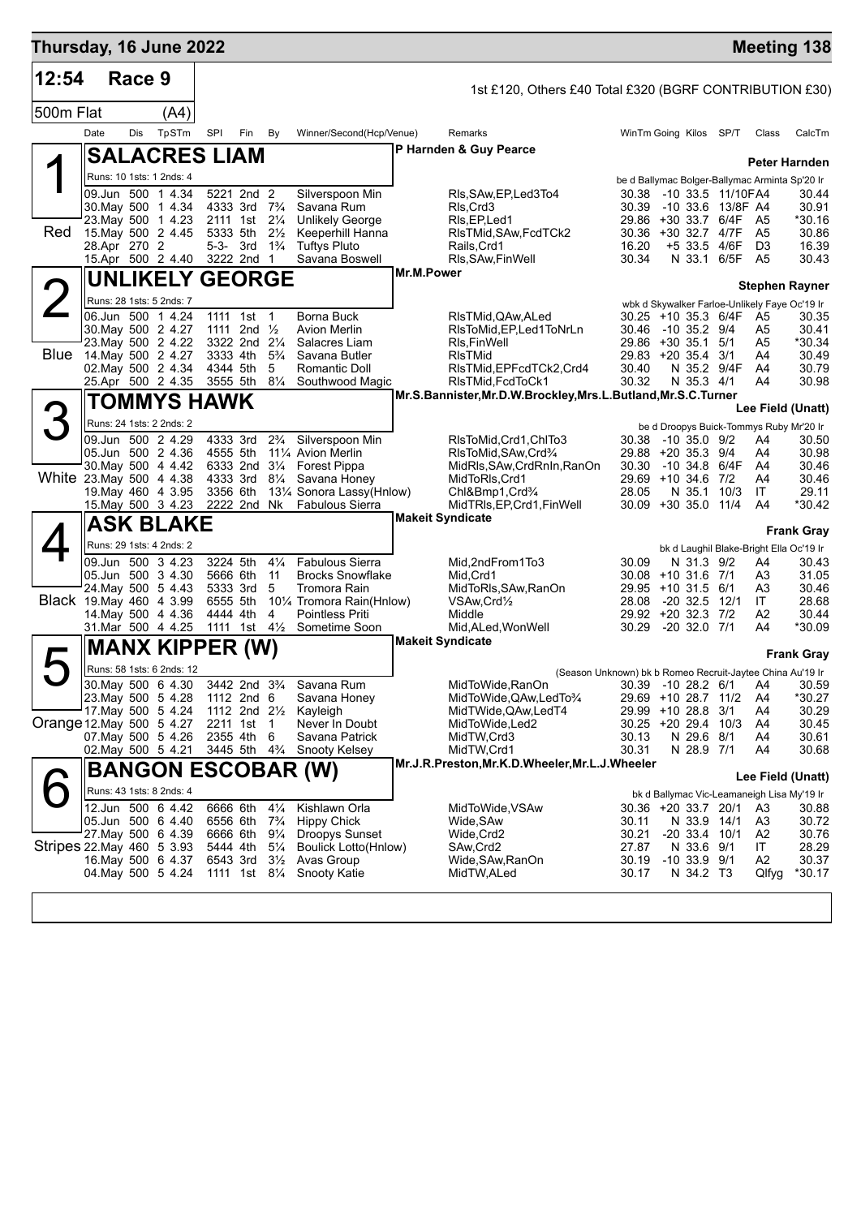| Thursday, 16 June 2022    |              |        |                                                                                                                                                                |     |                                                                                                              |                                                                                        |                                                                                                                                                              |            |                                                                                                                                                                                         |                                                                                                         |                                                                               |                                                              |                                                                                   | <b>Meeting 138</b>                                    |
|---------------------------|--------------|--------|----------------------------------------------------------------------------------------------------------------------------------------------------------------|-----|--------------------------------------------------------------------------------------------------------------|----------------------------------------------------------------------------------------|--------------------------------------------------------------------------------------------------------------------------------------------------------------|------------|-----------------------------------------------------------------------------------------------------------------------------------------------------------------------------------------|---------------------------------------------------------------------------------------------------------|-------------------------------------------------------------------------------|--------------------------------------------------------------|-----------------------------------------------------------------------------------|-------------------------------------------------------|
| 12:54                     |              | Race 9 |                                                                                                                                                                |     |                                                                                                              |                                                                                        |                                                                                                                                                              |            | 1st £120, Others £40 Total £320 (BGRF CONTRIBUTION £30)                                                                                                                                 |                                                                                                         |                                                                               |                                                              |                                                                                   |                                                       |
| 500m Flat                 |              |        | (A4)                                                                                                                                                           |     |                                                                                                              |                                                                                        |                                                                                                                                                              |            |                                                                                                                                                                                         |                                                                                                         |                                                                               |                                                              |                                                                                   |                                                       |
|                           | Date         | Dis    | TpSTm                                                                                                                                                          | SPI | Fin                                                                                                          | By                                                                                     | Winner/Second(Hcp/Venue)                                                                                                                                     |            | Remarks                                                                                                                                                                                 | WinTm Going Kilos SP/T                                                                                  |                                                                               |                                                              | Class                                                                             | CalcTm                                                |
|                           |              |        | <b>SALACRES LIAM</b>                                                                                                                                           |     |                                                                                                              |                                                                                        |                                                                                                                                                              |            | P Harnden & Guy Pearce                                                                                                                                                                  |                                                                                                         |                                                                               |                                                              |                                                                                   |                                                       |
|                           |              |        | Runs: 10 1sts: 1 2nds: 4                                                                                                                                       |     |                                                                                                              |                                                                                        |                                                                                                                                                              |            |                                                                                                                                                                                         |                                                                                                         |                                                                               |                                                              | be d Ballymac Bolger-Ballymac Arminta Sp'20 Ir                                    | <b>Peter Harnden</b>                                  |
| Red                       | 28.Apr 270 2 |        | 09.Jun 500 1 4.34<br>30. May 500 1 4.34<br>23. May 500 1 4.23<br>15. May 500 2 4.45                                                                            |     | 5221 2nd 2<br>4333 3rd 7 <sup>3</sup> / <sub>4</sub><br>2111 1st 21/4<br>5333 5th<br>5-3- 3rd $1\frac{3}{4}$ | $2\frac{1}{2}$                                                                         | Silverspoon Min<br>Savana Rum<br><b>Unlikely George</b><br>Keeperhill Hanna<br><b>Tuftys Pluto</b>                                                           |            | RIs, SAw, EP, Led 3To 4<br>RIs.Crd3<br>RIs, EP, Led1<br>RIsTMid, SAw, FcdTCk2<br>Rails, Crd1                                                                                            | 30.39<br>29.86 +30 33.7 6/4F<br>30.36 +30 32.7 4/7F<br>16.20                                            |                                                                               | 30.38 -10 33.5 11/10FA4<br>-10 33.6 13/8F A4<br>+5 33.5 4/6F | - A5<br>- A5<br>D <sub>3</sub>                                                    | 30.44<br>30.91<br>*30.16<br>30.86<br>16.39            |
|                           |              |        | 15.Apr 500 2 4.40                                                                                                                                              |     | 3222 2nd 1                                                                                                   |                                                                                        | Savana Boswell                                                                                                                                               | Mr.M.Power | RIs, SAw, Fin Well                                                                                                                                                                      | 30.34                                                                                                   |                                                                               | N 33.1 6/5F A5                                               |                                                                                   | 30.43                                                 |
|                           |              |        | <b>UNLIKELY GEORGE</b>                                                                                                                                         |     |                                                                                                              |                                                                                        |                                                                                                                                                              |            |                                                                                                                                                                                         |                                                                                                         |                                                                               |                                                              |                                                                                   | <b>Stephen Rayner</b>                                 |
|                           |              |        | Runs: 28 1sts: 5 2nds: 7<br>06.Jun 500 1 4.24<br>30. May 500 2 4.27<br>23. May 500 2 4.22<br>Blue 14 May 500 2 4.27<br>02. May 500 2 4.34<br>25.Apr 500 2 4.35 |     | 1111 1st 1<br>1111 2nd $\frac{1}{2}$<br>3322 2nd 21/4<br>3333 4th<br>4344 5th<br>3555 5th                    | $5\frac{3}{4}$<br>5<br>$8\frac{1}{4}$                                                  | Borna Buck<br><b>Avion Merlin</b><br>Salacres Liam<br>Savana Butler<br>Romantic Doll<br>Southwood Magic                                                      |            | RIsTMid,QAw,ALed<br>RIsToMid, EP, Led1ToNrLn<br>RIs, Fin Well<br><b>RIsTMid</b><br>RIsTMid, EPFcdTCk2, Crd4<br>RIsTMid, FcdToCk1                                                        | 30.25 +10 35.3 6/4F<br>30.46 -10 35.2 9/4<br>29.86 +30 35.1 5/1<br>29.83 +20 35.4 3/1<br>30.40<br>30.32 | N 35.3 4/1                                                                    | N 35.2 9/4F                                                  | wbk d Skywalker Farloe-Unlikely Faye Oc'19 Ir<br>A5<br>A5<br>A5<br>A4<br>A4<br>A4 | 30.35<br>30.41<br>*30.34<br>30.49<br>30.79<br>30.98   |
|                           |              |        | <b>TOMMYS HAWK</b>                                                                                                                                             |     |                                                                                                              |                                                                                        |                                                                                                                                                              |            | Mr.S.Bannister, Mr.D.W.Brockley, Mrs.L.Butland, Mr.S.C.Turner                                                                                                                           |                                                                                                         |                                                                               |                                                              |                                                                                   |                                                       |
| 3                         |              |        | Runs: 24 1sts: 2 2nds: 2                                                                                                                                       |     |                                                                                                              |                                                                                        |                                                                                                                                                              |            |                                                                                                                                                                                         |                                                                                                         |                                                                               |                                                              | be d Droopys Buick-Tommys Ruby Mr'20 Ir                                           | Lee Field (Unatt)                                     |
| White 23. May 500 4 4.38  |              |        | 09.Jun 500 2 4.29<br>05.Jun 500 2 4.36<br>30. May 500 4 4.42<br>19. May 460 4 3.95<br>15. May 500 3 4.23                                                       |     | 4333 3rd<br>4555 5th<br>4333 3rd<br>3356 6th<br>2222 2nd Nk                                                  | $2\frac{3}{4}$<br>$8\frac{1}{4}$                                                       | Silverspoon Min<br>11 <sup>1</sup> / <sub>4</sub> Avion Merlin<br>6333 2nd 31/4 Forest Pippa<br>Savana Honey<br>131⁄4 Sonora Lassy(Hnlow)<br>Fabulous Sierra |            | RIsToMid, Crd1, ChITo3<br>RIsToMid, SAw, Crd <sup>3</sup> / <sub>4</sub><br>MidRls, SAw, CrdRnIn, RanOn<br>MidToRIs, Crd1<br>Chl&Bmp1,Crd <sup>3</sup> /4<br>MidTRIs, EP, Crd1, FinWell | 30.38 -10 35.0 9/2<br>29.88 +20 35.3 9/4<br>30.30<br>29.69 +10 34.6 7/2<br>28.05<br>30.09 +30 35.0 11/4 | N 35.1                                                                        | -10 34.8 6/4F<br>10/3                                        | A4<br>A4<br>A4<br>A4<br>IT<br>A4                                                  | 30.50<br>30.98<br>30.46<br>30.46<br>29.11<br>*30.42   |
|                           |              |        | <b>ASK BLAKE</b>                                                                                                                                               |     |                                                                                                              |                                                                                        |                                                                                                                                                              |            | <b>Makeit Syndicate</b>                                                                                                                                                                 |                                                                                                         |                                                                               |                                                              |                                                                                   | <b>Frank Gray</b>                                     |
| Black 19 May 460 4 3.99   |              |        | Runs: 29 1sts: 4 2nds: 2<br>09.Jun 500 34.23<br>05.Jun 500 3 4.30<br>24. May 500 5 4.43<br>14. May 500 4 4.36<br>31.Mar 500 4 4.25                             |     | 3224 5th<br>5666 6th<br>5333 3rd<br>6555 5th<br>4444 4th<br>1111 1st 41/ <sub>2</sub>                        | $4\frac{1}{4}$<br>11<br>5<br>4                                                         | <b>Fabulous Sierra</b><br><b>Brocks Snowflake</b><br>Tromora Rain<br>101⁄4 Tromora Rain(Hnlow)<br><b>Pointless Priti</b><br>Sometime Soon                    |            | Mid,2ndFrom1To3<br>Mid, Crd1<br>MidToRIs, SAw, RanOn<br>VSAw, Crd <sup>1</sup> / <sub>2</sub><br>Middle<br>Mid, ALed, Won Well                                                          | 30.09<br>30.08 +10 31.6 7/1<br>29.95 +10 31.5 6/1<br>28.08<br>29.92 +20 32.3 7/2<br>30.29               | N 31.3 9/2<br>$-20$ 32.5 12/1<br>$-20$ 32.0 $7/1$                             |                                                              | bk d Laughil Blake-Bright Ella Oc'19 Ir<br>A4<br>A3<br>A3<br>IT<br>A2<br>A4       | 30.43<br>31.05<br>30.46<br>28.68<br>30.44<br>*30.09   |
|                           |              |        | <b>MANX KIPPER (W)</b>                                                                                                                                         |     |                                                                                                              |                                                                                        |                                                                                                                                                              |            | <b>Makeit Syndicate</b>                                                                                                                                                                 |                                                                                                         |                                                                               |                                                              |                                                                                   | <b>Frank Gray</b>                                     |
| 5                         |              |        | Runs: 58 1sts: 6 2nds: 12                                                                                                                                      |     |                                                                                                              |                                                                                        |                                                                                                                                                              |            | (Season Unknown) bk b Romeo Recruit-Jaytee China Au'19 Ir                                                                                                                               |                                                                                                         |                                                                               |                                                              |                                                                                   |                                                       |
| Orange 12 May 500 5 4.27  |              |        | 30. May 500 6 4.30<br>23. May 500 5 4.28<br>17 May 500 5 4.24<br>07. May 500 5 4.26<br>02. May 500 5 4.21                                                      |     | 1112 2nd 6<br>1112 2nd 21/ <sub>2</sub><br>2211 1st<br>2355 4th 6<br>3445 5th 4 <sup>3</sup> / <sub>4</sub>  | $\mathbf{1}$                                                                           | 3442 2nd 3 <sup>3</sup> / <sub>4</sub> Savana Rum<br>Savana Honey<br>Kayleigh<br>Never In Doubt<br>Savana Patrick<br>Snooty Kelsey                           |            | MidToWide, RanOn<br>MidToWide, QAw, LedTo3/4<br>MidTWide,QAw,LedT4<br>MidToWide, Led2<br>MidTW, Crd3<br>MidTW,Crd1                                                                      | 30.39 -10 28.2 6/1 A4<br>29.69 +10 28.7 11/2<br>29.99 +10 28.8<br>30.25 +20 29.4 10/3<br>30.13<br>30.31 | N 29.6 8/1<br>N 28.9 7/1                                                      | 3/1                                                          | A4<br>A4<br>A4<br>A4<br>A4                                                        | 30.59<br>*30.27<br>30.29<br>30.45<br>30.61<br>30.68   |
|                           |              |        |                                                                                                                                                                |     |                                                                                                              |                                                                                        | <b>BANGON ESCOBAR (W)</b>                                                                                                                                    |            | Mr.J.R.Preston, Mr.K.D.Wheeler, Mr.L.J.Wheeler                                                                                                                                          |                                                                                                         |                                                                               |                                                              |                                                                                   | Lee Field (Unatt)                                     |
| Stripes 22 May 460 5 3 93 |              |        | Runs: 43 1sts: 8 2nds: 4<br>12.Jun 500 6 4.42<br>05.Jun 500 6 4.40<br>27. May 500 6 4.39<br>16. May 500 6 4.37<br>04. May 500 5 4.24                           |     | 6666 6th<br>6556 6th<br>6666 6th<br>5444 4th<br>6543 3rd<br>1111 1st 81/ <sub>4</sub>                        | $4\frac{1}{4}$<br>$7\frac{3}{4}$<br>$9\frac{1}{4}$<br>$5\frac{1}{4}$<br>$3\frac{1}{2}$ | Kishlawn Orla<br><b>Hippy Chick</b><br><b>Droopys Sunset</b><br><b>Boulick Lotto(Hnlow)</b><br>Avas Group<br>Snooty Katie                                    |            | MidToWide, VSAw<br>Wide, SAw<br>Wide, Crd2<br>SAw,Crd2<br>Wide, SAw, RanOn<br>MidTW, ALed                                                                                               | 30.36 +20 33.7 20/1<br>30.11<br>30.21<br>27.87<br>30.19<br>30.17                                        | N 33.9 14/1<br>$-20$ 33.4 10/1<br>N 33.6 9/1<br>$-10$ 33.9 $9/1$<br>N 34.2 T3 |                                                              | bk d Ballymac Vic-Leamaneigh Lisa My'19 Ir<br>A3<br>A3<br>A2<br>IT<br>A2<br>Qlfyg | 30.88<br>30.72<br>30.76<br>28.29<br>30.37<br>$*30.17$ |
|                           |              |        |                                                                                                                                                                |     |                                                                                                              |                                                                                        |                                                                                                                                                              |            |                                                                                                                                                                                         |                                                                                                         |                                                                               |                                                              |                                                                                   |                                                       |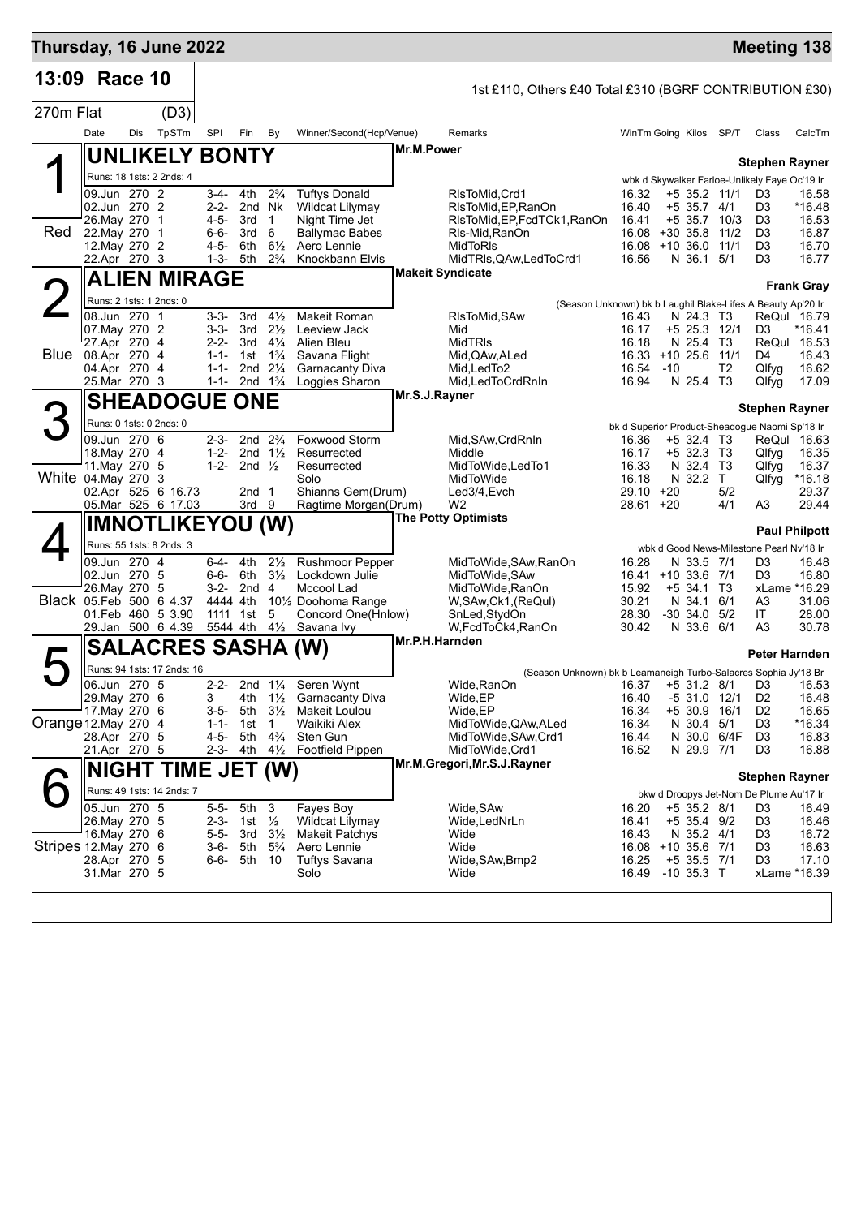| Thursday, 16 June 2022  |                                   |     |                            |                        |                         |                                          |                                                            |                |                                                                                |                              |            |                               |                     | <b>Meeting 138</b>                             |                       |
|-------------------------|-----------------------------------|-----|----------------------------|------------------------|-------------------------|------------------------------------------|------------------------------------------------------------|----------------|--------------------------------------------------------------------------------|------------------------------|------------|-------------------------------|---------------------|------------------------------------------------|-----------------------|
| 13:09 Race 10           |                                   |     |                            |                        |                         |                                          |                                                            |                | 1st £110, Others £40 Total £310 (BGRF CONTRIBUTION £30)                        |                              |            |                               |                     |                                                |                       |
| 270m Flat               |                                   |     | (D3)                       |                        |                         |                                          |                                                            |                |                                                                                |                              |            |                               |                     |                                                |                       |
|                         | Date                              | Dis | TpSTm                      | SPI                    | Fin                     | By                                       | Winner/Second(Hcp/Venue)                                   |                | Remarks                                                                        | WinTm Going Kilos SP/T       |            |                               |                     | Class                                          | CalcTm                |
|                         |                                   |     | <b>UNLIKELY BONTY</b>      |                        |                         |                                          |                                                            | Mr.M.Power     |                                                                                |                              |            |                               |                     | <b>Stephen Rayner</b>                          |                       |
|                         |                                   |     | Runs: 18 1sts: 2 2nds: 4   |                        |                         |                                          |                                                            |                |                                                                                |                              |            |                               |                     | wbk d Skywalker Farloe-Unlikely Faye Oc'19 Ir  |                       |
|                         | 09.Jun 270 2<br>02.Jun 270 2      |     |                            | $2 - 2 -$              | 3-4- 4th<br>2nd Nk      | $2\frac{3}{4}$                           | <b>Tuftys Donald</b><br>Wildcat Lilymay                    |                | RIsToMid, Crd1<br>RIsToMid, EP, RanOn                                          | 16.32<br>16.40               |            | +5 35.2 11/1<br>$+5$ 35.7 4/1 |                     | D <sub>3</sub><br>D3                           | 16.58<br>*16.48       |
|                         | 26. May 270                       |     | $\overline{1}$             | 4-5- 3rd               |                         | $\overline{1}$                           | Night Time Jet                                             |                | RIsToMid, EP, FcdTCk1, RanOn                                                   | 16.41                        |            |                               | $+5$ 35.7 10/3      | D <sub>3</sub>                                 | 16.53                 |
| Red                     | 22. May 270<br>12. May 270 2      |     | $\overline{1}$             | $6 - 6 -$<br>4-5-      | 3rd<br>6th              | 6<br>$6\frac{1}{2}$                      | <b>Ballymac Babes</b><br>Aero Lennie                       |                | RIs-Mid, RanOn<br>MidToRIs                                                     | 16.08<br>16.08 +10 36.0      | $+30.35.8$ |                               | 11/2<br>11/1        | D <sub>3</sub><br>D <sub>3</sub>               | 16.87<br>16.70        |
|                         | 22.Apr 270 3                      |     |                            | 1-3-                   | 5th                     | $2\frac{3}{4}$                           | Knockbann Elvis                                            |                | MidTRIs, QAw, Led To Crd1                                                      | 16.56                        |            | N 36.1 5/1                    |                     | D3                                             | 16.77                 |
|                         |                                   |     | ALIEN MIRAGE               |                        |                         |                                          |                                                            |                | <b>Makeit Syndicate</b>                                                        |                              |            |                               |                     |                                                | <b>Frank Gray</b>     |
|                         | Runs: 2 1sts: 1 2nds: 0           |     |                            |                        |                         |                                          |                                                            |                | (Season Unknown) bk b Laughil Blake-Lifes A Beauty Ap'20 Ir                    |                              |            |                               |                     |                                                |                       |
|                         | 08.Jun 270 1<br>07. May 270 2     |     |                            | $3 - 3 -$<br>3-3- 3rd  | - 3rd                   | $4\frac{1}{2}$<br>$2\frac{1}{2}$         | <b>Makeit Roman</b><br>Leeview Jack                        |                | RIsToMid, SAw<br>Mid                                                           | 16.43<br>16.17               |            | N 24.3 T3<br>+5 25.3 12/1     |                     | D3                                             | ReQul 16.79<br>*16.41 |
|                         | 27.Apr 270 4                      |     |                            | $2-2-3rd$              |                         | $4\frac{1}{4}$                           | Alien Bleu                                                 |                | MidTRIs                                                                        | 16.18                        |            | N 25.4 T3                     |                     |                                                | ReQul 16.53           |
|                         | Blue 08.Apr 270 4<br>04.Apr 270 4 |     |                            | $1 - 1 -$<br>$1 - 1 -$ | 1st                     | $1\frac{3}{4}$<br>2nd 21/4               | Savana Flight<br><b>Garnacanty Diva</b>                    |                | Mid,QAw,ALed<br>Mid.LedTo2                                                     | 16.33 +10 25.6 11/1<br>16.54 | $-10$      |                               | T <sub>2</sub>      | D <sub>4</sub><br>Qlfyg                        | 16.43<br>16.62        |
|                         | 25.Mar 270 3                      |     |                            |                        | 1-1- 2nd $1\frac{3}{4}$ |                                          | Loggies Sharon                                             |                | Mid, Led To Crd Rn In                                                          | 16.94                        |            | N 25.4 T3                     |                     | Qlfyg                                          | 17.09                 |
|                         |                                   |     | <b>SHEADOGUE ONE</b>       |                        |                         |                                          |                                                            | Mr.S.J.Rayner  |                                                                                |                              |            |                               |                     | <b>Stephen Rayner</b>                          |                       |
|                         |                                   |     | Runs: 0 1sts: 0 2nds: 0    |                        |                         |                                          |                                                            |                |                                                                                |                              |            |                               |                     | bk d Superior Product-Sheadogue Naomi Sp'18 Ir |                       |
|                         | 09.Jun 270 6<br>18. May 270 4     |     |                            | $2 - 3 -$<br>$1 - 2 -$ |                         | 2nd $2\frac{3}{4}$<br>2nd $1\frac{1}{2}$ | Foxwood Storm<br>Resurrected                               |                | Mid, SAw, CrdRnIn<br>Middle                                                    | 16.36<br>16.17               |            | +5 32.4 T3<br>$+5$ 32.3 T3    |                     | Qlfyg                                          | ReQul 16.63<br>16.35  |
| White 04.May 270        | 11. May 270 5                     |     |                            | $1 - 2 -$              | 2nd $\frac{1}{2}$       |                                          | Resurrected                                                |                | MidToWide,LedTo1                                                               | 16.33                        |            | N 32.4                        | Т3                  | Qlfyg                                          | 16.37                 |
|                         |                                   |     | 3<br>02.Apr 525 6 16.73    |                        | 2nd 1                   |                                          | Solo<br>Shianns Gem(Drum)                                  |                | MidToWide<br>Led3/4,Evch                                                       | 16.18<br>29.10               | +20        | N 32.2                        | $\mathsf{T}$<br>5/2 | Qlfyg                                          | $*16.18$<br>29.37     |
|                         |                                   |     | 05. Mar 525 6 17.03        |                        | 3rd 9                   |                                          | Ragtime Morgan(Drum)                                       |                | W <sub>2</sub><br><b>The Potty Optimists</b>                                   | 28.61 +20                    |            |                               | 4/1                 | A3                                             | 29.44                 |
|                         |                                   |     | <b>IMNOTLIKEYOU (W)</b>    |                        |                         |                                          |                                                            |                |                                                                                |                              |            |                               |                     |                                                | <b>Paul Philpott</b>  |
|                         |                                   |     | Runs: 55 1sts: 8 2nds: 3   |                        |                         |                                          |                                                            |                |                                                                                |                              |            |                               |                     | wbk d Good News-Milestone Pearl Nv'18 Ir       |                       |
|                         | 09.Jun 270 4<br>02.Jun 270 5      |     |                            | 6-4-                   | 4th<br>6-6- 6th         | $2\frac{1}{2}$<br>$3\frac{1}{2}$         | <b>Rushmoor Pepper</b><br>Lockdown Julie                   |                | MidToWide, SAw, RanOn<br>MidToWide, SAw                                        | 16.28<br>16.41 +10 33.6      |            | N 33.5 7/1                    | 7/1                 | D3<br>D3                                       | 16.48<br>16.80        |
| Black 05.Feb 500 6 4.37 | 26.May 270 5                      |     |                            | 4444 4th               | 3-2- 2nd 4              |                                          | Mccool Lad<br>10 <sup>1</sup> / <sub>2</sub> Doohoma Range |                | MidToWide, RanOn<br>W, SAw, Ck1, (ReQul)                                       | 15.92<br>30.21               |            | $+5$ 34.1 T3<br>N 34.1        | 6/1                 | A3                                             | xLame *16.29<br>31.06 |
|                         |                                   |     | 01.Feb 460 5 3.90          |                        | 1111 1st                | 5                                        | Concord One(Hnlow)                                         |                | SnLed, StydOn                                                                  | 28.30                        |            | $-30$ 34.0 $5/2$              |                     | IT.                                            | 28.00                 |
|                         |                                   |     | 29.Jan 500 6 4.39          |                        |                         | 5544 4th 41/2                            | Savana Ivy                                                 | Mr.P.H.Harnden | W,FcdToCk4,RanOn                                                               | 30.42                        |            | N 33.6 6/1                    |                     | A3                                             | 30.78                 |
|                         |                                   |     | <b>SALACRES SASHA (W)</b>  |                        |                         |                                          |                                                            |                |                                                                                |                              |            |                               |                     | Peter Harnden                                  |                       |
|                         | 06.Jun 270 5                      |     | Runs: 94 1sts: 17 2nds: 16 | $2 - 2 -$              |                         |                                          | 2nd 11/4 Seren Wynt                                        |                | (Season Unknown) bk b Leamaneigh Turbo-Salacres Sophia Jy'18 Br<br>Wide, RanOn | 16.37 +5 31.2 8/1 D3         |            |                               |                     |                                                | 16.53                 |
|                         | 29. May 270 6                     |     |                            | 3                      | 4th                     |                                          | 11/ <sub>2</sub> Garnacanty Diva                           |                | Wide, EP                                                                       | 16.40                        |            | $-531.0$                      | 12/1                | D <sub>2</sub>                                 | 16.48                 |
| Orange 12.May 270 4     | 17. May 270 6                     |     |                            | 3-5-<br>$1 - 1 -$      | 5th<br>1st              | $3\frac{1}{2}$<br>$\overline{1}$         | Makeit Loulou<br>Waikiki Alex                              |                | Wide, EP<br>MidToWide, QAw, ALed                                               | 16.34<br>16.34               |            | $+5$ 30.9<br>N 30.4           | 16/1<br>5/1         | D <sub>2</sub><br>D3                           | 16.65<br>$*16.34$     |
|                         | 28.Apr 270 5                      |     |                            | 4-5-                   | 5th                     | $4\frac{3}{4}$                           | Sten Gun                                                   |                | MidToWide, SAw, Crd1                                                           | 16.44                        |            |                               | N 30.0 6/4F         | D <sub>3</sub>                                 | 16.83                 |
|                         | 21.Apr 270 5                      |     |                            | $2 - 3 -$              | 4th                     | $4\frac{1}{2}$                           | Footfield Pippen                                           |                | MidToWide, Crd1<br>Mr.M.Gregori, Mr.S.J.Rayner                                 | 16.52                        |            | N 29.9 7/1                    |                     | D3                                             | 16.88                 |
|                         |                                   |     | <b>NIGHT TIME JET (W)</b>  |                        |                         |                                          |                                                            |                |                                                                                |                              |            |                               |                     | <b>Stephen Rayner</b>                          |                       |
|                         | 05.Jun 270 5                      |     | Runs: 49 1sts: 14 2nds: 7  | $5 - 5 -$              | 5th                     | $\overline{\mathbf{3}}$                  | Fayes Boy                                                  |                | Wide, SAw                                                                      | 16.20                        |            | $+5$ 35.2 8/1                 |                     | bkw d Droopys Jet-Nom De Plume Au'17 Ir<br>D3  | 16.49                 |
|                         | 26. May 270 5                     |     |                            | $2 - 3 -$              | 1st                     | $\frac{1}{2}$                            | Wildcat Lilymay                                            |                | Wide, LedNrLn                                                                  | 16.41                        |            | +5 35.4 9/2                   |                     | D <sub>3</sub>                                 | 16.46                 |
| Stripes 12. May 270 6   | 16.May 270 6                      |     |                            | $5 - 5 -$<br>$3-6-$    | 3rd<br>5th              | $3\frac{1}{2}$<br>$5\frac{3}{4}$         | Makeit Patchys<br>Aero Lennie                              |                | Wide<br>Wide                                                                   | 16.43<br>16.08 +10 35.6 7/1  |            | N 35.2 4/1                    |                     | D3<br>D3                                       | 16.72<br>16.63        |
|                         | 28.Apr 270 5                      |     |                            | $6 - 6 -$              | 5th                     | - 10                                     | <b>Tuftys Savana</b>                                       |                | Wide, SAw, Bmp2                                                                | 16.25                        |            | $+5$ 35.5 7/1                 |                     | D3                                             | 17.10                 |
|                         | 31.Mar 270 5                      |     |                            |                        |                         |                                          | Solo                                                       |                | Wide                                                                           | 16.49                        |            | $-10$ 35.3 T                  |                     |                                                | xLame *16.39          |
|                         |                                   |     |                            |                        |                         |                                          |                                                            |                |                                                                                |                              |            |                               |                     |                                                |                       |
|                         |                                   |     |                            |                        |                         |                                          |                                                            |                |                                                                                |                              |            |                               |                     |                                                |                       |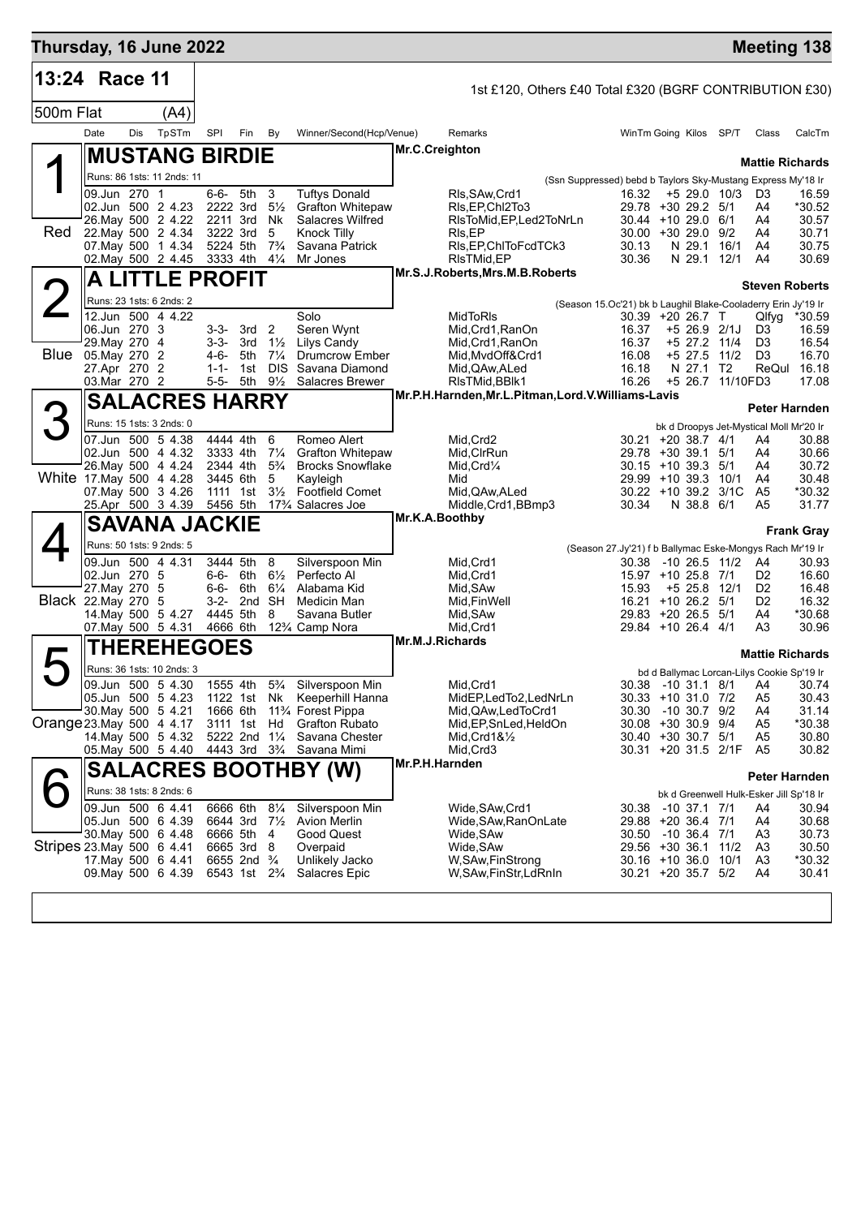| Thursday, 16 June 2022    |                                               |     |                            |                      |                                                         |                             |                                                                             |                                                                      |                                                         |                                                                                   |                              |                  | <b>Meeting 138</b>                                                   |                   |
|---------------------------|-----------------------------------------------|-----|----------------------------|----------------------|---------------------------------------------------------|-----------------------------|-----------------------------------------------------------------------------|----------------------------------------------------------------------|---------------------------------------------------------|-----------------------------------------------------------------------------------|------------------------------|------------------|----------------------------------------------------------------------|-------------------|
| 13:24 Race 11             |                                               |     |                            |                      |                                                         |                             |                                                                             |                                                                      | 1st £120, Others £40 Total £320 (BGRF CONTRIBUTION £30) |                                                                                   |                              |                  |                                                                      |                   |
| 500m Flat                 |                                               |     | (A4)                       |                      |                                                         |                             |                                                                             |                                                                      |                                                         |                                                                                   |                              |                  |                                                                      |                   |
|                           | Date                                          | Dis | TpSTm                      | SPI                  | Fin                                                     | By                          | Winner/Second(Hcp/Venue)                                                    | Remarks                                                              |                                                         | WinTm Going Kilos SP/T                                                            |                              |                  | Class                                                                | CalcTm            |
|                           |                                               |     | <b>MUSTANG BIRDIE</b>      |                      |                                                         |                             |                                                                             | Mr.C.Creighton                                                       |                                                         |                                                                                   |                              |                  |                                                                      |                   |
|                           |                                               |     | Runs: 86 1sts: 11 2nds: 11 |                      |                                                         |                             |                                                                             |                                                                      |                                                         | (Ssn Suppressed) bebd b Taylors Sky-Mustang Express My'18 Ir                      |                              |                  | <b>Mattie Richards</b>                                               |                   |
|                           | 09.Jun 270 1                                  |     |                            | 6-6- 5th             |                                                         | 3                           | <b>Tuftys Donald</b>                                                        | RIs.SAw.Crd1                                                         |                                                         | 16.32                                                                             |                              | $+5$ 29.0 10/3   | D <sub>3</sub>                                                       | 16.59             |
|                           | 02.Jun 500 2 4.23<br>26. May 500 2 4.22       |     |                            | 2222 3rd<br>2211 3rd |                                                         | $5\frac{1}{2}$<br><b>Nk</b> | <b>Grafton Whitepaw</b><br><b>Salacres Wilfred</b>                          | RIs, EP, ChI2To3                                                     | RIsToMid,EP,Led2ToNrLn                                  | 29.78 +30 29.2 5/1<br>$30.44 + 1029.06/1$                                         |                              |                  | A4<br>A4                                                             | *30.52<br>30.57   |
| Red                       | 22. May 500 2 4.34                            |     |                            | 3222 3rd             |                                                         | 5                           | <b>Knock Tilly</b>                                                          | RIs, EP                                                              |                                                         | $30.00 + 30.29.0$ 9/2                                                             |                              |                  | A4                                                                   | 30.71             |
|                           | 07. May 500 1 4.34<br>02. May 500 2 4.45      |     |                            | 5224 5th             | 3333 4th 41/4                                           | $7\frac{3}{4}$              | Savana Patrick<br>Mr Jones                                                  | RIs, EP, ChITo Fcd TCk3<br>RIsTMid, EP                               |                                                         | 30.13<br>30.36                                                                    | N 29.1<br>N 29.1 12/1        | 16/1             | A4<br>A4                                                             | 30.75<br>30.69    |
|                           |                                               |     | A LITTLE PROFIT            |                      |                                                         |                             |                                                                             | Mr.S.J.Roberts, Mrs.M.B.Roberts                                      |                                                         |                                                                                   |                              |                  |                                                                      |                   |
|                           | Runs: 23 1sts: 6 2nds: 2                      |     |                            |                      |                                                         |                             |                                                                             |                                                                      |                                                         |                                                                                   |                              |                  | <b>Steven Roberts</b>                                                |                   |
|                           | 12.Jun 500 4 4.22                             |     |                            |                      |                                                         |                             | Solo                                                                        | MidToRIs                                                             |                                                         | (Season 15.Oc'21) bk b Laughil Blake-Cooladerry Erin Jy'19 Ir<br>30.39 +20 26.7 T |                              |                  | Qlfyg                                                                | *30.59            |
|                           | 06.Jun 270 3                                  |     |                            | $3 - 3 -$            | $3-3-3rd$ 2                                             | $1\frac{1}{2}$              | Seren Wynt<br>Lilys Candy                                                   | Mid, Crd1, RanOn                                                     |                                                         | 16.37<br>16.37                                                                    | $+526.92/1J$<br>+5 27.2 11/4 |                  | D3                                                                   | 16.59             |
| Blue                      | 29. May 270 4<br>05. May 270 2                |     |                            | 4-6-                 | 3rd<br>5th                                              | $7\frac{1}{4}$              | <b>Drumcrow Ember</b>                                                       | Mid,Crd1,RanOn<br>Mid, MvdOff&Crd1                                   |                                                         | 16.08                                                                             | +5 27.5 11/2                 |                  | D3<br>D <sub>3</sub>                                                 | 16.54<br>16.70    |
|                           | 27.Apr 270 2                                  |     |                            | $1 - 1 -$            | 1st                                                     | <b>DIS</b>                  | Savana Diamond                                                              | Mid, QAw, ALed                                                       |                                                         | 16.18                                                                             | N 27.1                       | T2               | ReQul                                                                | 16.18             |
|                           | 03. Mar 270 2                                 |     |                            | 5-5-                 | 5th                                                     | $9\frac{1}{2}$              | Salacres Brewer                                                             | RIsTMid, BBIk1<br>Mr.P.H.Harnden, Mr.L.Pitman, Lord.V.Williams-Lavis |                                                         | 16.26                                                                             |                              | +5 26.7 11/10FD3 |                                                                      | 17.08             |
| 3                         |                                               |     | <b>SALACRES HARRY</b>      |                      |                                                         |                             |                                                                             |                                                                      |                                                         |                                                                                   |                              |                  | Peter Harnden                                                        |                   |
|                           | 07.Jun 500 5 4.38                             |     | Runs: 15 1sts: 3 2nds: 0   | 4444 4th             |                                                         | 6                           | Romeo Alert                                                                 |                                                                      |                                                         |                                                                                   |                              |                  | bk d Droopys Jet-Mystical Moll Mr'20 Ir                              |                   |
|                           | 02.Jun 500 4 4.32                             |     |                            | 3333 4th             |                                                         | $7\frac{1}{4}$              | <b>Grafton Whitepaw</b>                                                     | Mid, Crd2<br>Mid, CIrRun                                             |                                                         | 30.21 +20 38.7 4/1<br>29.78 +30 39.1 5/1                                          |                              |                  | A4<br>A4                                                             | 30.88<br>30.66    |
|                           | 26. May 500 4 4.24                            |     |                            | 2344 4th             |                                                         | $5\frac{3}{4}$              | <b>Brocks Snowflake</b>                                                     | $Mid,Crd\frac{1}{4}$                                                 |                                                         | $30.15 + 10.39.3$ 5/1                                                             |                              |                  | A4                                                                   | 30.72             |
| White 17 May 500 4 4.28   | 07. May 500 3 4.26                            |     |                            | 3445 6th<br>1111 1st |                                                         | 5<br>$3\frac{1}{2}$         | Kayleigh<br><b>Footfield Comet</b>                                          | Mid<br>Mid,QAw,ALed                                                  |                                                         | $29.99 + 10.39.3$<br>30.22 +10 39.2 3/1C                                          |                              | 10/1             | A4<br>A5                                                             | 30.48<br>*30.32   |
|                           |                                               |     | 25.Apr 500 3 4.39          | 5456 5th             |                                                         |                             | 17% Salacres Joe                                                            | Middle, Crd1, BBmp3                                                  |                                                         | 30.34                                                                             | N 38.8 6/1                   |                  | A5                                                                   | 31.77             |
|                           |                                               |     | <b>SAVANA JACKIE</b>       |                      |                                                         |                             |                                                                             | Mr.K.A.Boothby                                                       |                                                         |                                                                                   |                              |                  |                                                                      | <b>Frank Gray</b> |
|                           |                                               |     | Runs: 50 1sts: 9 2nds: 5   |                      |                                                         |                             |                                                                             |                                                                      |                                                         | (Season 27.Jy'21) f b Ballymac Eske-Mongys Rach Mr'19 Ir                          |                              |                  |                                                                      |                   |
|                           | 09.Jun 500 4 4.31<br>02.Jun 270 5             |     |                            |                      | 3444 5th<br>6-6- 6th $6\frac{1}{2}$                     | 8                           | Silverspoon Min<br>Perfecto Al                                              | Mid, Crd1<br>Mid, Crd1                                               |                                                         | 30.38<br>15.97 +10 25.8 7/1                                                       |                              | -10 26.5 11/2    | A4<br>D <sub>2</sub>                                                 | 30.93<br>16.60    |
|                           | 27. May 270 5                                 |     |                            | 6-6- 6th             |                                                         | $6\frac{1}{4}$              | Alabama Kid                                                                 | Mid, SAw                                                             |                                                         | 15.93                                                                             | +5 25.8 12/1                 |                  | D <sub>2</sub>                                                       | 16.48             |
|                           | Black 22. May 270 5                           |     |                            |                      | 3-2- 2nd SH                                             |                             | Medicin Man                                                                 | Mid, Fin Well                                                        |                                                         | $16.21 + 10.26.2$ 5/1<br>29.83 +20 26.5 5/1                                       |                              |                  | D <sub>2</sub>                                                       | 16.32             |
|                           | 14. May 500 5 4.27<br>07. May 500 5 4.31      |     |                            | 4445 5th<br>4666 6th |                                                         | 8                           | Savana Butler<br>12% Camp Nora                                              | Mid, SAw<br>Mid, Crd1                                                |                                                         | 29.84 +10 26.4 4/1                                                                |                              |                  | A4<br>A3                                                             | *30.68<br>30.96   |
|                           |                                               |     | <b>THEREHEGOES</b>         |                      |                                                         |                             |                                                                             | Mr.M.J.Richards                                                      |                                                         |                                                                                   |                              |                  |                                                                      |                   |
|                           |                                               |     | Runs: 36 1sts: 10 2nds: 3  |                      |                                                         |                             |                                                                             |                                                                      |                                                         |                                                                                   |                              |                  | <b>Mattie Richards</b><br>bd d Ballymac Lorcan-Lilys Cookie Sp'19 Ir |                   |
|                           | 09.Jun 500 5 4.30                             |     |                            |                      | 1555 4th                                                |                             | 5 <sup>3</sup> / <sub>4</sub> Silverspoon Min                               | Mid, Crd1                                                            |                                                         |                                                                                   |                              |                  | 30.38 -10 31.1 8/1 A4 30.74                                          |                   |
|                           | 05.Jun 500 5 4.23<br>30. May 500 5 4.21       |     |                            | 1666 6th             |                                                         |                             | 1122 1st Nk Keeperhill Hanna<br>11 <sup>3</sup> / <sub>4</sub> Forest Pippa | MidEP,LedTo2,LedNrLn<br>Mid, QAw, Led To Crd1                        |                                                         | 30.33 +10 31.0 7/2<br>30.30                                                       | -10 30.7 9/2                 |                  | A <sub>5</sub><br>A4                                                 | 30.43<br>31.14    |
| Orange 23 May 500 4 4.17  |                                               |     |                            |                      | 3111 1st                                                | Hd                          | <b>Grafton Rubato</b>                                                       | Mid, EP, Sn Led, Held On                                             |                                                         | 30.08 +30 30.9 9/4                                                                |                              |                  | A5                                                                   | *30.38            |
|                           | 14. May 500 5 4.32<br>05. May 500 5 4.40      |     |                            |                      | 5222 2nd 11/4<br>4443 3rd 3 <sup>3</sup> / <sub>4</sub> |                             | Savana Chester<br>Savana Mimi                                               | $Mid,Crd18\frac{1}{2}$<br>Mid, Crd3                                  |                                                         | 30.40 +30 30.7 5/1<br>30.31 +20 31.5 2/1F                                         |                              |                  | A5<br>A5                                                             | 30.80<br>30.82    |
|                           |                                               |     |                            |                      |                                                         |                             | <b>SALACRES BOOTHBY (W)</b>                                                 | Mr.P.H.Harnden                                                       |                                                         |                                                                                   |                              |                  |                                                                      |                   |
|                           |                                               |     |                            |                      |                                                         |                             |                                                                             |                                                                      |                                                         |                                                                                   |                              |                  | <b>Peter Harnden</b>                                                 |                   |
|                           | Runs: 38 1sts: 8 2nds: 6<br>09.Jun 500 6 4.41 |     |                            | 6666 6th             |                                                         | $8\frac{1}{4}$              | Silverspoon Min                                                             | Wide, SAw, Crd1                                                      |                                                         | 30.38 -10 37.1 7/1                                                                |                              |                  | bk d Greenwell Hulk-Esker Jill Sp'18 Ir<br>A4                        | 30.94             |
|                           | 05.Jun 500 6 4.39                             |     |                            | 6644 3rd             |                                                         | $7\frac{1}{2}$              | <b>Avion Merlin</b>                                                         | Wide, SAw, RanOnLate                                                 |                                                         | 29.88 +20 36.4 7/1                                                                |                              |                  | A4                                                                   | 30.68             |
| Stripes 23 May 500 6 4 41 | 30 May 500 6 4.48                             |     |                            | 6666 5th<br>6665 3rd |                                                         | 4<br>8                      | Good Quest<br>Overpaid                                                      | Wide,SAw<br>Wide, SAw                                                |                                                         | 30.50 -10 36.4 7/1<br>29.56 +30 36.1                                              |                              | 11/2             | A <sub>3</sub><br>A <sub>3</sub>                                     | 30.73<br>30.50    |
|                           | 17 May 500 6 4.41                             |     |                            |                      | 6655 2nd <sup>3</sup> / <sub>4</sub>                    |                             | Unlikely Jacko                                                              | W, SAw, FinStrong                                                    |                                                         | 30.16 +10 36.0 10/1                                                               |                              |                  | A <sub>3</sub>                                                       | *30.32            |
|                           | 09. May 500 6 4.39                            |     |                            |                      | 6543 1st 2 <sup>3</sup> / <sub>4</sub>                  |                             | Salacres Epic                                                               | W,SAw,FinStr,LdRnIn                                                  |                                                         | 30.21 +20 35.7 5/2                                                                |                              |                  | A4                                                                   | 30.41             |
|                           |                                               |     |                            |                      |                                                         |                             |                                                                             |                                                                      |                                                         |                                                                                   |                              |                  |                                                                      |                   |
|                           |                                               |     |                            |                      |                                                         |                             |                                                                             |                                                                      |                                                         |                                                                                   |                              |                  |                                                                      |                   |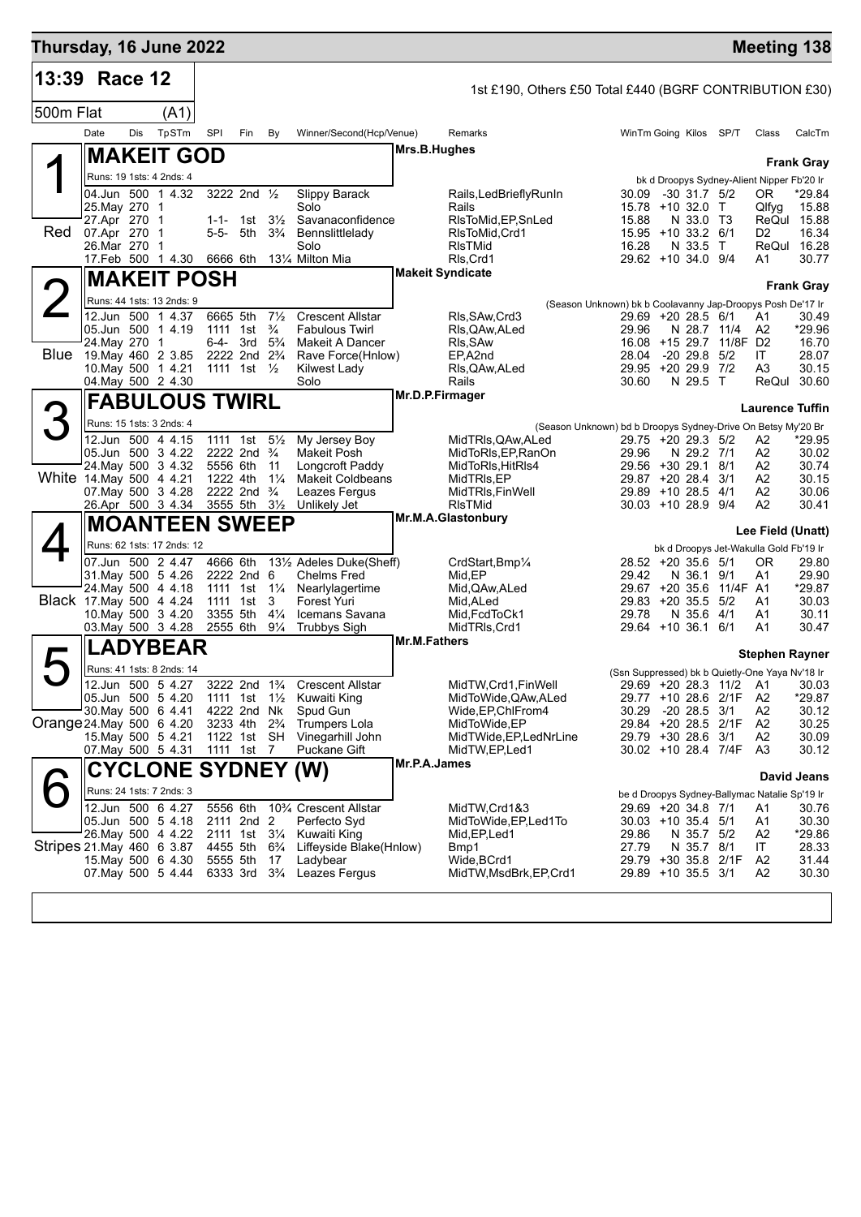| Thursday, 16 June 2022    |                                    |     |                                                |                      |                                                       |                                  |                                                                 |                 |                                                         |                                                                                  |                  |                                | <b>Meeting 138</b>                            |                      |
|---------------------------|------------------------------------|-----|------------------------------------------------|----------------------|-------------------------------------------------------|----------------------------------|-----------------------------------------------------------------|-----------------|---------------------------------------------------------|----------------------------------------------------------------------------------|------------------|--------------------------------|-----------------------------------------------|----------------------|
| 13:39 Race 12             |                                    |     |                                                |                      |                                                       |                                  |                                                                 |                 | 1st £190, Others £50 Total £440 (BGRF CONTRIBUTION £30) |                                                                                  |                  |                                |                                               |                      |
| 500m Flat                 |                                    |     | (A1)                                           |                      |                                                       |                                  |                                                                 |                 |                                                         |                                                                                  |                  |                                |                                               |                      |
|                           | Date                               | Dis | TpSTm                                          | SPI                  | Fin                                                   | By                               | Winner/Second(Hcp/Venue)                                        |                 | Remarks                                                 | WinTm Going Kilos SP/T                                                           |                  |                                | Class                                         | CalcTm               |
|                           |                                    |     | <b>MAKEIT GOD</b>                              |                      |                                                       |                                  |                                                                 | Mrs.B.Hughes    |                                                         |                                                                                  |                  |                                |                                               |                      |
|                           | Runs: 19 1sts: 4 2nds: 4           |     |                                                |                      |                                                       |                                  |                                                                 |                 |                                                         |                                                                                  |                  |                                | bk d Droopys Sydney-Alient Nipper Fb'20 Ir    | <b>Frank Gray</b>    |
|                           |                                    |     | 04.Jun 500 1 4.32                              |                      | 3222 2nd 1/2                                          |                                  | Slippy Barack                                                   |                 | Rails, Led Briefly Run In                               | 30.09                                                                            | $-30$ 31.7 $5/2$ |                                | OR.                                           | *29.84               |
|                           | 25. May 270 1<br>27.Apr 270 1      |     |                                                |                      | 1-1- 1st                                              | $3\frac{1}{2}$                   | Solo<br>Savanaconfidence                                        |                 | Rails<br>RIsToMid, EP, SnLed                            | 15.78 +10 32.0 T<br>15.88                                                        | N 33.0 T3        |                                | Qlfyg                                         | 15.88<br>ReQul 15.88 |
| Red                       | 07.Apr 270 1                       |     |                                                |                      | 5-5- 5th                                              | $3\frac{3}{4}$                   | Bennslittlelady                                                 |                 | RIsToMid, Crd1                                          | 15.95 +10 33.2 6/1                                                               |                  |                                | D2                                            | 16.34                |
|                           | 26.Mar 270                         |     | -1<br>17. Feb 500 1 4.30                       | 6666 6th             |                                                       |                                  | Solo<br>131⁄4 Milton Mia                                        |                 | <b>RIsTMid</b><br>RIs, Crd1                             | 16.28<br>29.62 +10 34.0 9/4                                                      | N 33.5 T         |                                | A1                                            | ReQul 16.28<br>30.77 |
|                           |                                    |     | <b>MAKEIT POSH</b>                             |                      |                                                       |                                  |                                                                 |                 | <b>Makeit Syndicate</b>                                 |                                                                                  |                  |                                |                                               |                      |
|                           |                                    |     | Runs: 44 1sts: 13 2nds: 9                      |                      |                                                       |                                  |                                                                 |                 |                                                         |                                                                                  |                  |                                |                                               | <b>Frank Gray</b>    |
|                           |                                    |     | 12.Jun 500 1 4.37                              | 6665 5th             |                                                       | $7\frac{1}{2}$                   | <b>Crescent Allstar</b>                                         |                 | RIs, SAw, Crd3                                          | (Season Unknown) bk b Coolavanny Jap-Droopys Posh De'17 Ir<br>29.69 +20 28.5 6/1 |                  |                                | A1                                            | 30.49                |
|                           | 05.Jun 500 1 4.19                  |     |                                                |                      | 1111 1st                                              | $\frac{3}{4}$                    | <b>Fabulous Twirl</b>                                           |                 | RIs, QAw, ALed                                          | 29.96                                                                            | N 28.7 11/4      |                                | A2                                            | *29.96               |
| Blue                      | 24. May 270 1<br>19 May 460 2 3.85 |     |                                                | 6-4- 3rd             | 2222 2nd 2 <sup>3</sup> / <sub>4</sub>                | $5\frac{3}{4}$                   | <b>Makeit A Dancer</b><br>Rave Force(Hnlow)                     |                 | RIs, SAw<br>EP,A2nd                                     | 28.04                                                                            | $-20$ 29.8 $5/2$ | 16.08 +15 29.7 11/8F D2        | ΙT                                            | 16.70<br>28.07       |
|                           |                                    |     | 10. May 500 1 4.21                             |                      | 1111 1st $\frac{1}{2}$                                |                                  | Kilwest Lady                                                    |                 | RIs, QAw, ALed                                          | 29.95 +20 29.9 7/2                                                               |                  |                                | A3                                            | 30.15                |
|                           |                                    |     | 04. May 500 2 4.30                             |                      |                                                       |                                  | Solo                                                            | Mr.D.P.Firmager | Rails                                                   | 30.60                                                                            | N 29.5 T         |                                | ReQul                                         | 30.60                |
|                           |                                    |     | <b>FABULOUS TWIRL</b>                          |                      |                                                       |                                  |                                                                 |                 |                                                         |                                                                                  |                  |                                | <b>Laurence Tuffin</b>                        |                      |
| З                         | Runs: 15 1sts: 3 2nds: 4           |     |                                                |                      |                                                       |                                  |                                                                 |                 |                                                         | (Season Unknown) bd b Droopys Sydney-Drive On Betsy My'20 Br                     |                  |                                |                                               |                      |
|                           | 05.Jun 500 3 4.22                  |     | 12.Jun 500 4 4.15                              |                      | 1111 1st<br>2222 2nd $\frac{3}{4}$                    | $5\frac{1}{2}$                   | My Jersey Boy<br>Makeit Posh                                    |                 | MidTRIs, QAw, ALed<br>MidToRIs, EP, RanOn               | 29.75 +20 29.3 5/2<br>29.96                                                      | N 29.2 7/1       |                                | A2<br>A2                                      | *29.95<br>30.02      |
|                           |                                    |     | 24. May 500 3 4.32                             | 5556 6th             |                                                       | 11                               | Longcroft Paddy                                                 |                 | MidToRIs, HitRIs4                                       | 29.56 +30 29.1 8/1                                                               |                  |                                | A2                                            | 30.74                |
| White 14 May 500 4 4.21   |                                    |     | 07. May 500 3 4.28                             | 1222 4th             | 2222 2nd $\frac{3}{4}$                                | $1\frac{1}{4}$                   | <b>Makeit Coldbeans</b><br>Leazes Fergus                        |                 | MidTRIs,EP<br>MidTRIs, FinWell                          | 29.87 +20 28.4<br>29.89 +10 28.5 4/1                                             |                  | 3/1                            | A2<br>A2                                      | 30.15<br>30.06       |
|                           |                                    |     | 26.Apr 500 3 4.34                              |                      | 3555 5th 31/2                                         |                                  | Unlikely Jet                                                    |                 | <b>RIsTMid</b>                                          | 30.03 +10 28.9 9/4                                                               |                  |                                | A2                                            | 30.41                |
|                           |                                    |     | <b>MOANTEEN SWEEP</b>                          |                      |                                                       |                                  |                                                                 |                 | Mr.M.A.Glastonbury                                      |                                                                                  |                  |                                | Lee Field (Unatt)                             |                      |
|                           |                                    |     | Runs: 62 1sts: 17 2nds: 12                     |                      |                                                       |                                  |                                                                 |                 |                                                         |                                                                                  |                  |                                | bk d Droopys Jet-Wakulla Gold Fb'19 Ir        |                      |
|                           |                                    |     | 07.Jun 500 2 4.47                              | 4666 6th             |                                                       |                                  | 131/ <sub>2</sub> Adeles Duke(Sheff)                            |                 | CrdStart, Bmp <sup>1/4</sup>                            | 28.52 +20 35.6 5/1                                                               |                  |                                | 0R                                            | 29.80                |
|                           | 24. May 500 4 4.18                 |     | 31. May 500 5 4.26                             |                      | 2222 2nd 6<br>1111 1st 11/ <sub>4</sub>               |                                  | <b>Chelms Fred</b><br>Nearlylagertime                           |                 | Mid, EP<br>Mid, QAw, ALed                               | 29.42                                                                            | N 36.1           | 9/1<br>29.67 +20 35.6 11/4F A1 | Α1                                            | 29.90<br>*29.87      |
| Black 17 May 500 4 4.24   |                                    |     |                                                |                      | 1111 1st                                              | 3                                | Forest Yuri                                                     |                 | Mid, ALed                                               | 29.83 +20 35.5 5/2                                                               |                  |                                | A1                                            | 30.03                |
|                           |                                    |     | 10. May 500 3 4.20<br>03. May 500 3 4.28       | 3355 5th<br>2555 6th |                                                       | $4\frac{1}{4}$<br>$9\frac{1}{4}$ | Icemans Savana<br><b>Trubbys Sigh</b>                           |                 | Mid, FcdToCk1<br>MidTRIs, Crd1                          | 29.78<br>29.64 +10 36.1 6/1                                                      | N 35.6 4/1       |                                | A1<br>A1                                      | 30.11<br>30.47       |
|                           |                                    |     | <b>ADYBEAR</b>                                 |                      |                                                       |                                  |                                                                 | Mr.M.Fathers    |                                                         |                                                                                  |                  |                                |                                               |                      |
|                           |                                    |     |                                                |                      |                                                       |                                  |                                                                 |                 |                                                         |                                                                                  |                  |                                | <b>Stephen Rayner</b>                         |                      |
|                           |                                    |     | Runs: 41 1sts: 8 2nds: 14<br>12.Jun 500 5 4.27 |                      |                                                       |                                  | 3222 2nd 1 <sup>3</sup> / <sub>4</sub> Crescent Allstar         |                 | MidTW, Crd1, FinWell                                    | (Ssn Suppressed) bk b Quietly-One Yaya Nv'18 Ir                                  |                  |                                | 29.69 +20 28.3 11/2 A1 30.03                  |                      |
|                           |                                    |     | 05.Jun 500 5 4.20                              |                      |                                                       |                                  | 1111 1st 11/2 Kuwaiti King                                      |                 | MidToWide, QAw, ALed                                    | 29.77 +10 28.6 2/1F                                                              |                  |                                | A2                                            | *29.87               |
| Orange 24 May 500 6 4.20  | 30 May 500 6 4.41                  |     |                                                |                      | 4222 2nd Nk<br>3233 4th 2 <sup>3</sup> / <sub>4</sub> |                                  | Spud Gun<br><b>Trumpers Lola</b>                                |                 | Wide, EP, ChlFrom 4<br>MidToWide,EP                     | 30.29<br>29.84 +20 28.5 2/1F                                                     | $-20$ 28.5 $3/1$ |                                | A <sub>2</sub><br>A2                          | 30.12<br>30.25       |
|                           | 15. May 500 5 4.21                 |     |                                                |                      | 1122 1st SH                                           |                                  | Vinegarhill John                                                |                 | MidTWide, EP, LedNrLine                                 | 29.79 +30 28.6 3/1                                                               |                  |                                | A2                                            | 30.09                |
|                           |                                    |     | 07. May 500 5 4.31                             |                      | 1111 1st 7                                            |                                  | Puckane Gift                                                    | Mr.P.A.James    | MidTW,EP,Led1                                           | 30.02 +10 28.4 7/4F                                                              |                  |                                | A3                                            | 30.12                |
|                           |                                    |     | <b>CYCLONE SYDNEY (W)</b>                      |                      |                                                       |                                  |                                                                 |                 |                                                         |                                                                                  |                  |                                |                                               | David Jeans          |
|                           |                                    |     | Runs: 24 1sts: 7 2nds: 3                       |                      |                                                       |                                  |                                                                 |                 |                                                         |                                                                                  |                  |                                | be d Droopys Sydney-Ballymac Natalie Sp'19 Ir |                      |
|                           | 05.Jun 500 5 4.18                  |     | 12.Jun 500 6 4.27                              | 5556 6th             | 2111 2nd 2                                            |                                  | 10 <sup>3</sup> / <sub>4</sub> Crescent Allstar<br>Perfecto Syd |                 | MidTW,Crd1&3<br>MidToWide, EP, Led1To                   | 29.69 +20 34.8 7/1<br>30.03 +10 35.4 5/1                                         |                  |                                | A1<br>A1                                      | 30.76<br>30.30       |
|                           |                                    |     | 26. May 500 4 4.22                             |                      | 2111 1st 31/4                                         |                                  | Kuwaiti King                                                    |                 | Mid, EP, Led 1                                          | 29.86                                                                            | N 35.7 5/2       |                                | A2                                            | *29.86               |
| Stripes 21 May 460 6 3.87 |                                    |     | 15. May 500 6 4.30                             | 4455 5th<br>5555 5th |                                                       | $6\frac{3}{4}$                   | Liffeyside Blake(Hnlow)<br>Ladybear                             |                 | Bmp1                                                    | 27.79<br>29.79 +30 35.8 2/1F                                                     | N 35.7 8/1       |                                | IT<br>A2                                      | 28.33<br>31.44       |
|                           |                                    |     | 07. May 500 5 4.44                             |                      | 6333 3rd 3 <sup>3</sup> / <sub>4</sub>                | 17                               | Leazes Fergus                                                   |                 | Wide, BCrd1<br>MidTW, MsdBrk, EP, Crd1                  | 29.89 +10 35.5 3/1                                                               |                  |                                | A2                                            | 30.30                |
|                           |                                    |     |                                                |                      |                                                       |                                  |                                                                 |                 |                                                         |                                                                                  |                  |                                |                                               |                      |
|                           |                                    |     |                                                |                      |                                                       |                                  |                                                                 |                 |                                                         |                                                                                  |                  |                                |                                               |                      |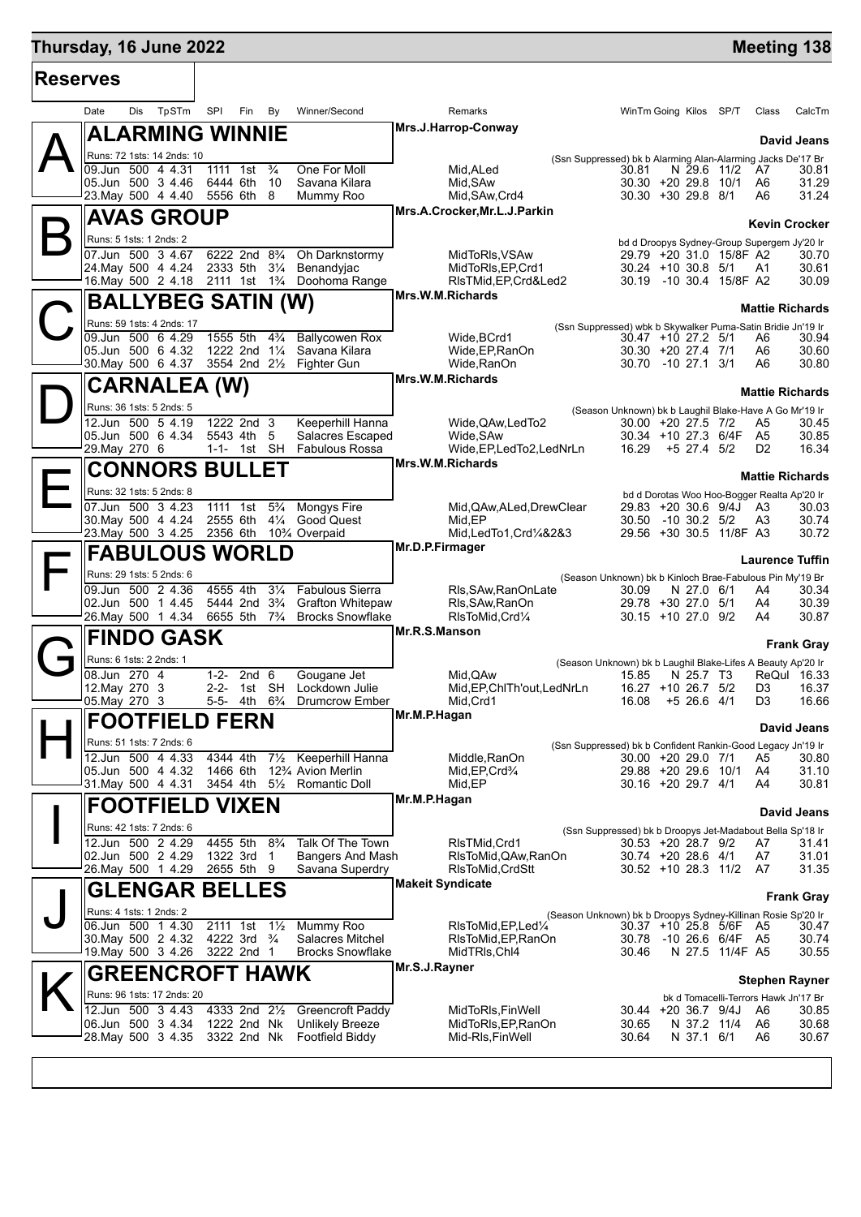| <b>Reserves</b> |                                                                         |                                                                      |                                                                     |                                                                                                                            |                    |  |  |  |  |  |  |  |
|-----------------|-------------------------------------------------------------------------|----------------------------------------------------------------------|---------------------------------------------------------------------|----------------------------------------------------------------------------------------------------------------------------|--------------------|--|--|--|--|--|--|--|
|                 | TpSTm<br>Date<br>Dis                                                    | SPI<br>Fin<br>By                                                     | Winner/Second                                                       | Remarks<br>WinTm Going Kilos SP/T<br>Class                                                                                 | CalcTm             |  |  |  |  |  |  |  |
|                 | ALARMING WINNIE                                                         |                                                                      |                                                                     | Mrs.J.Harrop-Conway                                                                                                        | David Jeans        |  |  |  |  |  |  |  |
|                 | Runs: 72 1sts: 14 2nds: 10                                              |                                                                      |                                                                     | (Ssn Suppressed) bk b Alarming Alan-Alarming Jacks De'17 Br                                                                |                    |  |  |  |  |  |  |  |
|                 | 09.Jun 500 4 4.31                                                       | $\frac{3}{4}$<br>1111 1st                                            | One For Moll                                                        | Mid, ALed<br>N 29.6 11/2<br>30.81<br>A7                                                                                    | 30.81              |  |  |  |  |  |  |  |
|                 | 05.Jun 500 3 4.46<br>23. May 500 4 4.40                                 | 6444 6th<br>10<br>5556 6th<br>- 8                                    | Savana Kilara<br>Mummy Roo                                          | Mid, SAw<br>30.30 +20 29.8 10/1<br>A6<br>Mid, SAw, Crd4<br>30.30 +30 29.8 8/1<br>A6                                        | 31.29<br>31.24     |  |  |  |  |  |  |  |
|                 |                                                                         |                                                                      |                                                                     | Mrs.A.Crocker, Mr.L.J.Parkin                                                                                               |                    |  |  |  |  |  |  |  |
|                 | <b>AVAS GROUP</b>                                                       |                                                                      |                                                                     | <b>Kevin Crocker</b>                                                                                                       |                    |  |  |  |  |  |  |  |
|                 | Runs: 5 1sts: 1 2nds: 2                                                 |                                                                      |                                                                     | bd d Droopys Sydney-Group Supergem Jy'20 Ir                                                                                |                    |  |  |  |  |  |  |  |
|                 | 07.Jun 500 3 4.67<br>24. May 500 4 4.24                                 | 2333 5th<br>$3\frac{1}{4}$                                           | 6222 2nd 8 <sup>3</sup> / <sub>4</sub> Oh Darknstormy<br>Benandyjac | MidToRIs, VSAw<br>29.79 +20 31.0 15/8F A2<br>MidToRIs, EP, Crd1<br>30.24 +10 30.8 5/1 A1                                   | 30.70<br>30.61     |  |  |  |  |  |  |  |
|                 | 16. May 500 2 4.18 2111 1st 1 <sup>3</sup> / <sub>4</sub> Doohoma Range |                                                                      |                                                                     | 30.19 -10 30.4 15/8F A2<br>RIsTMid, EP, Crd&Led2                                                                           | 30.09              |  |  |  |  |  |  |  |
|                 |                                                                         |                                                                      |                                                                     | Mrs.W.M.Richards                                                                                                           |                    |  |  |  |  |  |  |  |
|                 | BALLYBEG SATIN (W)                                                      |                                                                      |                                                                     | <b>Mattie Richards</b>                                                                                                     |                    |  |  |  |  |  |  |  |
|                 | Runs: 59 1sts: 4 2nds: 17                                               |                                                                      |                                                                     | (Ssn Suppressed) wbk b Skywalker Puma-Satin Bridie Jn'19 Ir                                                                |                    |  |  |  |  |  |  |  |
|                 | 09.Jun 500 6 4.29<br>05.Jun 500 6 4.32                                  | 1555 5th<br>1222 2nd 1¼                                              | 4 <sup>3</sup> / <sub>4</sub> Ballycowen Rox<br>Savana Kilara       | Wide, BCrd1<br>30.47 +10 27.2 5/1<br>A6<br>Wide, EP, RanOn<br>30.30 +20 27.4 7/1<br>A6                                     | 30.94<br>30.60     |  |  |  |  |  |  |  |
|                 | 30. May 500 6 4.37                                                      | 3554 2nd 21/2 Fighter Gun                                            |                                                                     | Wide, RanOn<br>30.70 -10 27.1 3/1<br>A6                                                                                    | 30.80              |  |  |  |  |  |  |  |
|                 |                                                                         |                                                                      |                                                                     | Mrs.W.M.Richards                                                                                                           |                    |  |  |  |  |  |  |  |
|                 | CARNALEA (W)                                                            |                                                                      |                                                                     | <b>Mattie Richards</b>                                                                                                     |                    |  |  |  |  |  |  |  |
|                 | Runs: 36 1sts: 5 2nds: 5                                                |                                                                      |                                                                     | (Season Unknown) bk b Laughil Blake-Have A Go Mr'19 Ir                                                                     |                    |  |  |  |  |  |  |  |
|                 | 12.Jun 500 5 4.19<br>05.Jun 500 6 4.34                                  | 1222 2nd 3<br>5543 4th<br>- 5                                        | Keeperhill Hanna<br>Salacres Escaped                                | Wide, QAw, Led To 2<br>30.00 +20 27.5 7/2<br>A5<br>30.34 +10 27.3 6/4F A5<br>Wide, SAw                                     | 30.45<br>30.85     |  |  |  |  |  |  |  |
|                 | 29.May 270 6                                                            | 1-1- 1st SH                                                          | <b>Fabulous Rossa</b>                                               | Wide, EP, LedTo2, LedNrLn<br>16.29<br>$+5$ 27.4 $5/2$<br>D <sub>2</sub>                                                    | 16.34              |  |  |  |  |  |  |  |
|                 |                                                                         |                                                                      |                                                                     | Mrs.W.M.Richards                                                                                                           |                    |  |  |  |  |  |  |  |
|                 | <b>CONNORS BULLET</b>                                                   |                                                                      |                                                                     | <b>Mattie Richards</b>                                                                                                     |                    |  |  |  |  |  |  |  |
|                 | Runs: 32 1sts: 5 2nds: 8                                                |                                                                      |                                                                     | bd d Dorotas Woo Hoo-Bogger Realta Ap'20 Ir                                                                                |                    |  |  |  |  |  |  |  |
|                 | 07.Jun 500 3 4.23<br>30. May 500 4 4.24                                 | 1111 1st<br>$5\frac{3}{4}$<br>2555 6th<br>$4\frac{1}{4}$             | Mongys Fire<br><b>Good Quest</b>                                    | Mid, QAw, ALed, Drew Clear<br>29.83 +20 30.6 9/4J A3                                                                       | 30.03              |  |  |  |  |  |  |  |
|                 | 23. May 500 3 4.25 2356 6th 103/4 Overpaid                              |                                                                      |                                                                     | Mid,EP<br>30.50<br>$-10$ 30.2 $5/2$<br>A3<br>29.56 +30 30.5 11/8F A3<br>Mid, LedTo1, Crd1/4&2&3                            | 30.74<br>30.72     |  |  |  |  |  |  |  |
|                 |                                                                         |                                                                      |                                                                     | Mr.D.P.Firmager                                                                                                            |                    |  |  |  |  |  |  |  |
|                 | <b>FABULOUS WORLD</b>                                                   |                                                                      |                                                                     | <b>Laurence Tuffin</b>                                                                                                     |                    |  |  |  |  |  |  |  |
|                 | Runs: 29 1sts: 5 2nds: 6                                                |                                                                      |                                                                     | (Season Unknown) bk b Kinloch Brae-Fabulous Pin My'19 Br                                                                   |                    |  |  |  |  |  |  |  |
|                 | 09.Jun 500 2 4.36<br>02.Jun 500 1 4.45                                  | 4555 4th<br>$3\frac{1}{4}$<br>5444 2nd 3 <sup>3</sup> / <sub>4</sub> | <b>Fabulous Sierra</b><br><b>Grafton Whitepaw</b>                   | Rls, SAw, RanOnLate<br>30.09<br>N 27.0 6/1<br>A4<br>RIs, SAw, RanOn<br>29.78 +30 27.0 5/1<br>A4                            | 30.34<br>30.39     |  |  |  |  |  |  |  |
|                 | 26. May 500 1 4.34                                                      | 6655 5th 7 <sup>3</sup> /4                                           | <b>Brocks Snowflake</b>                                             | RIsToMid, Crd1/4<br>30.15 +10 27.0 9/2<br>A4                                                                               | 30.87              |  |  |  |  |  |  |  |
|                 | <b>FINDO GASK</b>                                                       |                                                                      |                                                                     | Mr.R.S.Manson                                                                                                              |                    |  |  |  |  |  |  |  |
|                 |                                                                         |                                                                      |                                                                     |                                                                                                                            | <b>Frank Gray</b>  |  |  |  |  |  |  |  |
|                 | Runs: 6 1sts: 2 2nds: 1                                                 |                                                                      |                                                                     | (Season Unknown) bk b Laughil Blake-Lifes A Beauty Ap'20 Ir                                                                |                    |  |  |  |  |  |  |  |
|                 | 08.Jun 270 4<br>12. May 270 3                                           | 2nd <sub>6</sub><br>$1 - 2 -$<br>2-2- 1st SH                         | Gougane Jet<br>Lockdown Julie                                       | Mid, QAw<br>N 25.7 T3<br>ReQul<br>15.85<br>Mid, EP, ChlTh'out, LedNrLn<br>16.27 +10 26.7 5/2<br>D3                         | 16.33<br>16.37     |  |  |  |  |  |  |  |
|                 | 05. May 270 3                                                           |                                                                      | 5-5- 4th 6 <sup>3</sup> / <sub>4</sub> Drumcrow Ember               | Mid, Crd1<br>16.08<br>$+5$ 26.6 4/1<br>D3                                                                                  | 16.66              |  |  |  |  |  |  |  |
|                 | <b>FOOTFIELD FERN</b>                                                   |                                                                      |                                                                     | Mr.M.P.Hagan                                                                                                               |                    |  |  |  |  |  |  |  |
|                 |                                                                         |                                                                      |                                                                     |                                                                                                                            | David Jeans        |  |  |  |  |  |  |  |
|                 | Runs: 51 1sts: 7 2nds: 6                                                |                                                                      |                                                                     | (Ssn Suppressed) bk b Confident Rankin-Good Legacy Jn'19 Ir                                                                |                    |  |  |  |  |  |  |  |
|                 | 12.Jun 500 4 4.33<br>05.Jun 500 4 4.32                                  | 4344 4th<br>$7\frac{1}{2}$<br>1466 6th                               | Keeperhill Hanna<br>12% Avion Merlin                                | Middle, RanOn<br>30.00 +20 29.0 7/1<br>A5<br>29.88 +20 29.6 10/1<br>Mid, EP, Crd <sup>3</sup> /4<br>A4                     | 30.80<br>31.10     |  |  |  |  |  |  |  |
|                 | 31. May 500 4 4.31                                                      | 3454 4th 51/2 Romantic Doll                                          |                                                                     | Mid,EP<br>30.16 +20 29.7 4/1<br>A4                                                                                         | 30.81              |  |  |  |  |  |  |  |
|                 | <b>FOOTFIELD VIXEN</b>                                                  |                                                                      |                                                                     | Mr.M.P.Hagan                                                                                                               |                    |  |  |  |  |  |  |  |
|                 |                                                                         |                                                                      |                                                                     |                                                                                                                            | <b>David Jeans</b> |  |  |  |  |  |  |  |
|                 | Runs: 42 1sts: 7 2nds: 6<br>12.Jun 500 2 4.29                           | 4455 5th<br>$8\frac{3}{4}$                                           | Talk Of The Town                                                    | (Ssn Suppressed) bk b Droopys Jet-Madabout Bella Sp'18 Ir<br>RIsTMid, Crd1<br>30.53 +20 28.7 9/2                           | 31.41              |  |  |  |  |  |  |  |
|                 | 02.Jun 500 2 4.29                                                       | 1322 3rd 1                                                           | <b>Bangers And Mash</b>                                             | A7<br>RIsToMid, QAw, RanOn<br>30.74 +20 28.6 4/1<br>A7                                                                     | 31.01              |  |  |  |  |  |  |  |
|                 | 26.May 500 1 4.29                                                       | 2655 5th 9                                                           | Savana Superdry                                                     | 30.52 +10 28.3 11/2<br>A7<br>RIsToMid, CrdStt                                                                              | 31.35              |  |  |  |  |  |  |  |
|                 | <b>GLENGAR BELLES</b>                                                   |                                                                      |                                                                     | <b>Makeit Syndicate</b>                                                                                                    |                    |  |  |  |  |  |  |  |
|                 |                                                                         |                                                                      |                                                                     |                                                                                                                            | <b>Frank Gray</b>  |  |  |  |  |  |  |  |
|                 | Runs: 4 1sts: 1 2nds: 2<br>06.Jun 500 1 4.30                            | 2111 1st<br>$1\frac{1}{2}$                                           | Mummy Roo                                                           | (Season Unknown) bk b Droopys Sydney-Killinan Rosie Sp'20 Ir<br>RIsToMid, EP, Led <sup>1/4</sup><br>30.37 +10 25.8 5/6F A5 | 30.47              |  |  |  |  |  |  |  |
|                 | 30. May 500 2 4.32                                                      | 4222 3rd $\frac{3}{4}$                                               | Salacres Mitchel                                                    | RIsToMid, EP, RanOn<br>30.78<br>-10 26.6 6/4F A5                                                                           | 30.74              |  |  |  |  |  |  |  |
|                 | 19. May 500 3 4.26                                                      | 3222 2nd 1                                                           | <b>Brocks Snowflake</b>                                             | MidTRIs, Chl4<br>30.46<br>N 27.5 11/4F A5                                                                                  | 30.55              |  |  |  |  |  |  |  |
|                 | <b>GREENCROFT HAWK</b>                                                  |                                                                      |                                                                     | Mr.S.J.Rayner                                                                                                              |                    |  |  |  |  |  |  |  |
|                 | Runs: 96 1sts: 17 2nds: 20                                              |                                                                      |                                                                     | <b>Stephen Rayner</b>                                                                                                      |                    |  |  |  |  |  |  |  |
|                 | 12.Jun 500 3 4.43                                                       | 4333 2nd 21/2                                                        | <b>Greencroft Paddy</b>                                             | bk d Tomacelli-Terrors Hawk Jn'17 Br<br>MidToRIs, FinWell<br>$30.44 + 20.36.7$ 9/4J<br>A6                                  | 30.85              |  |  |  |  |  |  |  |
|                 | 06.Jun 500 3 4.34                                                       | 1222 2nd Nk                                                          | <b>Unlikely Breeze</b>                                              | MidToRIs, EP, RanOn<br>30.65<br>N 37.2 11/4<br>A6                                                                          | 30.68              |  |  |  |  |  |  |  |
|                 | 28. May 500 3 4.35                                                      | 3322 2nd Nk                                                          | Footfield Biddy                                                     | Mid-RIs, FinWell<br>30.64<br>N 37.1 6/1<br>A6                                                                              | 30.67              |  |  |  |  |  |  |  |
|                 |                                                                         |                                                                      |                                                                     |                                                                                                                            |                    |  |  |  |  |  |  |  |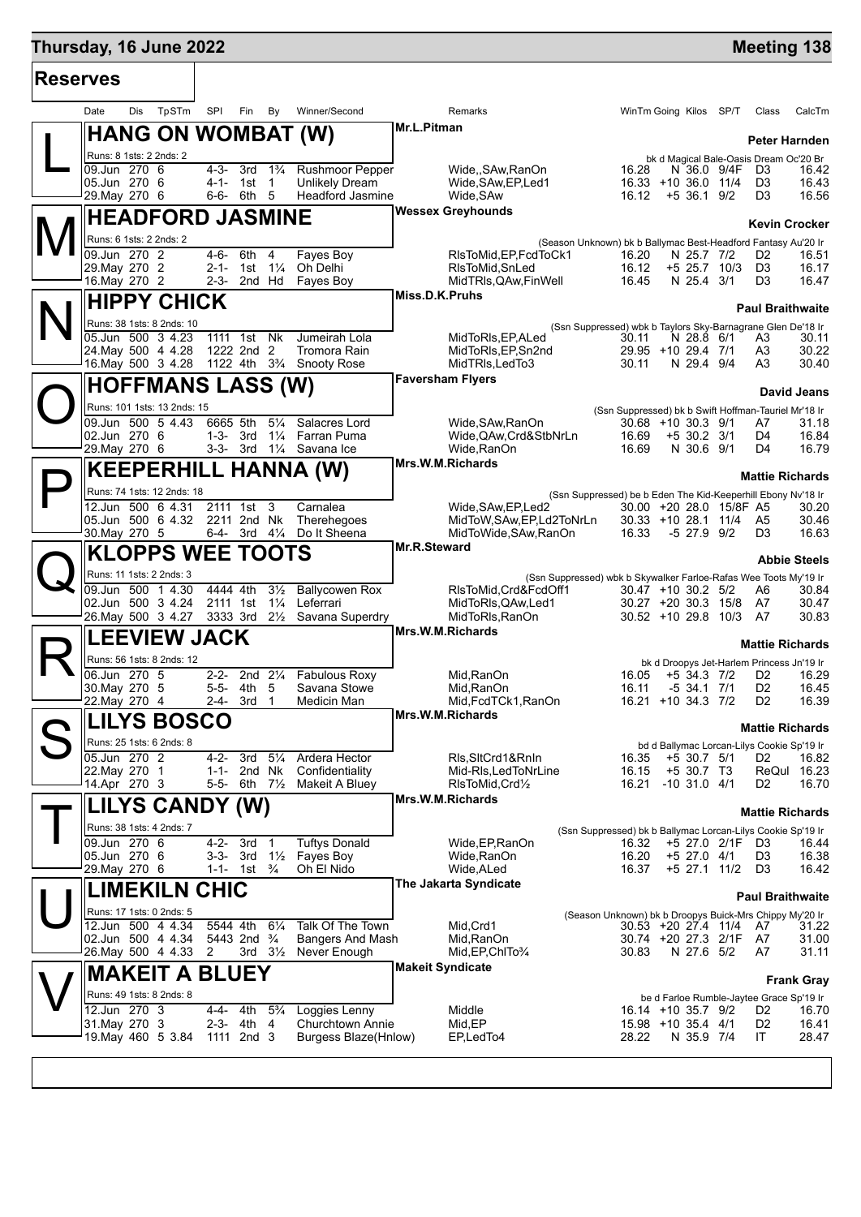| <b>Reserves</b> |                                                 |       |                         |                               |                                  |                                                       |                                           |                                                                                         |                                                                                         |  |                             |                 |                                                  |                         |
|-----------------|-------------------------------------------------|-------|-------------------------|-------------------------------|----------------------------------|-------------------------------------------------------|-------------------------------------------|-----------------------------------------------------------------------------------------|-----------------------------------------------------------------------------------------|--|-----------------------------|-----------------|--------------------------------------------------|-------------------------|
|                 | Dis<br>Date                                     | TpSTm | SPI                     | Fin                           | By                               | Winner/Second                                         |                                           | Remarks                                                                                 | WinTm Going Kilos SP/T                                                                  |  |                             |                 | Class                                            | CalcTm                  |
|                 | <b>HANG ON WOMBAT (W)</b>                       |       |                         |                               |                                  |                                                       | Mr.L.Pitman                               |                                                                                         |                                                                                         |  |                             |                 |                                                  | Peter Harnden           |
|                 | Runs: 8 1sts: 2 2nds: 2                         |       |                         |                               |                                  |                                                       |                                           |                                                                                         |                                                                                         |  |                             |                 | bk d Magical Bale-Oasis Dream Oc'20 Br           |                         |
|                 | 09.Jun 270 6                                    |       | 4-3-                    | 3rd                           | $1\frac{3}{4}$                   | Rushmoor Pepper                                       |                                           | Wide,,SAw,RanOn                                                                         | 16.28                                                                                   |  |                             | N 36.0 9/4F     | D <sub>3</sub>                                   | 16.42                   |
|                 | 05.Jun 270 6<br>29. May 270 6                   |       |                         | 4-1- 1st 1<br>6-6- 6th 5      |                                  | <b>Unlikely Dream</b><br><b>Headford Jasmine</b>      |                                           | Wide, SAw, EP, Led1<br>Wide, SAw                                                        | 16.33 +10 36.0 11/4<br>$16.12 + 536.19/2$                                               |  |                             |                 | D3<br>D3                                         | 16.43<br>16.56          |
|                 |                                                 |       |                         |                               |                                  |                                                       |                                           | <b>Wessex Greyhounds</b>                                                                |                                                                                         |  |                             |                 |                                                  |                         |
|                 | Runs: 6 1sts: 2 2nds: 2                         |       | <b>HEADFORD JASMINE</b> |                               |                                  |                                                       |                                           |                                                                                         |                                                                                         |  |                             |                 |                                                  | <b>Kevin Crocker</b>    |
|                 | 09.Jun 270 2                                    |       | $4 - 6 -$               | 6th                           | 4                                | Fayes Boy                                             |                                           | (Season Unknown) bk b Ballymac Best-Headford Fantasy Au'20 Ir<br>RIsToMid, EP, FcdToCk1 | 16.20                                                                                   |  | N 25.7 7/2                  |                 | D2                                               | 16.51                   |
|                 | 29. May 270 2                                   |       |                         | 2-1- 1st                      | $1\frac{1}{4}$                   | Oh Delhi                                              |                                           | RIsToMid, SnLed                                                                         | 16.12                                                                                   |  |                             | $+5$ 25.7 10/3  | D <sub>3</sub>                                   | 16.17                   |
|                 | 16.May 270 2                                    |       |                         | 2-3- 2nd Hd                   |                                  | Fayes Boy                                             |                                           | MidTRIs, QAw, Fin Well                                                                  | 16.45                                                                                   |  | N 25.4 3/1                  |                 | D3                                               | 16.47                   |
|                 | <b>HIPPY CHICK</b>                              |       |                         |                               |                                  |                                                       | Miss.D.K.Pruhs<br><b>Paul Braithwaite</b> |                                                                                         |                                                                                         |  |                             |                 |                                                  |                         |
|                 | Runs: 38 1sts: 8 2nds: 10                       |       |                         |                               |                                  |                                                       |                                           |                                                                                         | (Ssn Suppressed) wbk b Taylors Sky-Barnagrane Glen De'18 Ir                             |  |                             |                 |                                                  |                         |
|                 | 05.Jun 500 3 4.23<br>24. May 500 4 4.28         |       |                         | 1111 1st<br>1222 2nd 2        | <b>Nk</b>                        | Jumeirah Lola<br>Tromora Rain                         |                                           | MidToRIs, EP, ALed<br>MidToRIs, EP, Sn2nd                                               | 30.11<br>29.95 +10 29.4 7/1                                                             |  | N 28.8 6/1                  |                 | A3<br>A3                                         | 30.11<br>30.22          |
|                 | 16.May 500 3 4.28                               |       |                         |                               |                                  | 1122 4th 3 <sup>3</sup> / <sub>4</sub> Snooty Rose    |                                           | MidTRIs, LedTo3                                                                         | 30.11                                                                                   |  | N 29.4 9/4                  |                 | A3                                               | 30.40                   |
|                 | <b>HOFFMANS LASS (W)</b>                        |       |                         |                               |                                  |                                                       |                                           | <b>Faversham Flyers</b>                                                                 |                                                                                         |  |                             |                 |                                                  | <b>David Jeans</b>      |
|                 | Runs: 101 1sts: 13 2nds: 15                     |       |                         |                               |                                  |                                                       |                                           |                                                                                         | (Ssn Suppressed) bk b Swift Hoffman-Tauriel Mr'18 Ir                                    |  |                             |                 |                                                  |                         |
|                 | 09.Jun 500 5 4.43                               |       | 6665 5th                |                               | $5\frac{1}{4}$                   | Salacres Lord                                         |                                           | Wide, SAw, RanOn                                                                        | $30.68 + 10.30.3$ 9/1                                                                   |  |                             |                 | A7                                               | 31.18                   |
|                 | 02.Jun 270 6<br>29. May 270 6                   |       |                         |                               |                                  | 1-3- 3rd 11/4 Farran Puma<br>3-3- 3rd 11/4 Savana Ice |                                           | Wide, QAw, Crd&StbNrLn<br>Wide, RanOn                                                   | 16.69<br>16.69                                                                          |  | $+5$ 30.2 3/1<br>N 30.6 9/1 |                 | D4<br>D4                                         | 16.84<br>16.79          |
|                 |                                                 |       |                         |                               |                                  |                                                       |                                           | Mrs.W.M.Richards                                                                        |                                                                                         |  |                             |                 |                                                  |                         |
|                 |                                                 |       |                         |                               |                                  | <b>KEEPERHILL HANNA (W)</b>                           |                                           |                                                                                         |                                                                                         |  |                             |                 |                                                  | <b>Mattie Richards</b>  |
|                 | Runs: 74 1sts: 12 2nds: 18<br>12.Jun 500 6 4.31 |       |                         | 2111 1st                      | 3                                | Carnalea                                              |                                           | Wide, SAw, EP, Led2                                                                     | (Ssn Suppressed) be b Eden The Kid-Keeperhill Ebony Nv'18 Ir<br>30.00 +20 28.0 15/8F A5 |  |                             |                 |                                                  | 30.20                   |
|                 | 05.Jun 500 6 4.32 2211 2nd Nk                   |       |                         |                               |                                  | Therehegoes                                           |                                           | MidToW, SAw, EP, Ld2ToNrLn                                                              | $30.33 + 10.28.1$ 11/4                                                                  |  |                             |                 | A <sub>5</sub>                                   | 30.46                   |
|                 | 30. May 270 5                                   |       |                         | 6-4- 3rd $4\frac{1}{4}$       |                                  | Do It Sheena                                          |                                           | MidToWide, SAw, RanOn                                                                   | 16.33                                                                                   |  | $-5$ 27.9 $9/2$             |                 | D3                                               | 16.63                   |
|                 | <b>KLOPPS WEE TOOTS</b>                         |       |                         |                               |                                  |                                                       | <b>Mr.R.Steward</b>                       |                                                                                         |                                                                                         |  |                             |                 |                                                  | <b>Abbie Steels</b>     |
|                 | Runs: 11 1sts: 2 2nds: 3                        |       |                         |                               |                                  |                                                       |                                           | (Ssn Suppressed) wbk b Skywalker Farloe-Rafas Wee Toots My'19 Ir                        |                                                                                         |  |                             |                 |                                                  |                         |
|                 | 09.Jun 500 1 4.30<br>02.Jun 500 3 4.24          |       |                         | 4444 4th<br>2111 1st          | $3\frac{1}{2}$<br>$1\frac{1}{4}$ | <b>Ballycowen Rox</b><br>Leferrari                    |                                           | RIsToMid, Crd&FcdOff1<br>MidToRIs, QAw, Led1                                            | $30.47 + 10.30.2$ 5/2<br>$30.27 + 20.30.3$ 15/8                                         |  |                             |                 | A6<br>A7                                         | 30.84<br>30.47          |
|                 | 26. May 500 3 4.27                              |       |                         | 3333 3rd                      | $2\frac{1}{2}$                   | Savana Superdry                                       |                                           | MidToRIs, RanOn                                                                         | 30.52 +10 29.8 10/3 A7                                                                  |  |                             |                 |                                                  | 30.83                   |
|                 | <b>LEEVIEW JACK</b>                             |       |                         |                               |                                  |                                                       |                                           | Mrs.W.M.Richards                                                                        |                                                                                         |  |                             |                 |                                                  |                         |
|                 | Runs: 56 1sts: 8 2nds: 12                       |       |                         |                               |                                  |                                                       |                                           |                                                                                         |                                                                                         |  |                             |                 | bk d Droopys Jet-Harlem Princess Jn'19 Ir        | <b>Mattie Richards</b>  |
|                 | 06.Jun 270 5                                    |       | $2 - 2 -$               |                               | 2nd $2\frac{1}{4}$               | <b>Fabulous Roxy</b>                                  |                                           | Mid, RanOn                                                                              | 16.05                                                                                   |  | $+5$ 34.3 7/2               |                 | D2                                               | 16.29                   |
|                 | 30. May 270 5<br>22. May 270 4                  |       | $5 - 5 -$               | 4th<br>3rd                    | 5<br>$\overline{1}$              | Savana Stowe<br>Medicin Man                           |                                           | Mid, RanOn<br>Mid, FcdTCk1, RanOn                                                       | 16.11<br>16.21 +10 34.3 7/2                                                             |  | $-5$ 34.1 $7/1$             |                 | D <sub>2</sub><br>D <sub>2</sub>                 | 16.45<br>16.39          |
|                 |                                                 |       | 2-4-                    |                               |                                  |                                                       |                                           | Mrs.W.M.Richards                                                                        |                                                                                         |  |                             |                 |                                                  |                         |
|                 | <b>LILYS BOSCO</b>                              |       |                         |                               |                                  |                                                       |                                           |                                                                                         |                                                                                         |  |                             |                 |                                                  | <b>Mattie Richards</b>  |
|                 | Runs: 25 1sts: 6 2nds: 8<br>05.Jun 270 2        |       | $4 - 2 -$               | 3rd                           | $5\frac{1}{4}$                   | Ardera Hector                                         |                                           | Ris, SitCrd1&Rnin                                                                       | 16.35                                                                                   |  | $+5$ 30.7 $5/1$             |                 | bd d Ballymac Lorcan-Lilys Cookie Sp'19 Ir<br>D2 | 16.82                   |
|                 | 22. May 270 1                                   |       | 1-1-                    | 2nd                           | Nk                               | Confidentiality                                       |                                           | Mid-RIs, LedToNrLine                                                                    | 16.15                                                                                   |  | +5 30.7 T3                  |                 | ReQul                                            | 16.23                   |
|                 | 14.Apr 270 3                                    |       |                         | 5-5- 6th                      | $7\frac{1}{2}$                   | Makeit A Bluey                                        |                                           | RIsToMid.Crd1/2                                                                         | 16.21                                                                                   |  | $-10$ 31.0 $4/1$            |                 | D2                                               | 16.70                   |
|                 | LILYS CANDY (W)                                 |       |                         |                               |                                  |                                                       |                                           | Mrs.W.M.Richards                                                                        |                                                                                         |  |                             |                 |                                                  | <b>Mattie Richards</b>  |
|                 | Runs: 38 1sts: 4 2nds: 7                        |       |                         |                               |                                  |                                                       |                                           |                                                                                         | (Ssn Suppressed) bk b Ballymac Lorcan-Lilys Cookie Sp'19 Ir                             |  |                             |                 |                                                  |                         |
|                 | 09.Jun 270 6                                    |       | $4 - 2 -$               | 3rd                           | $\overline{1}$                   | <b>Tuftys Donald</b>                                  |                                           | Wide, EP, RanOn                                                                         | 16.32                                                                                   |  |                             | +5 27.0 2/1F D3 |                                                  | 16.44                   |
|                 | 05.Jun 270 6<br>29. May 270 6                   |       | $3 - 3 -$               | 3rd<br>1-1- 1st $\frac{3}{4}$ | $1\frac{1}{2}$                   | Fayes Boy<br>Oh El Nido                               |                                           | Wide, RanOn<br>Wide, ALed                                                               | 16.20<br>16.37                                                                          |  | $+5$ 27.0 4/1               | +5 27.1 11/2 D3 | D <sub>3</sub>                                   | 16.38<br>16.42          |
|                 | <b>LIMEKILN CHIC</b>                            |       |                         |                               |                                  |                                                       |                                           | The Jakarta Syndicate                                                                   |                                                                                         |  |                             |                 |                                                  |                         |
|                 | Runs: 17 1sts: 0 2nds: 5                        |       |                         |                               |                                  |                                                       |                                           |                                                                                         |                                                                                         |  |                             |                 |                                                  | <b>Paul Braithwaite</b> |
|                 | 12.Jun 500 4 4.34                               |       |                         | 5544 4th                      | $6\frac{1}{4}$                   | Talk Of The Town                                      |                                           | Mid, Crd1                                                                               | (Season Unknown) bk b Droopys Buick-Mrs Chippy My'20 Ir<br>30.53 +20 27.4 11/4          |  |                             |                 | A7                                               | 31.22                   |
|                 | 02.Jun 500 4 4.34                               |       |                         | 5443 2nd 3/4                  |                                  | <b>Bangers And Mash</b>                               |                                           | Mid, RanOn                                                                              | 30.74 +20 27.3 2/1F                                                                     |  |                             |                 | - A7                                             | 31.00                   |
|                 | 26. May 500 4 4.33                              |       | 2                       |                               | $3rd \quad 3\frac{1}{2}$         | Never Enough                                          |                                           | Mid, EP, ChITo 3/4<br><b>Makeit Syndicate</b>                                           | 30.83                                                                                   |  | N 27.6 5/2                  |                 | A7                                               | 31.11                   |
|                 | <b>MAKEIT A BLUEY</b>                           |       |                         |                               |                                  |                                                       |                                           |                                                                                         |                                                                                         |  |                             |                 |                                                  | <b>Frank Gray</b>       |
|                 | Runs: 49 1sts: 8 2nds: 8                        |       |                         |                               |                                  |                                                       |                                           |                                                                                         |                                                                                         |  |                             |                 | be d Farloe Rumble-Jaytee Grace Sp'19 Ir         |                         |
|                 | 12.Jun 270 3<br>31. May 270 3                   |       | 4-4-<br>2-3-            | 4th<br>4th                    | $5\frac{3}{4}$<br>4              | Loggies Lenny<br>Churchtown Annie                     |                                           | Middle<br>Mid,EP                                                                        | 16.14 +10 35.7 9/2<br>15.98 +10 35.4 4/1                                                |  |                             |                 | D <sub>2</sub><br>D2                             | 16.70<br>16.41          |
|                 | 19. May 460 5 3.84                              |       |                         | 1111 2nd 3                    |                                  | Burgess Blaze(Hnlow)                                  |                                           | EP,LedTo4                                                                               | 28.22                                                                                   |  | N 35.9 7/4                  |                 | IT                                               | 28.47                   |
|                 |                                                 |       |                         |                               |                                  |                                                       |                                           |                                                                                         |                                                                                         |  |                             |                 |                                                  |                         |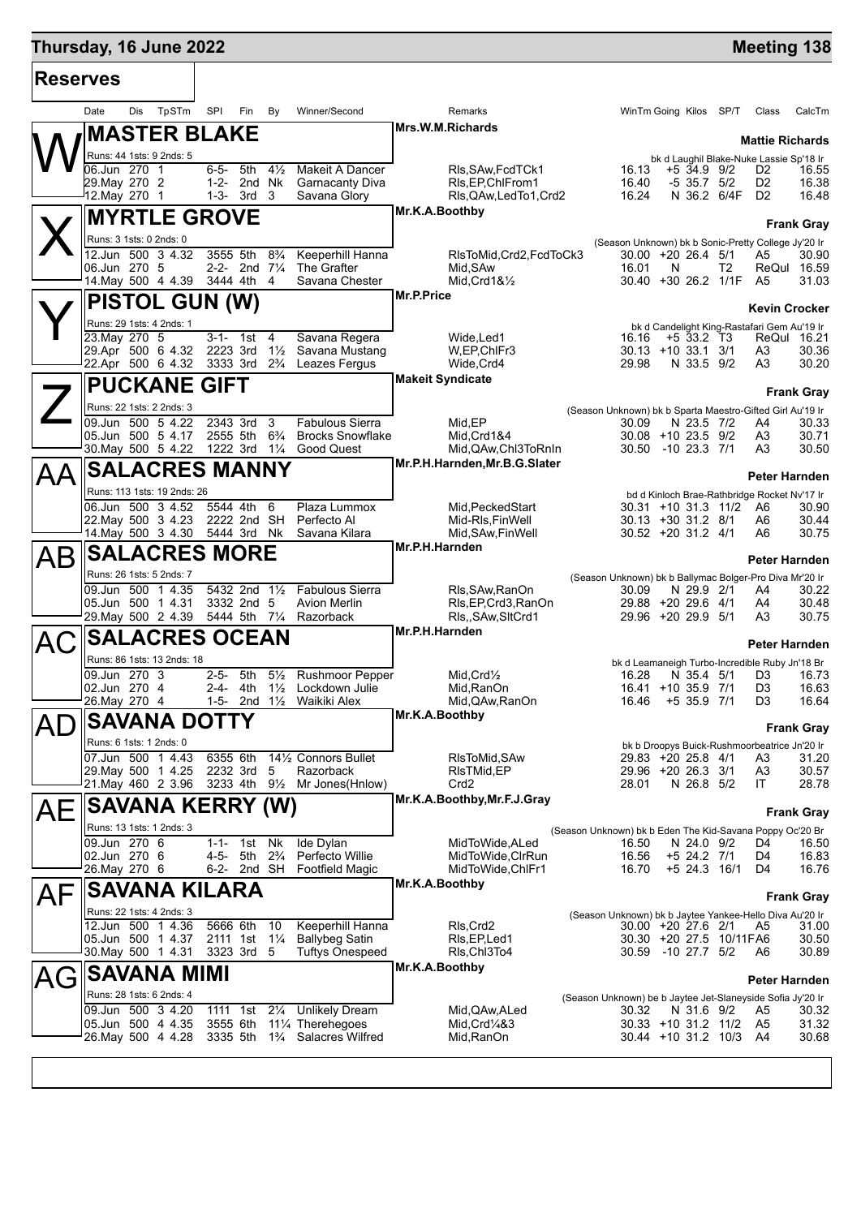